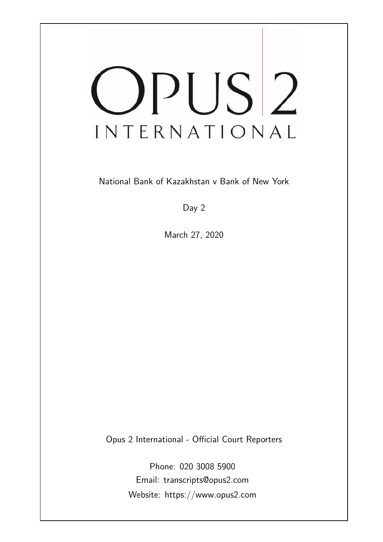# OPUS<sup>2</sup> INTERNATIONAL

National Bank of Kazakhstan v Bank of New York

Day 2

March 27, 2020

Opus 2 International - Official Court Reporters

Phone: 020 3008 5900 Email: transcripts@opus2.com Website: https://www.opus2.com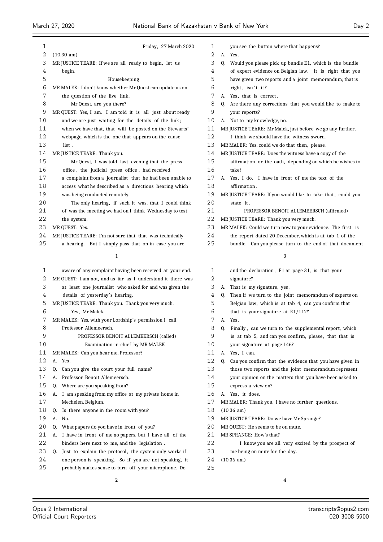| 1        | Friday, 27 March 2020                                        | 1        | you see the button where that happens?                                                  |
|----------|--------------------------------------------------------------|----------|-----------------------------------------------------------------------------------------|
| 2        | $(10.30 \text{ am})$                                         | 2        | A. Yes.                                                                                 |
| 3        | MR JUSTICE TEARE: If we are all ready to begin, let us       | 3        | Q. Would you please pick up bundle E1, which is the bundle                              |
| 4        | begin.                                                       | 4        | of expert evidence on Belgian law. It is right that you                                 |
| 5        | Housekeeping                                                 | 5        | have given two reports and a joint memorandum; that is                                  |
| 6<br>7   | MR MALEK: I don't know whether Mr Quest can update us on     | 6<br>7   | right, isn't it?                                                                        |
| 8        | the question of the live link.<br>Mr Quest, are you there?   | 8        | A. Yes, that is correct.<br>Q. Are there any corrections that you would like to make to |
| 9        | MR QUEST: Yes, I am. I am told it is all just about ready    | 9        | your reports?                                                                           |
| 10       | and we are just waiting for the details of the link;         | 10       | A. Not to my knowledge, no.                                                             |
| 11       | when we have that, that will be posted on the Stewarts'      | 11       | MR JUSTICE TEARE: Mr Malek, just before we go any further,                              |
| 12       | webpage, which is the one that appears on the cause          | 12       | I think we should have the witness sworn.                                               |
| 13       | list.                                                        | 13       | MR MALEK: Yes, could we do that then, please.                                           |
| 14       | MR JUSTICE TEARE: Thank you.                                 | 14       | MR JUSTICE TEARE: Does the witness have a copy of the                                   |
| 15       | Mr Quest, I was told last evening that the press             | 15       | affirmation or the oath, depending on which he wishes to                                |
| 16       | office, the judicial press office, had received              | 16       | take?                                                                                   |
| 17       | a complaint from a journalist that he had been unable to     | 17       | A. Yes, I do. I have in front of me the text of the                                     |
| 18       | access what he described as a directions hearing which       | 18       | affirmation.                                                                            |
| 19       | was being conducted remotely.                                | 19       | MR JUSTICE TEARE: If you would like to take that, could you                             |
| 20       | The only hearing, if such it was, that I could think         | 20       | state it.                                                                               |
| 21       | of was the meeting we had on I think Wednesday to test       | 21       | PROFESSOR BENOIT ALLEMEERSCH (affirmed)                                                 |
| 22       | the system.                                                  | 22       | MR JUSTICE TEARE: Thank you very much.                                                  |
| 23       | MR QUEST: Yes.                                               | 23       | MR MALEK: Could we turn now to your evidence. The first is                              |
| 24       | MR JUSTICE TEARE: I'm not sure that that was technically     | 24       | the report dated 20 December, which is at tab 1 of the                                  |
| 25       | a hearing. But I simply pass that on in case you are         | 25       | bundle. Can you please turn to the end of that document                                 |
|          | 1                                                            |          | 3                                                                                       |
| 1        | aware of any complaint having been received at your end.     | 1        | and the declaration, E1 at page 31, is that your                                        |
| 2        | MR QUEST: I am not, and as far as I understand it there was  | 2        | signature?                                                                              |
| 3        | at least one journalist who asked for and was given the      | 3        | A. That is my signature, yes.                                                           |
| 4        | details of yesterday's hearing.                              | 4        | Q. Then if we turn to the joint memorandum of experts on                                |
| 5        | MR JUSTICE TEARE: Thank you. Thank you very much.            | 5        | Belgian law, which is at tab 4, can you confirm that                                    |
| 6        | Yes, Mr Malek.                                               | 6        | that is your signature at $E1/112$ ?                                                    |
| 7        | MR MALEK: Yes, with your Lordship's permission I call        | 7        | A. Yes.                                                                                 |
| 8        | Professor Allemeersch.                                       | 8        | Finally, can we turn to the supplemental report, which<br>Q.                            |
| 9        | PROFESSOR BENOIT ALLEMEERSCH (called)                        | 9        | is at tab 5, and can you confirm, please, that that is                                  |
| 10       | Examination-in-chief by MR MALEK                             | 10       | your signature at page 146?                                                             |
| 11       | MR MALEK: Can you hear me, Professor?                        | 11       | A. Yes, I can.                                                                          |
| 12       | A. Yes.                                                      | 12       | Q. Can you confirm that the evidence that you have given in                             |
| 13       | Can you give the court your full name?<br>Q.                 | 13       | those two reports and the joint memorandum represent                                    |
| 14       | Professor Benoit Allemeersch.<br>А.                          | 14       | your opinion on the matters that you have been asked to                                 |
| 15       | Where are you speaking from?<br>Q.                           | 15       | express a view on?                                                                      |
| 16<br>17 | A. I am speaking from my office at my private home in        | 16<br>17 | A. Yes, it does.                                                                        |
| 18       | Mechelen, Belgium.                                           | 18       | MR MALEK: Thank you. I have no further questions.                                       |
| 19       | Is there anyone in the room with you?<br>Q.<br>А.<br>No.     | 19       | $(10.36 \text{ am})$<br>MR JUSTICE TEARE: Do we have Mr Sprange?                        |
| 20       | What papers do you have in front of you?<br>Q.               | 20       | MR QUEST: He seems to be on mute.                                                       |
| 21       | I have in front of me no papers, but I have all of the<br>А. | 21       | MR SPRANGE: How's that?                                                                 |
| 22       | binders here next to me, and the legislation.                | 22       | I know you are all very excited by the prospect of                                      |
| 23       | Q. Just to explain the protocol, the system only works if    | 23       | me being on mute for the day.                                                           |
| 24       | one person is speaking. So if you are not speaking, it       | 24       | $(10.36 \text{ am})$                                                                    |
| 25       | probably makes sense to turn off your microphone. Do         | 25       |                                                                                         |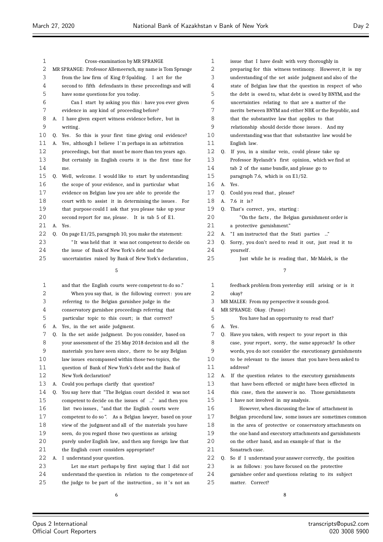$\equiv$ 

| 1    |    | Cross-examination by MR SPRANGE                           | 1    |    | issue that I have dealt with very thoroughly in          |
|------|----|-----------------------------------------------------------|------|----|----------------------------------------------------------|
| 2    |    | MR SPRANGE: Professor Allemeersch, my name is Tom Sprange | 2    |    | preparing for this witness testimony. However, it is my  |
| 3    |    | from the law firm of King & Spalding. I act for the       | 3    |    | understanding of the set aside judgment and also of the  |
| 4    |    | second to fifth defendants in these proceedings and will  | 4    |    | state of Belgian law that the question in respect of who |
| 5    |    | have some questions for you today.                        | 5    |    | the debt is owed to, what debt is owed by BNYM, and the  |
| 6    |    | Can I start by asking you this: have you ever given       | 6    |    | uncertainties relating to that are a matter of the       |
| 7    |    | evidence in any kind of proceeding before?                | 7    |    | merits between BNYM and either NBK or the Republic, and  |
| 8    |    | A. I have given expert witness evidence before, but in    | 8    |    | that the substantive law that applies to that            |
| 9    |    | writing.                                                  | 9    |    | relationship should decide those issues. And my          |
| 10   |    | Q. Yes. So this is your first time giving oral evidence?  | 10   |    | understanding was that that substantive law would be     |
| 11   | А. | Yes, although I believe I'm perhaps in an arbitration     | 11   |    | English law.                                             |
| 12   |    | proceedings, but that must be more than ten years ago.    | 12   | 0. | If you, in a similar vein, could please take up          |
| 13   |    | But certainly in English courts it is the first time for  | 13   |    | Professor Ryelandt's first opinion, which we find at     |
| 14   |    | me.                                                       | 14   |    | tab 2 of the same bundle, and please go to               |
| 15   | Q. | Well, welcome. I would like to start by understanding     | 15   |    | paragraph 7.6, which is on $E1/52$ .                     |
| 16   |    | the scope of your evidence, and in particular what        | 16   |    | A. Yes.                                                  |
| $17$ |    | evidence on Belgian law you are able to provide the       | 17   | O. | Could you read that, please?                             |
| 18   |    | court with to assist it in determining the issues. For    | 18   | A. | 7.6 it is?                                               |
| 19   |    | that purpose could I ask that you please take up your     | 19   | 0. | That's correct, yes, starting:                           |
| 20   |    | second report for me, please. It is tab 5 of E1.          | 20   |    | "On the facts, the Belgian garnishment order is          |
| 21   |    | A. Yes.                                                   | 21   |    | a protective garnishment."                               |
| 22   | 0. | On page E1/25, paragraph 10, you make the statement:      | 22   |    | A. "I am instructed that the Stati parties "             |
| 23   |    | "It was held that it was not competent to decide on       | 23   | 0. | Sorry, you don't need to read it out, just read it to    |
| 24   |    | the issue of Bank of New York's debt and the              | 24   |    | yourself.                                                |
| 25   |    | uncertainties raised by Bank of New York's declaration,   | 25   |    | Just while he is reading that, Mr Malek, is the          |
|      |    | 5                                                         |      |    | 7                                                        |
| 1    |    | and that the English courts were competent to do so."     | 1    |    | feedback problem from yesterday still arising or is it   |
| 2    |    | When you say that, is the following correct: you are      | 2    |    | okay?                                                    |
| 3    |    | referring to the Belgian garnishee judge in the           | 3    |    | MR MALEK: From my perspective it sounds good.            |
| 4    |    | conservatory garnishee proceedings referring that         | 4    |    | MR SPRANGE: Okay. (Pause)                                |
| 5    |    | particular topic to this court; is that correct?          | 5    |    | You have had an opportunity to read that?                |
| 6    |    | A. Yes, in the set aside judgment.                        | 6    |    | A. Yes.                                                  |
| 7    | Q. | In the set aside judgment. Do you consider, based on      | 7    |    | Q. Have you taken, with respect to your report in this   |
| 8    |    | your assessment of the 25 May 2018 decision and all the   | 8    |    | case, your report, sorry, the same approach? In other    |
| 9    |    | materials you have seen since, there to be any Belgian    | 9    |    | words, you do not consider the executionary garnishments |
| 10   |    | law issues encompassed within those two topics, the       | $10$ |    | to be relevant to the issues that you have been asked to |
| 11   |    | question of Bank of New York's debt and the Bank of       | 11   |    | address?                                                 |
| 12   |    | New York declaration?                                     | 12   | А. | If the question relates to the executory garnishments    |
| 13   | А. | Could you perhaps clarify that question?                  | 13   |    | that have been effected or might have been effected in   |
| 14   | Q. | You say here that "The Belgian court decided it was not   | 14   |    | this case, then the answer is no. Those garnishments     |
| 15   |    | competent to decide on the issues of " and then you       | 15   |    | I have not involved in my analysis.                      |
| 16   |    | list two issues, "and that the English courts were        | 16   |    | However, when discussing the law of attachment in        |
| 17   |    | competent to do so". As a Belgian lawyer, based on your   | 17   |    | Belgian procedural law, some issues are sometimes common |
| 18   |    | view of the judgment and all of the materials you have    | 18   |    | in the area of protective or conservatory attachments on |
| 19   |    | seen, do you regard those two questions as arising        | 19   |    | the one hand and executory attachments and garnishments  |
| 20   |    | purely under English law, and then any foreign law that   | 20   |    | on the other hand, and an example of that is the         |
| 21   |    | the English court considers appropriate?                  | 21   |    | Sonatrach case.                                          |
| 22   |    | A. I understand your question.                            | 22   | Q. | So if I understand your answer correctly, the position   |
| 23   |    | Let me start perhaps by first saying that I did not       | 23   |    | is as follows: you have focused on the protective        |
| 24   |    | understand the question in relation to the competence of  | 24   |    | garnishee order and questions relating to its subject    |
| 25   |    | the judge to be part of the instruction, so it's not an   | 25   |    | matter. Correct?                                         |
|      |    | 6                                                         |      |    | 8                                                        |

Ξ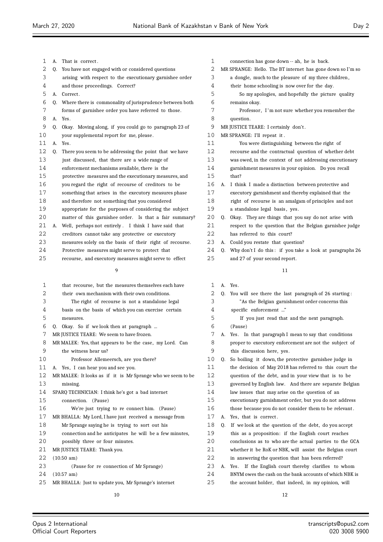| 1  | А. | That is correct.                                            | 1  |    | connection has gone down -- ah, he is back.                |
|----|----|-------------------------------------------------------------|----|----|------------------------------------------------------------|
| 2  | 0. | You have not engaged with or considered questions           | 2  |    | MR SPRANGE: Hello. The BT internet has gone down so I'm so |
| 3  |    | arising with respect to the executionary garnishee order    | 3  |    | a dongle, much to the pleasure of my three children,       |
| 4  |    | and those proceedings. Correct?                             | 4  |    | their home schooling is now over for the day.              |
| 5  |    | A. Correct.                                                 | 5  |    | So my apologies, and hopefully the picture quality         |
| 6  |    | Q. Where there is commonality of jurisprudence between both | 6  |    | remains okay.                                              |
| 7  |    | forms of garnishee order you have referred to those.        | 7  |    | Professor, I'm not sure whether you remember the           |
| 8  |    | A. Yes.                                                     | 8  |    | question.                                                  |
| 9  |    | Q. Okay. Moving along, if you could go to paragraph 23 of   | 9  |    | MR JUSTICE TEARE: I certainly don't.                       |
| 10 |    | your supplemental report for me, please.                    | 10 |    | MR SPRANGE: I'll repeat it.                                |
| 11 | A. | Yes.                                                        | 11 |    | You were distinguishing between the right of               |
| 12 | 0. | There you seem to be addressing the point that we have      | 12 |    | recourse and the contractual question of whether debt      |
| 13 |    | just discussed, that there are a wide range of              | 13 |    | was owed, in the context of not addressing executionary    |
| 14 |    | enforcement mechanisms available, there is the              | 14 |    | garnishment measures in your opinion. Do you recall        |
| 15 |    | protective measures and the executionary measures, and      | 15 |    | that?                                                      |
| 16 |    | you regard the right of recourse of creditors to be         | 16 | А. | I think I made a distinction between protective and        |
| 17 |    | something that arises in the executory measures phase       | 17 |    | executory garnishment and thereby explained that the       |
| 18 |    | and therefore not something that you considered             | 18 |    | right of recourse is an amalgam of principles and not      |
| 19 |    | appropriate for the purposes of considering the subject     | 19 |    | a standalone legal basis, yes.                             |
| 20 |    | matter of this garnishee order. Is that a fair summary?     | 20 |    | Q. Okay. They are things that you say do not arise with    |
| 21 | А. | Well, perhaps not entirely. I think I have said that        | 21 |    | respect to the question that the Belgian garnishee judge   |
| 22 |    | creditors cannot take any protective or executory           | 22 |    | has referred to this court?                                |
| 23 |    | measures solely on the basis of their right of recourse.    | 23 | A. | Could you restate that question?                           |
| 24 |    | Protective measures might serve to protect that             | 24 | 0. | Why don't I do this: if you take a look at paragraphs 26   |
| 25 |    | recourse, and executory measures might serve to effect      | 25 |    | and 27 of your second report.                              |
|    |    | 9                                                           |    |    | 11                                                         |
|    |    |                                                             |    |    |                                                            |
| 1  |    | that recourse, but the measures themselves each have        | 1  |    | A. Yes.                                                    |
| 2  |    | their own mechanism with their own conditions.              | 2  |    | Q. You will see there the last paragraph of 26 starting:   |
| 3  |    | The right of recourse is not a standalone legal             | 3  |    | "As the Belgian garnishment order concerns this            |
| 4  |    | basis on the basis of which you can exercise certain        | 4  |    | specific enforcement "                                     |
| 5  |    | measures.                                                   | 5  |    | If you just read that and the next paragraph.              |
| 6  |    | Q. Okay. So if we look then at paragraph                    | 6  |    | (Pause)                                                    |
| 7  |    | MR JUSTICE TEARE: We seem to have frozen.                   | 7  | А. | Yes. In that paragraph I mean to say that conditions       |
| 8  |    | MR MALEK: Yes, that appears to be the case, my Lord. Can    | 8  |    | proper to executory enforcement are not the subject of     |
| 9  |    | the witness hear us?                                        | 9  |    | this discussion here, yes.                                 |
| 10 |    | Professor Allemeersch, are you there?                       | 10 | 0. | So boiling it down, the protective garnishee judge in      |
| 11 |    | A. Yes, I can hear you and see you.                         | 11 |    | the decision of May 2018 has referred to this court the    |
| 12 |    | MR MALEK: It looks as if it is Mr Sprange who we seem to be | 12 |    | question of the debt, and in your view that is to be       |
| 13 |    | missing.                                                    | 13 |    | governed by English law. And there are separate Belgian    |

- SPARQ TECHNICIAN: I think he's got a bad internet connection. (Pause) We're just trying to re connect him. (Pause)
- MR BHALLA: My Lord, I have just received a message from
- Mr Sprange saying he is trying to sort out his connection and he anticipates he will be a few minutes,
- possibly three or four minutes.
- 21 MR JUSTICE TEARE: Thank you.
- (10.50 am)
- (Pause for re connection of Mr Sprange)
- (10.57 am) MR BHALLA: Just to update you, Mr Sprange's internet
	-

 Q. If we look at the question of the debt, do you accept this as a proposition: if the English court reaches conclusions as to who are the actual parties to the GCA whether it be RoK or NBK, will assist the Belgian court in answering the question that has been referred?

 A. Yes. If the English court thereby clarifies to whom BNYM owes the cash on the bank accounts of which NBK is the account holder, that indeed, in my opinion, will

 law issues that may arise on the question of an executionary garnishment order, but you do not address those because you do not consider them to be relevant .

A. Yes, that is correct .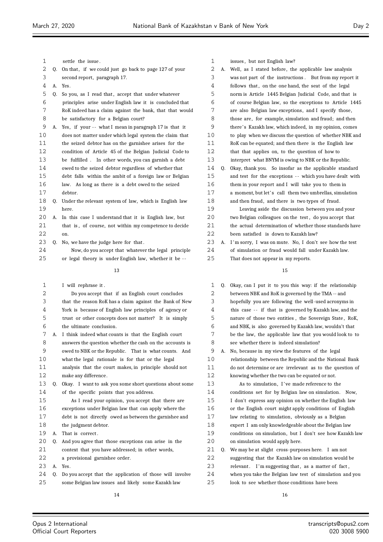| $\mathbf 1$ |    | settle the issue.                                         | 1  |    | issues, but not English law?                              |
|-------------|----|-----------------------------------------------------------|----|----|-----------------------------------------------------------|
| 2           | Q. | On that, if we could just go back to page 127 of your     | 2  | А. | Well, as I stated before, the applicable law analysis     |
| 3           |    | second report, paragraph 17.                              | 3  |    | was not part of the instructions. But from my report it   |
| 4           |    | A. Yes.                                                   | 4  |    | follows that, on the one hand, the seat of the legal      |
| 5           | Q. | So you, as I read that, accept that under whatever        | 5  |    | norm is Article 1445 Belgian Judicial Code, and that is   |
| 6           |    | principles arise under English law it is concluded that   | 6  |    | of course Belgian law, so the exceptions to Article 1445  |
| 7           |    | RoK indeed has a claim against the bank, that that would  | 7  |    | are also Belgian law exceptions, and I specify those,     |
| 8           |    | be satisfactory for a Belgian court?                      | 8  |    | those are, for example, simulation and fraud; and then    |
| 9           |    | A. Yes, if your -- what I mean in paragraph 17 is that it | 9  |    | there's Kazakh law, which indeed, in my opinion, comes    |
| 10          |    | does not matter under which legal system the claim that   | 10 |    | to play when we discuss the question of whether NBK and   |
| 11          |    | the seized debtor has on the garnishee arises for the     | 11 |    | RoK can be equated; and then there is the English law     |
| 12          |    | condition of Article 45 of the Belgian Judicial Code to   | 12 |    | that that applies on, to the question of how to           |
| 13          |    | be fulfilled. In other words, you can garnish a debt      | 13 |    | interpret what BNYM is owing to NBK or the Republic.      |
| 14          |    | owed to the seized debtor regardless of whether that      | 14 | Q. | Okay, thank you. So insofar as the applicable standard    |
| 15          |    | debt falls within the ambit of a foreign law or Belgian   | 15 |    | and test for the exceptions -- which you have dealt with  |
| 16          |    | law. As long as there is a debt owed to the seized        | 16 |    | them in your report and I will take you to them in        |
| 17          |    | debtor.                                                   | 17 |    | a moment, but let's call them two umbrellas, simulation   |
| 18          |    | Q. Under the relevant system of law, which is English law | 18 |    | and then fraud, and there is two types of fraud.          |
| 19          |    | here.                                                     | 19 |    | Leaving aside the discussion between you and your         |
| 20          |    | A. In this case I understand that it is English law, but  | 20 |    | two Belgian colleagues on the test, do you accept that    |
| 21          |    | that is, of course, not within my competence to decide    | 21 |    | the actual determination of whether those standards have  |
| 22          |    | on.                                                       | 22 |    | been satisfied is down to Kazakh law?                     |
| 23          |    | Q. No, we have the judge here for that.                   | 23 |    | A. I'm sorry, I was on mute. No, I don't see how the test |
| 24          |    | Now, do you accept that whatever the legal principle      | 24 |    | of simulation or fraud would fall under Kazakh law.       |
| 25          |    | or legal theory is under English law, whether it be --    | 25 |    | That does not appear in my reports.                       |
|             |    | 13                                                        |    |    | 15                                                        |
|             |    |                                                           |    |    |                                                           |
| 1           |    | I will rephrase it.                                       | 1  | Q. | Okay, can I put it to you this way: if the relationship   |
| 2           |    | Do you accept that if an English court concludes          | 2  |    | between NBK and RoK is governed by the TMA -- and         |
| 3           |    | that the reason RoK has a claim against the Bank of New   | 3  |    | hopefully you are following the well-used acronyms in     |
| 4           |    | York is because of English law principles of agency or    | 4  |    | this case -- if that is governed by Kazakh law, and the   |
| 5           |    | trust or other concepts does not matter? It is simply     | 5  |    | nature of those two entities, the Sovereign State, RoK,   |
| 6           |    | the ultimate conclusion.                                  | 6  |    | and NBK, is also governed by Kazakh law, wouldn't that    |
| 7           |    | A. I think indeed what counts is that the English court   | 7  |    | be the law, the applicable law that you would look to to  |
| 8           |    | answers the question whether the cash on the accounts is  | 8  |    | see whether there is  indeed simulation?                  |
| 9           |    | owed to NBK or the Republic. That is what counts. And     | 9  |    | A. No, because in my view the features of the legal       |
| $10$        |    | what the legal rationale is for that or the legal         | 10 |    | relationship between the Republic and the National Bank   |
| 11          |    | analysis that the court makes, in principle should not    | 11 |    | do not determine or are irrelevant as to the question of  |
| 12          |    | make any difference.                                      | 12 |    | knowing whether the two can be equated or not.            |
| 13          | Q. | Okay. I want to ask you some short questions about some   | 13 |    | As to simulation, I've made reference to the              |
| 14          |    | of the specific points that you address.                  | 14 |    | conditions set for by Belgian law on simulation. Now,     |
| 15          |    | As I read your opinion, you accept that there are         | 15 |    | I don't express any opinion on whether the English law    |
| 16          |    | exceptions under Belgian law that can apply where the     | 16 |    | or the English court might apply conditions of English    |
| 17          |    | debt is not directly owed as between the garnishee and    | 17 |    | law relating to simulation, obviously as a Belgian        |
| 18          |    | the judgment debtor.                                      | 18 |    | expert I am only knowledgeable about the Belgian law      |
| 19          |    | A. That is correct.                                       | 19 |    | conditions on simulation, but I don't see how Kazakh law  |
|             |    |                                                           |    |    |                                                           |
| 20          | Q. | And you agree that those exceptions can arise in the      | 20 |    | on simulation would apply here.                           |
| 21          |    | context that you have addressed; in other words,          | 21 | Q. | We may be at slight cross-purposes here. I am not         |
| 22          |    | a provisional garnishee order.                            | 22 |    | suggesting that the Kazakh law on simulation would be     |
| 23          |    | A. Yes.                                                   | 23 |    | relevant. I'm suggesting that, as a matter of fact,       |
| 24          | Q. | Do you accept that the application of those will involve  | 24 |    | when you take the Belgian law test of simulation and you  |
| 25          |    | some Belgian law issues and likely some Kazakh law        | 25 |    | look to see whether those conditions have been            |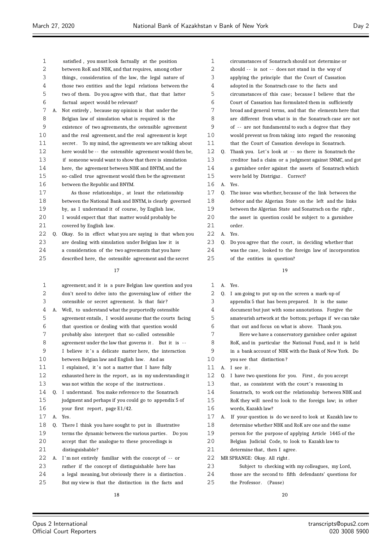| 1<br>satisfied, you must look factually at the position             |  |
|---------------------------------------------------------------------|--|
| 2<br>between RoK and NBK, and that requires, among other            |  |
| 3<br>things, consideration of the law, the legal nature of          |  |
| 4<br>those two entities and the legal relations between the         |  |
| 5<br>two of them. Do you agree with that, that that latter          |  |
| 6<br>factual aspect would be relevant?                              |  |
| 7<br>Not entirely, because my opinion is that under the<br>A.       |  |
| 8<br>Belgian law of simulation what is required is the              |  |
| 9<br>existence of two agreements, the ostensible agreement          |  |
| 10<br>and the real agreement, and the real agreement is kept        |  |
| 11<br>secret.<br>To my mind, the agreements we are talking about    |  |
| 12<br>here would be -- the ostensible agreement would then be,      |  |
| 13<br>if someone would want to show that there is simulation        |  |
| 14<br>here, the agreement between NBK and BNYM, and the             |  |
| 15<br>so-called true agreement would then be the agreement          |  |
| 16<br>between the Republic and BNYM.                                |  |
| 17<br>As those relationships, at least the relationship             |  |
| 18<br>between the National Bank and BNYM, is clearly governed       |  |
| 19<br>by, as I understand it of course, by English law,             |  |
| 20<br>I would expect that that matter would probably be             |  |
| 21<br>covered by English law.                                       |  |
| 22<br>Okay. So in effect what you are saying is that when you<br>0. |  |
| 23<br>are dealing with simulation under Belgian law it is           |  |
| 24<br>a consideration of the two agreements that you have           |  |
| 25<br>described here, the ostensible agreement and the secret       |  |
|                                                                     |  |
| 17                                                                  |  |
| 1<br>agreement; and it is a pure Belgian law question and you       |  |
| 2<br>don't need to delve into the governing law of either the       |  |
| 3<br>ostensible or secret agreement. Is that fair?                  |  |
| 4<br>Well, to understand what the purportedly ostensible<br>А.      |  |
| 5<br>agreement entails, I would assume that the courts facing       |  |
| 6<br>that question or dealing with that question would              |  |
| 7<br>probably also interpret that so-called ostensible              |  |
| 8<br>agreement under the law that governs it. But it is --          |  |
| 9<br>I believe it's a delicate matter here, the interaction         |  |

 between Belgian law and English law. And as 11 I explained, it's not a matter that I have fully 12 exhausted here in the report, as in my understanding it was not within the scope of the instructions . Q. I understand. You make reference to the Sonatrach judgment and perhaps if you could go to appendix 5 of 16 your first report, page E1/42. A. Yes. Q. There I think you have sought to put in illustrative terms the dynamic between the various parties . Do you accept that the analogue to these proceedings is distinguishable ? 22 A. I'm not entirely familiar with the concept of -- or rather if the concept of distinguishable here has

a legal meaning, but obviously there is a distinction .

But my view is that the distinction in the facts and

| $\mathbf 1$ |    | circumstances of Sonatrach should not determine or       |
|-------------|----|----------------------------------------------------------|
| 2           |    | should -- is not -- does not stand in the way of         |
| 3           |    | applying the principle that the Court of Cassation       |
| 4           |    | adopted in the Sonatrach case to the facts and           |
| 5           |    | circumstances of this case; because I believe that the   |
| 6           |    | Court of Cassation has formulated them in sufficiently   |
| 7           |    | broad and general terms, and that the elements here that |
| 8           |    | are different from what is in the Sonatrach case are not |
| 9           |    | of -- are not fundamental to such a degree that they     |
| 10          |    | would prevent us from taking into regard the reasoning   |
| 11          |    | that the Court of Cassation develops in Sonatrach.       |
| 12          | Q. | Thank you. Let's look at -- so there in Sonatrach the    |
| 13          |    | creditor had a claim or a judgment against SNMC, and got |
| 14          |    | a garnishee order against the assets of Sonatrach which  |
| 15          |    | were held by Distrigaz. Correct?                         |
| 16          | A. | Yes.                                                     |
| 17          | Q. | The issue was whether, because of the link between the   |
| 18          |    | debtor and the Algerian State on the left and the links  |
| 19          |    | between the Algerian State and Sonatrach on the right,   |
| 20          |    | the asset in question could be subject to a garnishee    |
| 21          |    | order.                                                   |
| 22          | А. | Yes.                                                     |
| 23          | Q. | Do you agree that the court, in deciding whether that    |
| 24          |    | was the case, looked to the foreign law of incorporation |
| 25          |    | of the entities in question?                             |

| $\mathbf 1$ | A. | Yes.                                                     |
|-------------|----|----------------------------------------------------------|
| 2           | 0. | I am going to put up on the screen a mark-up of          |
| 3           |    | appendix 5 that has been prepared. It is the same        |
| 4           |    | document but just with some annotations. Forgive the     |
| 5           |    | amateurish artwork at the bottom; perhaps if we can take |
| 6           |    | that out and focus on what is above. Thank you.          |
| 7           |    | Here we have a conservatory garnishee order against      |
| 8           |    | RoK, and in particular the National Fund, and it is held |
| 9           |    | in a bank account of NBK with the Bank of New York. Do   |
| 10          |    | you see that distinction?                                |
| 11          | A. | I see it.                                                |
| 12          | Q. | I have two questions for you. First, do you accept       |
| 13          |    | that, as consistent with the court's reasoning in        |
| 14          |    | Sonatrach, to work out the relationship between NBK and  |
| 15          |    | RoK they will need to look to the foreign law; in other  |
| 16          |    | words, Kazakh law?                                       |
| 17          | A. | If your question is do we need to look at Kazakh law to  |
| 18          |    | determine whether NBK and RoK are one and the same       |
| 19          |    | person for the purpose of applying Article 1445 of the   |
| 20          |    | Belgian Judicial Code, to look to Kazakh law to          |
| 21          |    | determine that, then I agree.                            |
| 22          |    | MR SPRANGE: Okay. All right.                             |
| 23          |    | Subject to checking with my colleagues, my Lord,         |
| 24          |    | those are the second to fifth defendants' questions for  |
| 25          |    | the Professor.<br>(Pause)                                |
|             |    |                                                          |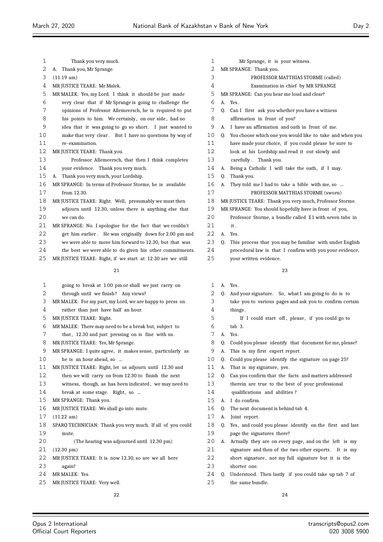| 1  | Thank you very much.                                       | 1  |
|----|------------------------------------------------------------|----|
| 2  | Thank you, Mr Sprange.<br>А.                               | 2  |
| 3  | $(11.19 \text{ am})$                                       | 3  |
| 4  | MR JUSTICE TEARE: Mr Malek.                                | 4  |
| 5  | MR MALEK: Yes, my Lord. I think it should be just made     | 5  |
| 6  | very clear that if Mr Sprange is going to challenge the    | 6  |
| 7  | opinions of Professor Allemeersch, he is required to put   | 7  |
| 8  | his points to him. We certainly, on our side, had no       | 8  |
| 9  | idea that it was going to go so short. I just wanted to    | 9  |
| 10 | make that very clear. But I have no questions by way of    | 10 |
| 11 | re-examination.                                            | 11 |
| 12 | MR JUSTICE TEARE: Thank you.                               | 12 |
| 13 | Professor Allemeersch, that then I think completes         | 13 |
| 14 | your evidence. Thank you very much.                        | 14 |
| 15 | Thank you very much, your Lordship.<br>А.                  | 15 |
| 16 | MR SPRANGE: In terms of Professor Storme, he is available  | 16 |
| 17 | from 12.30.                                                | 17 |
| 18 | MR JUSTICE TEARE: Right. Well, presumably we must then     | 18 |
| 19 | adjourn until 12.30, unless there is anything else that    | 19 |
| 20 | we can do.                                                 | 20 |
| 21 | MR SPRANGE: No. I apologise for the fact that we couldn't  | 21 |
| 22 | get him earlier. He was originally down for 2.00 pm and    | 22 |
| 23 | we were able to move him forward to 12.30, but that was    | 23 |
| 24 | the best we were able to do given his other commitments.   | 24 |
| 25 | MR JUSTICE TEARE: Right, if we start at 12.30 are we still | 25 |
|    | 21                                                         |    |
|    |                                                            |    |
| 1  | going to break at 1.00 pm or shall we just carry on        | 1  |
| 2  | through until we finish? Any views?                        | 2  |
| 3  | MR MALEK: For my part, my Lord, we are happy to press on   | 3  |
| 4  | rather than just have half an hour.                        | 4  |
| 5  | MR JUSTICE TEARE: Right.                                   | 5  |
| 6  | MR MALEK: There may need to be a break but, subject to     | 6  |
| 7  | that, 12.30 and just pressing on is fine with us.          | 7  |
| 8  | MR JUSTICE TEARE: Yes, Mr Sprange.                         | 8  |
| 9  | MR SPRANGE: I quite agree, it makes sense, particularly as | 9  |
| 10 | he is an hour ahead, so                                    | 10 |
| 11 | MR JUSTICE TEARE: Right, let us adjourn until 12.30 and    | 11 |
| 12 | then we will carry on from 12.30 to finish the next        | 12 |
| 13 | witness, though, as has been indicated, we may need to     | 13 |
| 14 | break at some stage. Right, so                             | 14 |
| 15 | MR SPRANGE: Thank you.                                     | 15 |
| 16 | MR JUSTICE TEARE: We shall go into mute.                   | 16 |
| 17 | $(11.22 \text{ am})$                                       | 17 |
| 18 | SPARQ TECHNICIAN: Thank you very much. If all of you could | 18 |
| 19 | mute.                                                      | 19 |
| 20 | (The hearing was adjourned until 12.30 pm)                 | 20 |

(12.30 pm)

- MR JUSTICE TEARE: It is now 12.30, so are we all here
- again? MR MALEK: Yes.
- MR JUSTICE TEARE: Very well.

| 1  | Mr Sprange, it is your witness. |                                                             |  |
|----|---------------------------------|-------------------------------------------------------------|--|
| 2  | MR SPRANGE: Thank you.          |                                                             |  |
| 3  |                                 | PROFESSOR MATTHIAS STORME (called)                          |  |
| 4  |                                 | Examination in-chief by MR SPRANGE                          |  |
| 5  |                                 | MR SPRANGE: Can you hear me loud and clear?                 |  |
| 6  | A <sub>1</sub>                  | Yes.                                                        |  |
| 7  | 0.                              | Can I first ask you whether you have a witness              |  |
| 8  |                                 | affirmation in front of you?                                |  |
| 9  | А.                              | I have an affirmation and oath in front of me.              |  |
| 10 |                                 | Q. You choose which one you would like to take and when you |  |
| 11 |                                 | have made your choice, if you could please be sure to       |  |
| 12 |                                 | look at his Lordship and read it out slowly and             |  |
| 13 |                                 | carefully. Thank you.                                       |  |
| 14 | А.                              | Being a Catholic I will take the oath, if I may.            |  |
| 15 | 0.                              | Thank you.                                                  |  |
| 16 | А.                              | They told me I had to take a bible with me, so              |  |
| 17 |                                 | PROFESSOR MATTHIAS STORME (sworn)                           |  |
| 18 |                                 | MR JUSTICE TEARE: Thank you very much, Professor Storme.    |  |
| 19 |                                 | MR SPRANGE: You should hopefully have in front of you,      |  |
| 20 |                                 | Professor Storme, a bundle called E1 with seven tabs in     |  |
| 21 |                                 | it.                                                         |  |
| 22 | А.                              | Yes.                                                        |  |
| 23 | 0.                              | This process that you may be familiar with under English    |  |
| 24 |                                 | procedural law is that I confirm with you your evidence,    |  |
| 25 |                                 | your written evidence.                                      |  |
|    |                                 | 23                                                          |  |
|    |                                 |                                                             |  |

- A. Yes.
- Q. And your signature. So, what I am going to do is to
- take you to various pages and ask you to confirm certain things.
- If I could start off, please, if you could go to
- tab 3.
- A. Yes.
- Q. Could you please identify that document for me, please?
- A. This is my first expert report.
- Q. Could you please identify the signature on page 25?
- A. That is my signature, yes.
- Q. Can you confirm that the facts and matters addressed therein are true to the best of your professional qualifications and abilities?
- A. I do confirm.
- Q. The next document is behind tab 4.
- A. Joint report.
- Q. Yes, and could you please identify on the first and last page the signatures there?
- A. Actually they are on every page, and on the left is my 21 signature and then of the two other experts. It is my short signature , not my full signature but it is the
- shorter one.
- Q. Understood. Then lastly if you could take up tab 7 of the same bundle.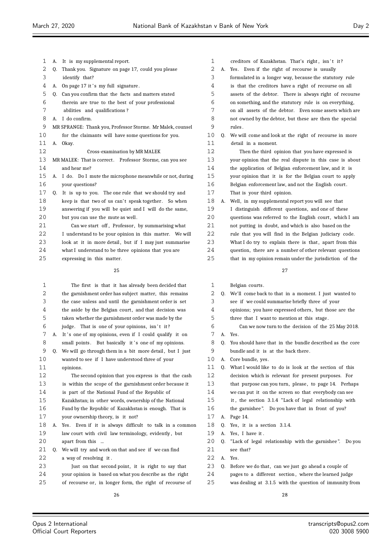| 1      | А. | It is my supplemental report.                              | 1  |
|--------|----|------------------------------------------------------------|----|
| 2      | Q. | Thank you. Signature on page 17, could you please          | 2  |
| 3      |    | identify that?                                             | 3  |
| 4      | А. | On page 17 it's my full signature.                         | 4  |
| 5      | Q. | Can you confirm that the facts and matters stated          | 5  |
| 6      |    | therein are true to the best of your professional          | 6  |
| 7      |    | abilities and qualifications?                              | 7  |
| 8      | А. | I do confirm.                                              | 8  |
| 9      |    | MR SPRANGE: Thank you, Professor Storme. Mr Malek, counsel | 9  |
| 10     |    | for the claimants will have some questions for you.        | 10 |
| 11     | А. | Okay.                                                      | 11 |
| 12     |    | Cross-examination by MR MALEK                              | 12 |
| 13     |    | MR MALEK: That is correct. Professor Storme, can you see   | 13 |
| 14     |    | and hear me?                                               | 14 |
| 15     | А. | I do. Do I mute the microphone meanwhile or not, during    | 15 |
| 16     |    | your questions?                                            | 16 |
| 17     | Q. | It is up to you. The one rule that we should try and       | 17 |
| 18     |    | keep is that two of us can't speak together. So when       | 18 |
| 19     |    | answering if you will be quiet and I will do the same,     | 19 |
| 20     |    | but you can use the mute as well.                          | 20 |
| 21     |    | Can we start off, Professor, by summarising what           | 21 |
| 22     |    | I understand to be your opinion in this matter. We will    | 22 |
| 23     |    | look at it in more detail, but if I may just summarise     | 23 |
| 24     |    | what I understand to be three opinions that you are        | 24 |
| 25     |    | expressing in this matter.                                 | 25 |
|        |    | 25                                                         |    |
| 1      |    | The first is that it has already been decided that         | 1  |
| $\sim$ |    |                                                            |    |

| 1  |    | The first is that it has already been decided that       |
|----|----|----------------------------------------------------------|
| 2  |    | the garnishment order has subject matter, this remains   |
| 3  |    | the case unless and until the garnishment order is set   |
| 4  |    | the aside by the Belgian court, and that decision was    |
| 5  |    | taken whether the garnishment order was made by the      |
| 6  |    | judge. That is one of your opinions, isn't it?           |
| 7  | А. | It's one of my opinions, even if I could qualify it on   |
| 8  |    | small points. But basically it's one of my opinions.     |
| 9  | Q. | We will go through them in a bit more detail, but I just |
| 10 |    | wanted to see if I have understood three of your         |
| 11 |    | opinions.                                                |
| 12 |    | The second opinion that you express is that the cash     |
| 13 |    | is within the scope of the garnishment order because it  |
| 14 |    | is part of the National Fund of the Republic of          |
| 15 |    | Kazakhstan; in other words, ownership of the National    |
| 16 |    | Fund by the Republic of Kazakhstan is enough. That is    |
| 17 |    | your ownership theory, is it not?                        |
| 18 | А. | Yes. Even if it is always difficult to talk in a common  |
| 19 |    | law court with civil law terminology, evidently, but     |
| 20 |    | apart from this                                          |
| 21 | 0. | We will try and work on that and see if we can find      |
| 22 |    | a way of resolving it.                                   |
| 23 |    | Just on that second point, it is right to say that       |
| 24 |    | your opinion is based on what you describe as the right  |
| 25 |    | of recourse or, in longer form, the right of recourse of |

 A. Yes. Even if the right of recourse is usually formulated in a longer way, because the statutory rule is that the creditors have a right of recourse on all assets of the debtor. There is always right of recourse on something, and the statutory rule is on everything, on all assets of the debtor. Even some assets which are not owned by the debtor, but these are then the special rules . Q. We will come and look at the right of recourse in more detail in a moment. Then the third opinion that you have expressed is your opinion that the real dispute in this case is about the application of Belgian enforcement law, and it is your opinion that it is for the Belgian court to apply Belgian enforcement law, and not the English court. That is your third opinion. A. Well, in my supplemental report you will see that

creditors of Kazakhstan. That's right, isn't it?

I distinguish different questions, and one of these questions was referred to the English court, which I am not putting in doubt, and which is also based on the rule that you will find in the Belgian judiciary code. What I do try to explain there is that, apart from this question, there are a number of other relevant questions that in my opinion remain under the jurisdiction of the

| 1  |    | Belgian courts.                                            |
|----|----|------------------------------------------------------------|
| 2  |    | Q. We'll come back to that in a moment. I just wanted to   |
| 3  |    | see if we could summarise briefly three of your            |
| 4  |    | opinions; you have expressed others, but those are the     |
| 5  |    | three that I want to mention at this stage.                |
| 6  |    | Can we now turn to the decision of the 25 May 2018.        |
| 7  | A. | Yes.                                                       |
| 8  | 0. | You should have that in the bundle described as the core   |
| 9  |    | bundle and it is at the back there.                        |
| 10 | А. | Core bundle, yes.                                          |
| 11 | 0. | What I would like to do is look at the section of this     |
| 12 |    | decision which is relevant for present purposes. For       |
| 13 |    | that purpose can you turn, please, to page 14. Perhaps     |
| 14 |    | we can put it on the screen so that everybody can see      |
| 15 |    | it, the section 3.1.4 "Lack of legal relationship with     |
| 16 |    | the garnishee". Do you have that in front of you?          |
| 17 | А. | Page 14.                                                   |
| 18 | 0. | Yes, it is a section 3.1.4.                                |
| 19 | A. | Yes, I have it.                                            |
| 20 | 0. | "Lack of legal relationship with the garnishee".<br>Do you |
| 21 |    | see that?                                                  |
| 22 | А. | Yes.                                                       |
| 23 | 0. | Before we do that, can we just go ahead a couple of        |
| 24 |    | pages to a different section, where the learned judge      |
| 25 |    | was dealing at 3.1.5 with the question of immunity from    |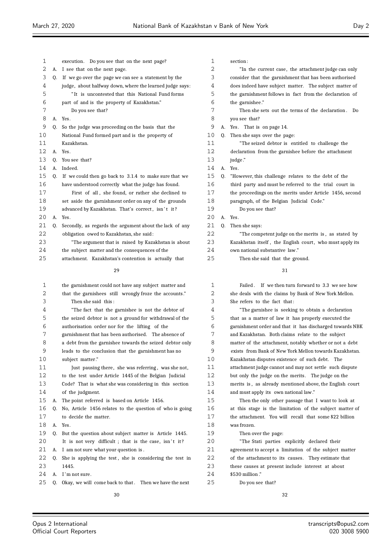| 1  |    | execution. Do you see that on the next page?             |
|----|----|----------------------------------------------------------|
| 2  | А. | I see that on the next page.                             |
| 3  | 0. | If we go over the page we can see a statement by the     |
| 4  |    | judge, about halfway down, where the learned judge says: |
| 5  |    | "It is uncontested that this National Fund forms         |
| 6  |    | part of and is the property of Kazakhstan."              |
| 7  |    | Do you see that?                                         |
| 8  | А. | Yes.                                                     |
| 9  | 0. | So the judge was proceeding on the basis that the        |
| 10 |    | National Fund formed part and is the property of         |
| 11 |    | Kazakhstan.                                              |
| 12 | A. | Yes.                                                     |
| 13 | 0. | You see that?                                            |
| 14 | A. | Indeed.                                                  |
| 15 | 0. | If we could then go back to 3.1.4 to make sure that we   |
| 16 |    | have understood correctly what the judge has found.      |
| 17 |    | First of all, she found, or rather she declined to       |
| 18 |    | set aside the garnishment order on any of the grounds    |
| 19 |    | advanced by Kazakhstan. That's correct, isn't it?        |
| 20 | A. | Yes.                                                     |
| 21 | 0. | Secondly, as regards the argument about the lack of any  |
| 22 |    | obligation owed to Kazakhstan, she said:                 |
| 23 |    | "The argument that is raised by Kazakhstan is about      |
| 24 |    | the subject matter and the consequences of the           |
| 25 |    | attachment. Kazakhstan's contention is actually that     |

| 1  |    | the garnishment could not have any subject matter and    |
|----|----|----------------------------------------------------------|
| 2  |    | that the garnishees still wrongly froze the accounts."   |
| 3  |    | Then she said this:                                      |
| 4  |    | "The fact that the garnishee is not the debtor of        |
| 5  |    | the seized debtor is not a ground for withdrawal of the  |
| 6  |    | authorisation order nor for the lifting of the           |
| 7  |    | garnishment that has been authorised. The absence of     |
| 8  |    | a debt from the garnishee towards the seized debtor only |
| 9  |    | leads to the conclusion that the garnishment has no      |
| 10 |    | subject matter."                                         |
| 11 |    | Just pausing there, she was referring, was she not,      |
| 12 |    | to the test under Article 1445 of the Belgian Judicial   |
| 13 |    | Code? That is what she was considering in this section   |
| 14 |    | of the judgment.                                         |
| 15 | А. | The point referred is based on Article 1456.             |
| 16 | 0. | No, Article 1456 relates to the question of who is going |
| 17 |    | to decide the matter.                                    |
| 18 | A. | Yes.                                                     |
| 19 | 0. | But the question about subject matter is Article 1445.   |
| 20 |    | It is not very difficult; that is the case, isn't it?    |
| 21 | А. | I am not sure what your question is.                     |
| 22 | 0. | She is applying the test, she is considering the test in |
| 23 |    | 1445.                                                    |
| 24 | А. | I'm not sure.                                            |
| 25 | 0. | Okay, we will come back to that. Then we have the next   |
|    |    | 30                                                       |
|    |    |                                                          |

| 1  |    | section:                                                 |
|----|----|----------------------------------------------------------|
| 2  |    | "In the current case, the attachment judge can only      |
| 3  |    | consider that the garnishment that has been authorised   |
| 4  |    | does indeed have subject matter. The subject matter of   |
| 5  |    | the garnishment follows in fact from the declaration of  |
| 6  |    | the garnishee."                                          |
| 7  |    | Then she sets out the terms of the declaration.<br>Do    |
| 8  |    | you see that?                                            |
| 9  |    | A. Yes. That is on page 14.                              |
| 10 | 0. | Then she says over the page:                             |
| 11 |    | "The seized debtor is entitled to challenge the          |
| 12 |    | declaration from the garnishee before the attachment     |
| 13 |    | judge."                                                  |
| 14 | A. | Yes.                                                     |
| 15 | 0. | "However, this challenge relates to the debt of the      |
| 16 |    | third party and must be referred to the trial court in   |
| 17 |    | the proceedings on the merits under Article 1456, second |
| 18 |    | paragraph, of the Belgian Judicial Code."                |
| 19 |    | Do you see that?                                         |
| 20 |    | A. Yes.                                                  |
| 21 | 0. | Then she says:                                           |
| 22 |    | "The competent judge on the merits is, as stated by      |
| 23 |    | Kazakhstan itself, the English court, who must apply its |

 own national substantive law ." Then she said that the ground.

| $\mathbf{1}$ | Failed. If we then turn forward to 3.3 we see how        |
|--------------|----------------------------------------------------------|
| 2            | she deals with the claims by Bank of New York Mellon.    |
| 3            | She refers to the fact that:                             |
| 4            | "The garnishee is seeking to obtain a declaration        |
| 5            | that as a matter of law it has properly executed the     |
| 6            | garnishment order and that it has discharged towards NBK |
| 7            | and Kazakhstan. Both claims relate to the subject        |
| 8            | matter of the attachment, notably whether or not a debt  |
| 9            | exists from Bank of New York Mellon towards Kazakhstan.  |
| 10           | Kazakhstan disputes existence of such debt. The          |
| 11           | attachment judge cannot and may not settle such dispute  |
| 12           | but only the judge on the merits. The judge on the       |
| 13           | merits is, as already mentioned above, the English court |
| 14           | and must apply its own national law."                    |
| 15           | Then the only other passage that I want to look at       |
| 16           | at this stage is the limitation of the subject matter of |
| 17           | the attachment. You will recall that some \$22 billion   |
| 18           | was frozen.                                              |
| 19           | Then over the page:                                      |
| 20           | "The Stati parties explicitly declared their             |
| 21           | agreement to accept a limitation of the subject matter   |
| 22           | of the attachment to its causes. They estimate that      |
| 23           | these causes at present include interest at about        |
| 2.4          | $$530$ million."                                         |
| 25           | Do you see that?                                         |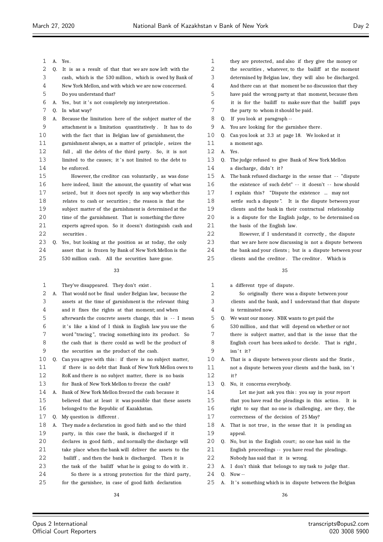- A. Yes.
- Q. It is as a result of that that we are now left with the
- cash, which is the 530 million , which is owed by Bank of New York Mellon, and with which we are now concerned.
- Do you understand that?
- 6 A. Yes, but it's not completely my interpretation.
- Q. In what way?

 A. Because the limitation here of the subject matter of the attachment is a limitation quantitatively . It has to do with the fact that in Belgian law of garnishment, the garnishment always, as a matter of principle , seizes the full , all the debts of the third party. So, it is not 13 limited to the causes: it's not limited to the debt to be enforced.

 However, the creditor can voluntarily , as was done here indeed, limit the amount, the quantity of what was 17 seized, but it does not specify in any way whether this relates to cash or securities ; the reason is that the subject matter of the garnishment is determined at the

- time of the garnishment. That is something the three
- experts agreed upon. So it doesn't distinguish cash and securities .
- Q. Yes, but looking at the position as at today, the only asset that is frozen by Bank of New York Mellon is the
- 530 million cash. All the securities have gone.

| 1  |    | They've disappeared. They don't exist.                   |
|----|----|----------------------------------------------------------|
| 2  | А. | That would not be final under Belgian law, because the   |
| 3  |    | assets at the time of garnishment is the relevant thing  |
| 4  |    | and it fixes the rights at that moment; and when         |
| 5  |    | afterwards the concrete assets change, this is -- I mean |
| 6  |    | it's like a kind of I think in English law you use the   |
| 7  |    | word "tracing", tracing something into its product. So   |
| 8  |    | the cash that is there could as well be the product of   |
| 9  |    | the securities as the product of the cash.               |
| 10 | 0. | Can you agree with this: if there is no subject matter,  |
| 11 |    | if there is no debt that Bank of New York Mellon owes to |
| 12 |    | RoK and there is no subject matter, there is no basis    |
| 13 |    | for Bank of New York Mellon to freeze the cash?          |
| 14 | А. | Bank of New York Mellon freezed the cash because it      |
| 15 |    | believed that at least it was possible that these assets |
| 16 |    | belonged to the Republic of Kazakhstan.                  |
| 17 | 0. | My question is different.                                |
| 18 | А. | They made a declaration in good faith and so the third   |
| 19 |    | party, in this case the bank, is discharged if it        |
| 20 |    | declares in good faith, and normally the discharge will  |
| 21 |    | take place when the bank will deliver the assets to the  |
| 22 |    | bailiff, and then the bank is discharged. Then it is     |
| 23 |    | the task of the bailiff what he is going to do with it.  |
| 24 |    | So there is a strong protection for the third party,     |
| 25 |    | for the garnishee, in case of good faith declaration     |

| 2  |    | the securities, whatever, to the bailiff at the moment   |
|----|----|----------------------------------------------------------|
| 3  |    | determined by Belgian law, they will also be discharged. |
| 4  |    | And there can at that moment be no discussion that they  |
| 5  |    | have paid the wrong party at that moment, because then   |
| 6  |    | it is for the bailiff to make sure that the bailiff pays |
| 7  |    | the party to whom it should be paid.                     |
| 8  | 0. | If you look at paragraph --                              |
| 9  | А. | You are looking for the garnishee there.                 |
| 10 | 0. | Can you look at 3.3 at page 18. We looked at it          |
| 11 |    | a moment ago.                                            |
| 12 | A. | Yes.                                                     |
| 13 | 0. | The judge refused to give Bank of New York Mellon        |
| 14 |    | a discharge, didn't it?                                  |
| 15 | А. | The bank refused discharge in the sense that -- "dispute |
| 16 |    | the existence of such debt" -- it doesn't -- how should  |
| 17 |    | I explain this? "Dispute the existence  may not          |
| 18 |    | settle such a dispute". It is the dispute between your   |
| 19 |    | clients and the bank in their contractual relationship   |
| 20 |    | is a dispute for the English judge, to be determined on  |
| 21 |    | the basis of the English law.                            |
| 22 |    | However, if I understand it correctly, the dispute       |
| 23 |    | that we are here now discussing is not a dispute between |

they are protected, and also if they give the money or

### 

 the bank and your clients ; but is a dispute between your 25 clients and the creditor. The creditor. Which is

| 1  |    | a different type of dispute.                             |
|----|----|----------------------------------------------------------|
| 2  |    | So originally there was a dispute between your           |
| 3  |    | clients and the bank, and I understand that that dispute |
| 4  |    | is terminated now.                                       |
| 5  | Q. | We want our money. NBK wants to get paid the             |
| 6  |    | 530 million, and that will depend on whether or not      |
| 7  |    | there is subject matter, and that is the issue that the  |
| 8  |    | English court has been asked to decide. That is right,   |
| 9  |    | $isn't$ it?                                              |
| 10 | А. | That is a dispute between your clients and the Statis,   |
| 11 |    | not a dispute between your clients and the bank, isn't   |
| 12 |    | it?                                                      |
| 13 | Q. | No, it concerns everybody.                               |
| 14 |    | Let me just ask you this: you say in your report         |
| 15 |    | that you have read the pleadings in this action. It is   |
| 16 |    | right to say that no one is challenging, are they, the   |
| 17 |    | correctness of the decision of 25 May?                   |
| 18 | А. | That is not true, in the sense that it is pending an     |
| 19 |    | appeal.                                                  |

Q. No, but in the English court; no one has said in the

- English proceedings - you have read the pleadings.
- Nobody has said that it is wrong.
- A. I don't think that belongs to my task to judge that .
- Q. Now --
- 25 A. It's something which is in dispute between the Belgian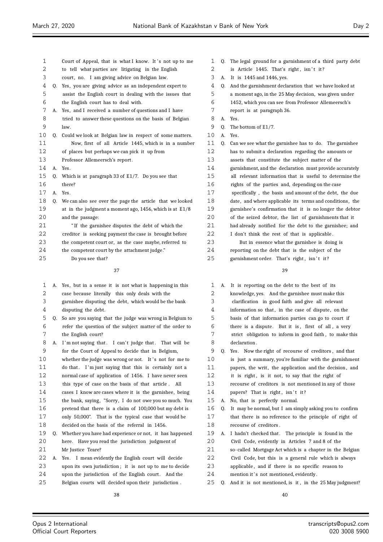| 1  |    | Court of Appeal, that is what I know. It's not up to me      | 1  |    | Q. The legal ground for a garnishment of a third party debt |
|----|----|--------------------------------------------------------------|----|----|-------------------------------------------------------------|
| 2  |    | to tell what parties are litigating in the English           | 2  |    | is Article 1445. That's right, isn't it?                    |
| 3  |    | court, no. I am giving advice on Belgian law.                | 3  |    | A. It is 1445 and 1446, yes.                                |
| 4  | Q. | Yes, you are giving advice as an independent expert to       | 4  | 0. | And the garnishment declaration that we have looked at      |
| 5  |    | assist the English court in dealing with the issues that     | 5  |    | a moment ago, in the 25 May decision, was given under       |
| 6  |    | the English court has to deal with.                          | 6  |    | 1452, which you can see from Professor Allemeersch's        |
| 7  | А. | Yes, and I received a number of questions and I have         | 7  |    | report is at paragraph 36.                                  |
| 8  |    | tried to answer these questions on the basis of Belgian      | 8  |    | A. Yes.                                                     |
| 9  |    | law.                                                         | 9  | 0. | The bottom of E1/7.                                         |
| 10 | 0. | Could we look at Belgian law in respect of some matters.     | 10 |    | A. Yes.                                                     |
| 11 |    | Now, first of all Article 1445, which is in a number         | 11 | Q. | Can we see what the garnishee has to do. The garnishee      |
| 12 |    | of places but perhaps we can pick it up from                 | 12 |    | has to submit a declaration regarding the amounts or        |
| 13 |    | Professor Allemeersch's report.                              | 13 |    | assets that constitute the subject matter of the            |
| 14 |    | A. Yes.                                                      | 14 |    | garnishment, and the declaration must provide accurately    |
| 15 | O. | Which is at paragraph 33 of $E1/7$ . Do you see that         | 15 |    | all relevant information that is useful to determine the    |
| 16 |    | there?                                                       | 16 |    | rights of the parties and, depending on the case            |
| 17 |    | A. Yes.                                                      | 17 |    | specifically, the basis and amount of the debt, the due     |
| 18 | Q. | We can also see over the page the article that we looked     | 18 |    | date, and where applicable its terms and conditions, the    |
| 19 |    | at in the judgment a moment ago, $1456$ , which is at $E1/8$ | 19 |    | garnishee's confirmation that it is no longer the debtor    |
| 20 |    | and the passage:                                             | 20 |    | of the seized debtor, the list of garnishments that it      |
| 21 |    | "If the garnishee disputes the debt of which the             | 21 |    | had already notified for the debt to the garnishee; and     |
| 22 |    | creditor is seeking payment the case is brought before       | 22 |    | I don't think the rest of that is applicable.               |
| 23 |    | the competent court or, as the case maybe, referred to       | 23 |    | But in essence what the garnishee is doing is               |
| 24 |    | the competent court by the attachment judge."                | 24 |    | reporting on the debt that is the subject of the            |
| 25 |    | Do you see that?                                             | 25 |    | garnishment order. That's right, isn't it?                  |
|    |    | 37                                                           |    |    | 39                                                          |
| 1  | А. | Yes, but in a sense it is not what is happening in this      | 1  |    | A. It is reporting on the debt to the best of its           |
| 2  |    | case because literally this only deals with the              | 2  |    | knowledge, yes. And the garnishee must make this            |
| 3  |    | garnishee disputing the debt, which would be the bank        | 3  |    | clarification in good faith and give all relevant           |
| 4  |    | disputing the debt.                                          | 4  |    | information so that, in the case of dispute, on the         |
| 5  | 0. | So are you saying that the judge was wrong in Belgium to     | 5  |    | basis of that information parties can go to court if        |
| 6  |    | refer the question of the subject matter of the order to     | 6  |    | there is a dispute. But it is, first of all, a very         |

n go to court if of all, a very strict obligation to inform in good faith , to make this

- declaration .
- Q. Yes. Now the right of recourse of creditors , and that is just a summary, you're familiar with the garnishment 11 papers, the writ, the application and the decision, and
- 12 it is right, is it not, to say that the right of
- recourse of creditors is not mentioned in any of those
- 14 papers? That is right, isn't it? A. No, that is perfectly normal.
- Q. It may be normal, but I am simply asking you to confirm that there is no reference to the principle of right of 18 recourse of creditors.
- 19 A. I hadn't checked that. The principle is found in the
- Civil Code, evidently in Articles 7 and 8 of the
- so- called Mortgage Act which is a chapter in the Belgian
- Civil Code, but this is a general rule which is always
- applicable , and if there is no specific reason to
- 24 mention it's not mentioned, evidently.
- Q. And it is not mentioned, is it , in the 25 May judgment?

 refer the question of the subject matter of the order to the English court? 8 A. I'm not saying that. I can't judge that. That will be for the Court of Appeal to decide that in Belgium, 10 whether the judge was wrong or not. It's not for me to 11 do that. I'm just saying that this is certainly not a normal case of application of 1456. I have never seen this type of case on the basis of that article . All cases I know are cases where it is the garnishee, being 15 the bank, saying, "Sorry, I do not owe you so much. You pretend that there is a claim of 100,000 but my debt is only 50,000". That is the typical case that would be decided on the basis of the referral in 1456. Q. Whether you have had experience or not, it has happened here. Have you read the jurisdiction judgment of Mr Justice Teare? A. Yes. I mean evidently the English court will decide upon its own jurisdiction ; it is not up to me to decide 24 upon the jurisdiction of the English court. And the Belgian courts will decided upon their jurisdiction .

Opus 2 International Official Court Reporters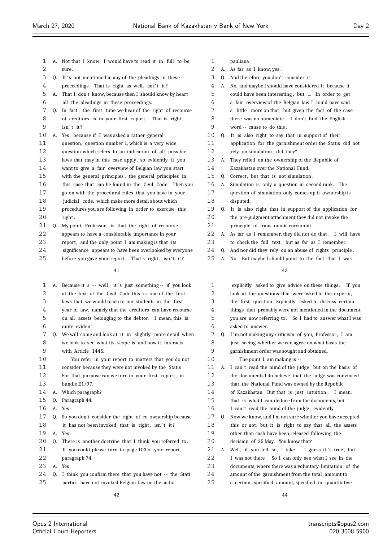| $\mathbf 1$ | А. | Not that I know. I would have to read it in full to be   |
|-------------|----|----------------------------------------------------------|
| 2           |    | sure.                                                    |
| 3           | 0. | It's not mentioned in any of the pleadings in these      |
| 4           |    | proceedings. That is right as well, isn't it?            |
| 5           | A. | That I don't know, because then I should know by heart   |
| 6           |    | all the pleadings in these proceedings.                  |
| 7           | 0. | In fact, the first time we hear of the right of recourse |
| 8           |    | of creditors is in your first report. That is right,     |
| 9           |    | $isn't$ it?                                              |
| 10          | А. | Yes, because if I was asked a rather general             |
| 11          |    | question, question number 1, which is a very wide        |
| 12          |    | question which refers to an indication of all possible   |
| 13          |    | laws that may in this case apply, so evidently if you    |
| 14          |    | want to give a fair overview of Belgian law you start    |
| 15          |    | with the general principles, the general principles in   |
| 16          |    | this case that can be found in the Civil Code. Then you  |
| 17          |    | go on with the procedural rules that you have in your    |
| 18          |    | judicial code, which make more detail about which        |
| 19          |    | procedures you are following in order to exercise this   |
| 20          |    | right.                                                   |
| 21          | Q. | My point, Professor, is that the right of recourse       |
| 22          |    | appears to have a considerable importance in your        |
|             |    |                                                          |

- 23 report, and the only point I am making is that its
- significance appears to have been overlooked by everyone
- 25 before you gave your report. That's right, isn't it?

| 1  | A.          | Because it's -- well, it's just something-- if you look     |
|----|-------------|-------------------------------------------------------------|
| 2  |             | at the text of the Civil Code this is one of the first      |
| 3  |             | laws that we would teach to our students in the first       |
| 4  |             | year of law, namely that the creditors can have recourse    |
| 5  |             | on all assets belonging to the debtor. I mean, this is      |
| 6  |             | quite evident.                                              |
| 7  |             | Q. We will come and look at it in slightly more detail when |
| 8  |             | we look to see what its scope is and how it interacts       |
| 9  |             | with Article 1445.                                          |
| 10 |             | You refer in your report to matters that you do not         |
| 11 |             | consider because they were not invoked by the Statis.       |
| 12 |             | For that purpose can we turn to your first report, in       |
| 13 |             | bundle E1/97.                                               |
| 14 | А.          | Which paragraph?                                            |
| 15 | 0.          | Paragraph 44.                                               |
| 16 | A.          | Yes.                                                        |
| 17 | 0.          | So you don't consider the right of co-ownership because     |
| 18 |             | it has not been invoked; that is right, isn't it?           |
| 19 | $A_{\cdot}$ | Yes.                                                        |
| 20 | 0.          | There is another doctrine that I think you referred to.     |
| 21 |             | If you could please turn to page 103 of your report,        |
| 22 |             | paragraph 74.                                               |
| 23 | A.          | Yes.                                                        |
| 24 | 0.          | I think you confirm there that you have not -- the Stati    |
| 25 |             | parties have not invoked Belgian law on the actio           |

- pauliana.
- A. As far as I know, yes. Q. And therefore you don't consider it . A. No, and maybe I should have considered it because it could have been interesting , but ... In order to get a fair overview of the Belgian law I could have said a little more on that, but given the fact of the case there was no immediate -- I don't find the English word -- cause to do this . Q. It is also right to say that in support of their application for the garnishment order the Statis did not rely on simulation, did they? A. They relied on the ownership of the Republic of Kazakhstan over the National Fund. 15 Q. Correct, but that is not simulation. A. Simulation is only a question in second rank. The question of simulation only comes up if ownership is disputed. Q. It is also right that in support of the application for the pre-judgment attachment they did not invoke the principle of fraus omnia corrumpit. 22 A. As far as I remember, they did not do that. I will have 23 to check the full text, but as far as I remember. Q. And nor did they rely on an abuse of rights principle . A. No. But maybe I should point to the fact that I was explicitly asked to give advice on these things . If you 2 look at the questions that were asked to the experts,

| ∠  |    | look at the questions that were asked to the experts,    |
|----|----|----------------------------------------------------------|
| 3  |    | the first question explicitly asked to discuss certain   |
| 4  |    | things that probably were not mentioned in the document  |
| 5  |    | you are now referring to. So I had to answer what I was  |
| 6  |    | asked to answer.                                         |
| 7  | 0. | I'm not making any criticism of you, Professor, I am     |
| 8  |    | just seeing whether we can agree on what basis the       |
| 9  |    | garnishment order was sought and obtained.               |
| 10 |    | The point I am making is --                              |
| 11 | А. | I can't read the mind of the judge, but on the basis of  |
| 12 |    | the documents I do believe that the judge was convinced  |
| 13 |    | that the National Fund was owned by the Republic         |
| 14 |    | of Kazakhstan. But that is just intuition. I mean,       |
| 15 |    | that is what I can deduce from the documents, but        |
| 16 |    | I can't read the mind of the judge, evidently.           |
| 17 | 0. | Now we know, and I'm not sure whether you have accepted  |
| 18 |    | this or not, but it is right to say that all the assets  |
| 19 |    | other than cash have been released following the         |
| 20 |    | decision of 25 May. You know that?                       |
| 21 | А. | Well, if you tell so, I take -- I guess it's true, but   |
| 22 |    | I was not there. So I can only see what I see in the     |
| 23 |    | documents, where there was a voluntary limitation of the |
| 24 |    | amount of the garnishment from the total amount to       |
| 25 |    | a certain specified amount, specified in quantitative    |
|    |    |                                                          |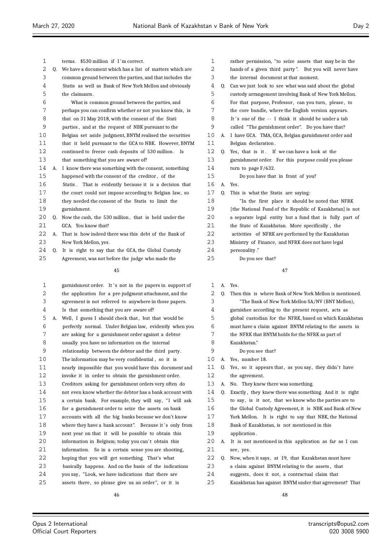$\equiv$ 

| 1  |    | terms. \$530 million if I'm correct.                           |
|----|----|----------------------------------------------------------------|
| 2  | 0. | We have a document which has a list of matters which are       |
| 3  |    | common ground between the parties, and that includes the       |
| 4  |    | Statis as well as Bank of New York Mellon and obviously        |
| 5  |    | the claimants.                                                 |
| 6  |    | What is common ground between the parties, and                 |
| 7  |    | perhaps you can confirm whether or not you know this, is       |
| 8  |    | that on 31 May 2018, with the consent of the Stati             |
| 9  |    | parties, and at the request of NBK pursuant to the             |
| 10 |    | Belgian set aside judgment, BNYM realised the securities       |
| 11 |    | that it held pursuant to the GCA to NBK. However, BNYM         |
| 12 |    | continued to freeze cash deposits of 530 million.<br><b>Is</b> |
| 13 |    | that something that you are aware of?                          |
| 14 | А. | I know there was something with the consent, something         |
| 15 |    | happened with the consent of the creditor, of the              |
| 16 |    | Statis. That is evidently because it is a decision that        |
| 17 |    | the court could not impose according to Belgian law, so        |
| 18 |    | they needed the consent of the Statis to limit the             |
| 19 |    | garnishment.                                                   |
| 20 | 0. | Now the cash, the 530 million, that is held under the          |
| 21 |    | GCA. You know that?                                            |
| 22 | А. | That is how indeed there was this debt of the Bank of          |
| 23 |    | New York Mellon, yes.                                          |
| 24 | 0. | It is right to say that the GCA, the Global Custody            |
| 25 |    | Agreement, was not before the judge who made the               |
|    |    | $\overline{\phantom{0}}$                                       |

| 1       |    | garnishment order. It's not in the papers in support of  |
|---------|----|----------------------------------------------------------|
| 2       |    | the application for a pre-judgment attachment, and the   |
| 3       |    | agreement is not referred to anywhere in those papers.   |
| 4       |    | Is that something that you are aware of?                 |
| 5       | A. | Well, I guess I should check that, but that would be     |
| 6       |    | perfectly normal. Under Belgian law, evidently when you  |
| 7       |    | are asking for a garnishment order against a debtor      |
| 8       |    | usually you have no information on the internal          |
| 9       |    | relationship between the debtor and the third party.     |
| $10 \,$ |    | The information may be very confidential, so it is       |
| 11      |    | nearly impossible that you would have this document and  |
| 12      |    | invoke it in order to obtain the garnishment order.      |
| 13      |    | Creditors asking for garnishment orders very often do    |
| 14      |    | not even know whether the debtor has a bank account with |
| 15      |    | a certain bank. For example, they will say, "I will ask  |
| 16      |    | for a garnishment order to seize the assets on bank      |
| 17      |    | accounts with all the big banks because we don't know    |
| 18      |    | where they have a bank account". Because it's only from  |
| 19      |    | next year on that it will be possible to obtain this     |
| 20      |    | information in Belgium; today you can't obtain this      |
| 21      |    | information. So in a certain sense you are shooting,     |
| 22      |    | hoping that you will get something. That's what          |
| 23      |    | basically happens. And on the basis of the indications   |
| 24      |    | you say, "Look, we have indications that there are       |
| 25      |    | assets there, so please give us an order", or it is      |

| 1              |    | rather permission, "to seize assets that may be in the    |
|----------------|----|-----------------------------------------------------------|
| 2              |    | hands of a given third party". But you will never have    |
| 3              |    | the internal document at that moment.                     |
| $\overline{4}$ |    | Q. Can we just look to see what was said about the global |
| 5              |    | custody arrangement involving Bank of New York Mellon.    |
| 6              |    | For that purpose, Professor, can you turn, please, to     |
| 7              |    | the core bundle, where the English version appears.       |
| 8              |    | It's one of the -- I think it should be under a tab       |
| 9              |    | called "The garnishment order". Do you have that?         |
| 10             |    | A. I have GCA. TMA, GCA, Belgian garnishment order and    |
| 11             |    | Belgian declaration.                                      |
| 12             |    | Q. Yes, that is it. If we can have a look at the          |
| 13             |    | garnishment order. For this purpose could you please      |
| 14             |    | turn to page $F/632$ .                                    |
| 15             |    | Do you have that in front of you?                         |
| 16             | A. | Yes.                                                      |
| 17             | 0. | This is what the Statis are saying:                       |
| 18             |    | "In the first place it should be noted that NFRK          |
| 19             |    | [the National Fund of the Republic of Kazakhstan] is not  |
| 20             |    | a separate legal entity but a fund that is fully part of  |
| 21             |    | the State of Kazakhstan. More specifically, the           |
| 22             |    | activities of NFRK are performed by the Kazakhstan        |
| 23             |    | Ministry of Finance, and NFRK does not have legal         |
| 24             |    | personality."                                             |
| 25             |    | Do you see that?                                          |
|                |    |                                                           |

| Yes. |  |
|------|--|

| $\mathbf 1$ | A. | Yes.                                                     |
|-------------|----|----------------------------------------------------------|
| 2           | 0. | Then this is where Bank of New York Mellon is mentioned. |
| 3           |    | "The Bank of New York Mellon SA/NV (BNY Mellon),         |
| 4           |    | garnishee according to the present request, acts as      |
| 5           |    | global custodian for the NFRK, based on which Kazakhstan |
| 6           |    | must have a claim against BNYM relating to the assets in |
| 7           |    | the NFRK that BNYM holds for the NFRK as part of         |
| 8           |    | Kazakhstan."                                             |
| 9           |    | Do you see that?                                         |
| 10          | А. | Yes, number 18.                                          |
| 11          | 0. | Yes, so it appears that, as you say, they didn't have    |
| 12          |    | the agreement.                                           |
| 13          | А. | No. They knew there was something.                       |
| 14          | 0. | Exactly, they knew there was something. And it is right  |
| 15          |    | to say, is it not, that we know who the parties are to   |
| 16          |    | the Global Custody Agreement, it is NBK and Bank of New  |
| 17          |    | York Mellon. It is right to say that NBK, the National   |
| 18          |    | Bank of Kazakhstan, is not mentioned in this             |
| 19          |    | application.                                             |
| 20          | А. | It is not mentioned in this application as far as I can  |
| 21          |    | see, yes.                                                |
| 22          | 0. | Now, when it says, at 19, that Kazakhstan must have      |
| 23          |    | a claim against BNYM relating to the assets, that        |
| 24          |    | suggests, does it not, a contractual claim that          |
| 25          |    | Kazakhstan has against BNYM under that agreement? That   |
|             |    |                                                          |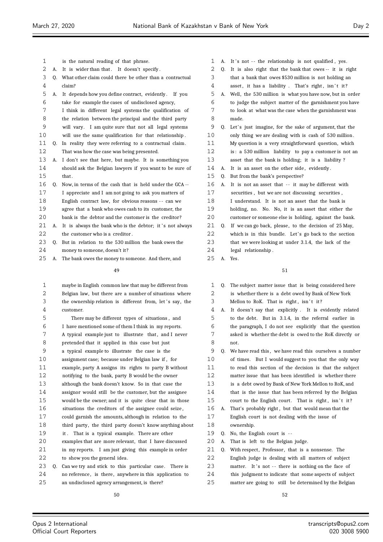| 1  |    | is the natural reading of that phrase.                   |
|----|----|----------------------------------------------------------|
| 2  | A. | It is wider than that. It doesn't specify.               |
| 3  | 0. | What other claim could there be other than a contractual |
| 4  |    | claim?                                                   |
| 5  | А. | It depends how you define contract, evidently. If you    |
| 6  |    | take for example the cases of undisclosed agency,        |
| 7  |    | I think in different legal systems the qualification of  |
| 8  |    | the relation between the principal and the third party   |
| 9  |    | will vary. I am quite sure that not all legal systems    |
| 10 |    | will use the same qualification for that relationship.   |
| 11 | 0. | In reality they were referring to a contractual claim.   |
| 12 |    | That was how the case was being presented.               |
| 13 | А. | I don't see that here, but maybe. It is something you    |
| 14 |    | should ask the Belgian lawyers if you want to be sure of |
| 15 |    | that.                                                    |
| 16 | 0. | Now, in terms of the cash that is held under the GCA --  |
| 17 |    | I appreciate and I am not going to ask you matters of    |
| 18 |    | English contract law, for obvious reasons -- can we      |
| 19 |    | agree that a bank who owes cash to its customer, the     |
| 20 |    | bank is the debtor and the customer is the creditor?     |
| 21 | A. | It is always the bank who is the debtor; it's not always |
| 22 |    | the customer who is a creditor.                          |
| 23 | 0. | But in relation to the 530 million the bank owes the     |

- money to someone, doesn't it?
- A. The bank owes the money to someone. And there, and

| $\mathbf{1}$      |    | maybe in English common law that may be different from   |
|-------------------|----|----------------------------------------------------------|
| 2                 |    | Belgian law, but there are a number of situations where  |
| 3                 |    | the ownership relation is different from, let's say, the |
| 4                 |    | customer.                                                |
| 5                 |    | There may be different types of situations, and          |
| 6                 |    | I have mentioned some of them I think in my reports.     |
| 7                 |    | A typical example just to illustrate that, and I never   |
| 8                 |    | pretended that it applied in this case but just          |
| 9                 |    | a typical example to illustrate the case is the          |
| 10                |    | assignment case; because under Belgian law if, for       |
| 11                |    | example, party A assigns its rights to party B without   |
| $12 \overline{ }$ |    | notifying to the bank, party B would be the owner        |
| 13                |    | although the bank doesn't know. So in that case the      |
| 14                |    | assignor would still be the customer, but the assignee   |
| 15                |    | would be the owner; and it is quite clear that in those  |
| 16                |    | situations the creditors of the assignee could seize,    |
| 17                |    | could garnish the amounts, although in relation to the   |
| 18                |    | third party, the third party doesn't know anything about |
| 19                |    | it. That is a typical example. There are other           |
| 20                |    | examples that are more relevant, that I have discussed   |
| 21                |    | in my reports. I am just giving this example in order    |
| 22                |    | to show you the general idea.                            |
| 23                | Q. | Can we try and stick to this particular case. There is   |
| 24                |    | no reference, is there, anywhere in this application to  |

an undisclosed agency arrangement, is there?

- 1 A. It's not -- the relationship is not qualified, yes.
- Q. It is also right that the bank that owes -- it is right
- that a bank that owes \$530 million is not holding an
- 4 asset, it has a liability . That's right, isn't it?
- A. Well, the 530 million is what you have now, but in order to judge the subject matter of the garnishment you have to look at what was the case when the garnishment was made.
- 9 Q. Let's just imagine, for the sake of argument, that the only thing we are dealing with is cash of 530 million .
- My question is a very straightforward question, which
- is : a 530 million liability to pay a customer is not an
- asset that the bank is holding; it is a liability ?
- 14 A. It is an asset on the other side, evidently.
- Q. But from the bank's perspective?
- 16 A. It is not an asset that -- it may be different with
- securities , but we are not discussing securities ,
- I understand. It is not an asset that the bank is
- holding, no. No. No, it is an asset that either the
- customer or someone else is holding, against the bank.
- 21 Q. If we can go back, please, to the decision of 25 May, 22 which is in this bundle. Let's go back to the section that we were looking at under 3.1.4, the lack of the legal relationship .
- A. Yes.

- Q. The subject matter issue that is being considered here is whether there is a debt owed by Bank of New York 3 Mellon to RoK. That is right, isn't it?
- A. It doesn't say that explicitly . It is evidently related to the debt. But in 3.1.4, in the referral earlier in the paragraph, I do not see explicitly that the question asked is whether the debt is owed to the RoK directly or not. Q. We have read this , we have read this ourselves a number
- of times. But I would suggest to you that the only way to read this section of the decision is that the subject matter issue that has been identified is whether there
- is a debt owed by Bank of New York Mellon to RoK, and
- that is the issue that has been referred by the Belgian
- 15 court to the English court. That is right, isn't it?
- A. That's probably right , but that would mean that the English court is not dealing with the issue of ownership.
- Q. No, the English court is -
- A. That is left to the Belgian judge.
- 21 Q. With respect, Professor, that is a nonsense. The
- English judge is dealing with all matters of subject
- 23 matter. It's not -- there is nothing on the face of
- this judgment to indicate that some aspects of subject
- matter are going to still be determined by the Belgian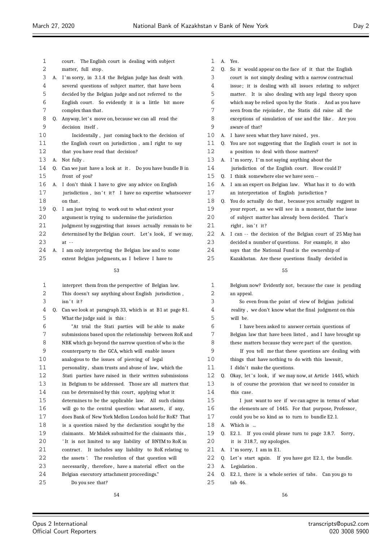$\equiv$ 

| 1        |    | The English court is dealing with subject<br>court.                                                         |
|----------|----|-------------------------------------------------------------------------------------------------------------|
| 2        |    | matter, full stop.                                                                                          |
| 3        | А. | I'm sorry, in 3.1.4 the Belgian judge has dealt with                                                        |
| 4        |    | several questions of subject matter, that have been                                                         |
| 5        |    | decided by the Belgian judge and not referred to the                                                        |
| 6        |    | English court. So evidently it is a little bit more                                                         |
| 7        |    | complex than that.                                                                                          |
| 8        | Q. | Anyway, let's move on, because we can all read the                                                          |
| 9        |    | decision itself.                                                                                            |
| 10       |    | Incidentally, just coming back to the decision of                                                           |
| 11       |    | the English court on jurisdiction, am I right to say                                                        |
| 12       |    | that you have read that decision?                                                                           |
| 13       | А. | Not fully.                                                                                                  |
| 14       | Q. | Can we just have a look at it. Do you have bundle B in                                                      |
| 15       |    | front of you?                                                                                               |
| 16       | A. | I don't think I have to give any advice on English                                                          |
| 17       |    | jurisdiction, isn't it? I have no expertise whatsoever                                                      |
| 18       |    | on that.                                                                                                    |
| 19       | Q. | I am just trying to work out to what extent your                                                            |
| 20       |    | argument is trying to undermine the jurisdiction                                                            |
| 21       |    | judgment by suggesting that issues actually remain to be                                                    |
| 22       |    | determined by the Belgian court. Let's look, if we may,                                                     |
| 23       |    | $at -$                                                                                                      |
| 24       | А. | I am only interpreting the Belgian law and to some                                                          |
| 25       |    | extent Belgian judgments, as I believe I have to                                                            |
|          |    | 53                                                                                                          |
|          |    |                                                                                                             |
|          |    |                                                                                                             |
| 1        |    | interpret them from the perspective of Belgian law.                                                         |
| 2        |    | This doesn't say anything about English jurisdiction,                                                       |
| 3        |    | isn't it?                                                                                                   |
| 4        |    | Q. Can we look at paragraph 33, which is at B1 at page 81.                                                  |
| 5        |    | What the judge said is this:                                                                                |
| 6        |    | "At trial the Stati parties will be able to make                                                            |
| 7        |    | submissions based upon the relationship between RoK and                                                     |
| 8        |    | NBK which go beyond the narrow question of who is the                                                       |
| 9        |    | counterparty to the GCA, which will enable issues                                                           |
| 10       |    | analogous to the issues of piercing of legal                                                                |
| 11       |    | personality, sham trusts and abuse of law, which the                                                        |
| 12       |    | Stati parties have raised in their written submissions                                                      |
| 13       |    | in Belgium to be addressed. Those are all matters that                                                      |
| 14       |    | can be determined by this court, applying what it                                                           |
| 15       |    | determines to be the applicable law.<br>All such claims                                                     |
| 16       |    | will go to the central question: what assets, if any,                                                       |
| 17<br>18 |    | does Bank of New York Mellon London hold for RoK? That                                                      |
| 19       |    | is a question raised by the declaration sought by the<br>claimants.                                         |
| 20       |    | Mr Malek submitted for the claimants this,                                                                  |
| 21       |    | 'It is not limited to any liability of BNYM to RoK in                                                       |
| 22       |    | contract. It includes any liability to RoK relating to<br>the assets'. The resolution of that question will |
| 23       |    | necessarily, therefore, have a material effect on the                                                       |
| 24       |    | Belgian executory attachment proceedings."                                                                  |
| 25       |    | Do you see that?                                                                                            |

| 1        | А. | Yes.                                                               |
|----------|----|--------------------------------------------------------------------|
| 2        | Q. | So it would appear on the face of it that the English              |
| 3        |    | court is not simply dealing with a narrow contractual              |
| 4        |    | issue; it is dealing with all issues relating to subject           |
| 5        |    | matter. It is also dealing with any legal theory upon              |
| 6        |    | which may be relied upon by the Statis. And as you have            |
| 7        |    | seen from the rejoinder, the Statis did raise all the              |
| 8        |    | exceptions of simulation of use and the like. Are you              |
| 9        |    | aware of that?                                                     |
| 10       | А. | I have seen what they have raised, yes.                            |
| 11       | O. | You are not suggesting that the English court is not in            |
| 12       |    | a position to deal with those matters?                             |
| 13       |    |                                                                    |
|          | А. | I'm sorry, I'm not saying anything about the                       |
| 14       |    | jurisdiction of the English court. How could I?                    |
| 15       | O. | I think somewhere else we have seen --                             |
| 16       | А. | I am an expert on Belgian law. What has it to do with              |
| 17       |    | an interpretation of English jurisdiction?                         |
| 18       | Q. | You do actually do that, because you actually suggest in           |
| 19       |    | your report, as we will see in a moment, that the issue            |
| 20       |    | of subject matter has already been decided.<br>That's              |
| 21       |    | right, isn't it?                                                   |
| 22       | А. | I can -- the decision of the Belgian court of 25 May has           |
| 23       |    | decided a number of questions. For example, it also                |
| 24       |    | says that the National Fund is the ownership of                    |
| 25       |    | Kazakhstan. Are these questions finally decided in                 |
|          |    |                                                                    |
|          |    |                                                                    |
|          |    | 55                                                                 |
| 1        |    | Belgium now? Evidently not, because the case is pending            |
| 2        |    | an appeal.                                                         |
| 3        |    | So even from the point of view of Belgian judicial                 |
| 4        |    | reality, we don't know what the final judgment on this             |
| 5        |    | will be.                                                           |
|          |    |                                                                    |
| 6        |    | I have been asked to answer certain questions of                   |
| 7        |    | Belgian law that have been listed, and I have brought up           |
| 8        |    | these matters because they were part of the question.              |
| 9        |    | If you tell me that these questions are dealing with               |
| 10       |    | things that have nothing to do with this lawsuit,                  |
| 11       |    | I didn't make the questions.                                       |
| 12       |    | Q. Okay, let's look, if we may now, at Article 1445, which         |
| 13       |    | is of course the provision that we need to consider in             |
| 14       |    | this case.                                                         |
| 15       |    | I just want to see if we can agree in terms of what                |
| 16       |    | the elements are of 1445. For that purpose, Professor,             |
| 17       |    | could you be so kind as to turn to bundle E2.1.                    |
| 18       | А. | Which is                                                           |
| 19       | Q. | E2.1. If you could please turn to page 3.8.7. Sorry,               |
| 20       |    | it is 318.7, my apologies.                                         |
| 21       | А. | I'm sorry, I am in E1.                                             |
| 22       | Q. | Let's start again. If you have got E2.1, the bundle.               |
| 23       | А. | Legislation.                                                       |
| 24<br>25 | Q. | E2.1, there is a whole series of tabs.<br>Can you go to<br>tab 46. |

Ξ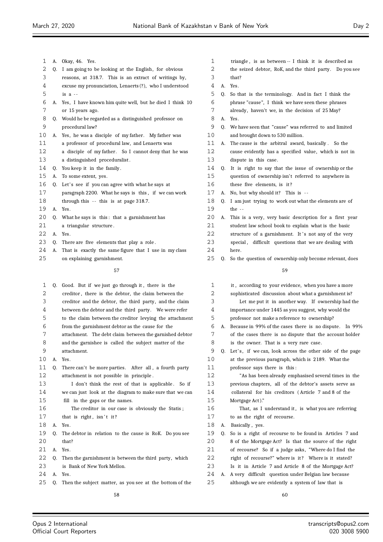| 1  |    | A. Okay, 46. Yes.                                        |                |
|----|----|----------------------------------------------------------|----------------|
| 2  | Q. | I am going to be looking at the English, for obvious     |                |
| 3  |    | reasons, at 318.7. This is an extract of writings by,    |                |
| 4  |    | excuse my pronunciation, Lenaerts (?), who I understood  |                |
| 5  |    | is $a -$                                                 |                |
| 6  | А. | Yes, I have known him quite well, but he died I think 10 |                |
| 7  |    | or 15 years ago.                                         |                |
| 8  |    | Q. Would he be regarded as a distinguished professor on  |                |
| 9  |    | procedural law?                                          |                |
| 10 | А. | Yes, he was a disciple of my father. My father was       | 1              |
| 11 |    | a professor of procedural law, and Lenaerts was          | 1              |
| 12 |    | a disciple of my father. So I cannot deny that he was    | $\mathbf{1}$   |
| 13 |    | a distinguished proceduralist.                           | 1              |
| 14 |    | Q. You keep it in the family.                            | 1.             |
| 15 | А. | To some extent, yes.                                     | 1              |
| 16 | Q. | Let's see if you can agree with what he says at          | 1              |
| 17 |    | paragraph 2200. What he says is this, if we can work     | $\mathbf{1}$   |
| 18 |    | through this $-$ this is at page 318.7.                  | 1              |
| 19 | А. | Yes.                                                     | $\mathbf{1}$   |
| 20 | 0. | What he says is this: that a garnishment has             | 2              |
| 21 |    | a triangular structure.                                  | 2              |
| 22 | А. | Yes.                                                     | $\overline{2}$ |
| 23 | Q. | There are five elements that play a role.                | $\mathbf{2}$   |
| 24 | А. | That is exactly the same figure that I use in my class   | 2.             |
| 25 |    | on explaining garnishment.                               | 2              |
|    |    | 57                                                       |                |
| 1  |    | Q. Good. But if we just go through it, there is the      |                |
| 2  |    | creditor, there is the debtor, the claim between the     |                |
| 3  |    | creditor and the debtor, the third party, and the claim  |                |
| 4  |    | between the debtor and the third party. We were refer    |                |
| 5  |    | to the claim between the creditor levying the attachment |                |
| 6  |    | from the garnishment debtor as the cause for the         |                |
| 7  |    | attachment. The debt claim between the garnished debtor  |                |
| 8  |    | and the garnishee is called the subject matter of the    |                |
| 9  |    | attachment.                                              |                |
| 10 | А. | Yes.                                                     | 1              |
| 11 | Q. | There can't be more parties. After all, a fourth party   | 1              |
| 12 |    | attachment is not possible in principle.                 | $\mathbf{1}$   |
| 13 |    | I don't think the rest of that is applicable.<br>So if   | 1              |
| 14 |    | we can just look at the diagram to make sure that we can | 1.             |
|    |    |                                                          |                |

## fill in the gaps or the names. The creditor in our case is obviously the Statis ;

- 17 that is right, isn't it? A. Yes. Q. The debtor in relation to the cause is RoK. Do you see
- that?
- A. Yes.
- Q. Then the garnishment is between the third party, which is Bank of New York Mellon.
- A. Yes.
- Q. Then the subject matter, as you see at the bottom of the
- triangle , is as between -- I think it is described as
- the seized debtor, RoK, and the third party. Do you see
- that?
- A. Yes.
- Q. So that is the terminology. And in fact I think the phrase "cause", I think we have seen these phrases
- 7 already, haven't we, in the decision of 25 May?
- A. Yes.
- Q. We have seen that "cause" was referred to and limited 0 and brought down to 530 million.
- A. The cause is the arbitral award, basically . So the 2 cause evidently has a specified value, which is not in dispute in this case.
- Q. It is right to say that the issue of ownership or the question of ownership isn't referred to anywhere in
- these five elements, is it ?
- 7 A. No, but why should it? This is --
- Q. I am just trying to work out what the elements are of the  $-$
- A. This is a very, very basic description for a first year student law school book to explain what is the basic
- 2 structure of a garnishment. It's not any of the very 3 special, difficult questions that we are dealing with
- here.
- Q. So the question of ownership only become relevant, does

| 1  |    | it, according to your evidence, when you have a more     |
|----|----|----------------------------------------------------------|
| 2  |    | sophisticated discussion about what a garnishment is?    |
| 3  |    | Let me put it in another way. If ownership had the       |
| 4  |    | importance under 1445 as you suggest, why would the      |
| 5  |    | professor not make a reference to ownership?             |
| 6  | А. | Because in 99% of the cases there is no dispute. In 99%  |
| 7  |    | of the cases there is no dispute that the account holder |
| 8  |    | is the owner. That is a very rare case.                  |
| 9  | Q. | Let's, if we can, look across the other side of the page |
| 10 |    | at the previous paragraph, which is 2189. What the       |
| 11 |    | professor says there is this:                            |
| 12 |    | "As has been already emphasised several times in the     |
| 13 |    | previous chapters, all of the debtor's assets serve as   |
| 14 |    | collateral for his creditors (Article 7 and 8 of the     |
| 15 |    | Mortgage Act)."                                          |
| 16 |    | That, as I understand it, is what you are referring      |
| 17 |    | to as the right of recourse.                             |
| 18 | А. | Basically, yes.                                          |
| 19 | Q. | So is a right of recourse to be found in Articles 7 and  |
| 20 |    | 8 of the Mortgage Act? Is that the source of the right   |
| 21 |    | of recourse? So if a judge asks, "Where do I find the    |
| 22 |    | right of recourse?" where is it? Where is it stated?     |
| 23 |    | Is it in Article 7 and Article 8 of the Mortgage Act?    |
| 24 | А. | A very difficult question under Belgian law because      |
| 25 |    | although we are evidently a system of law that is        |
|    |    |                                                          |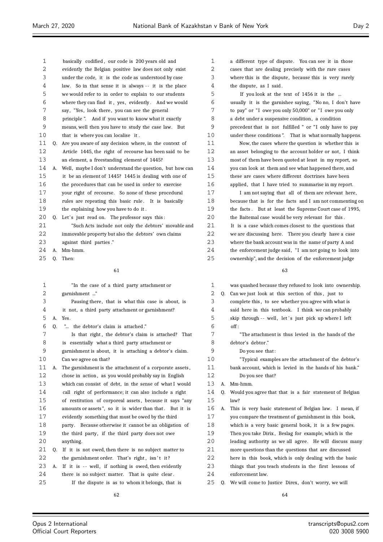| 1  |    | basically codified, our code is 200 years old and           | 1  |    | a different type of dispute. You can see it in those     |
|----|----|-------------------------------------------------------------|----|----|----------------------------------------------------------|
| 2  |    | evidently the Belgian positive law does not only exist      | 2  |    | cases that are dealing precisely with the rare cases     |
| 3  |    | under the code, it is the code as understood by case        | 3  |    | where this is the dispute, because this is very rarely   |
| 4  |    | law. So in that sense it is always -- it is the place       | 4  |    | the dispute, as I said.                                  |
| 5  |    | we would refer to in order to explain to our students       | 5  |    | If you look at the text of 1456 it is the                |
| 6  |    | where they can find it, yes, evidently. And we would        | 6  |    | usually it is the garnishee saying, "No no, I don't have |
| 7  |    | say, "Yes, look there, you can see the general              | 7  |    | to pay" or "I owe you only 50,000" or "I owe you only    |
| 8  |    | principle ". And if you want to know what it exactly        | 8  |    | a debt under a suspensive condition, a condition         |
| 9  |    | means, well then you have to study the case law. But        | 9  |    | precedent that is not fulfilled " or "I only have to pay |
| 10 |    | that is where you can localise it.                          | 10 |    | under these conditions". That is what normally happens.  |
| 11 | Q. | Are you aware of any decision where, in the context of      | 11 |    | Now, the cases where the question is whether this is     |
| 12 |    | Article 1445, the right of recourse has been said to be     | 12 |    | an asset belonging to the account holder or not, I think |
| 13 |    | an element, a freestanding element of 1445?                 | 13 |    | most of them have been quoted at least in my report, so  |
| 14 |    | A. Well, maybe I don't understand the question, but how can | 14 |    | you can look at them and see what happened there, and    |
| 15 |    | it be an element of 1445? 1445 is dealing with one of       | 15 |    | these are cases where different doctrines have been      |
| 16 |    | the procedures that can be used in order to exercise        | 16 |    | applied, that I have tried to summarise in my report.    |
| 17 |    | your right of recourse. So none of these procedural         | 17 |    | I am not saying that all of them are relevant here,      |
| 18 |    | rules are repeating this basic rule. It is basically        | 18 |    | because that is for the facts and I am not commenting on |
| 19 |    | the explaining how you have to do it.                       | 19 |    | the facts. But at least the Supreme Court case of 1995,  |
| 20 | 0. | Let's just read on. The professor says this:                | 20 |    | the Baitemal case would be very relevant for this.       |
| 21 |    | "Such Acts include not only the debtors' movable and        | 21 |    | It is a case which comes closest to the questions that   |
| 22 |    | immovable property but also the debtors' own claims         | 22 |    | we are discussing here. There you clearly have a case    |
| 23 |    | against third parties."                                     | 23 |    | where the bank account was in the name of party A and    |
| 24 |    | A. Mm-hmm.                                                  | 24 |    | the enforcement judge said, "I am not going to look into |
| 25 | Q. | Then:                                                       | 25 |    | ownership", and the decision of the enforcement judge    |
|    |    |                                                             |    |    |                                                          |
|    |    | 61                                                          |    |    | 63                                                       |
| 1  |    | "In the case of a third party attachment or                 | 1  |    | was quashed because they refused to look into ownership. |
| 2  |    | garnishment "                                               | 2  | Q. | Can we just look at this section of this, just to        |
| 3  |    | Pausing there, that is what this case is about, is          | 3  |    | complete this, to see whether you agree with what is     |
| 4  |    | it not, a third party attachment or garnishment?            | 4  |    | said here in this textbook. I think we can probably      |
| 5  | А. | Yes.                                                        | 5  |    | skip through -- well, let's just pick up where I left    |
| 6  | 0. | " the debtor's claim is attached."                          | 6  |    | off:                                                     |
| 7  |    | Is that right, the debtor's claim is attached? That         | 7  |    | "The attachment is thus levied in the hands of the       |
| 8  |    | is essentially what a third party attachment or             | 8  |    | debtor's debtor."                                        |
| 9  |    | garnishment is about, it is attaching a debtor's claim.     | 9  |    | Do you see that:                                         |
| 10 |    | Can we agree on that?                                       | 10 |    | "Typical examples are the attachment of the debtor's     |
| 11 | A. | The garnishment is the attachment of a corporate assets,    | 11 |    | bank account, which is levied in the hands of his bank." |
| 12 |    | chose in action, as you would probably say in English       | 12 |    | Do you see that?                                         |
| 13 |    | which can consist of debt, in the sense of what I would     | 13 |    | A. Mm-hmm.                                               |
| 14 |    | call right of performance; it can also include a right      | 14 | 0. | Would you agree that that is a fair statement of Belgian |
| 15 |    | of restitution of corporeal assets, because it says "any    | 15 |    | law?                                                     |
| 16 |    | amounts or assets", so it is wider than that. But it is     | 16 | А. | This is very basic statement of Belgian law. I mean, if  |
| 17 |    | evidently something that must be owed by the third          | 17 |    | you compare the treatment of garnishment in this book,   |
| 18 |    | party. Because otherwise it cannot be an obligation of      | 18 |    | which is a very basic general book, it is a few pages.   |
| 19 |    | the third party, if the third party does not owe            | 19 |    | Then you take Dirix, Beslag for example, which is the    |
| 20 |    | anything.                                                   | 20 |    | leading authority as we all agree. He will discuss many  |
| 21 |    | Q. If it is not owed, then there is no subject matter to    | 21 |    | more questions than the questions that are discussed     |
| 22 |    | the garnishment order. That's right, isn't it?              | 22 |    | here in this book, which is only dealing with the basic  |
| 23 | А. | If it is -- well, if nothing is owed, then evidently        | 23 |    | things that you teach students in the first lessons of   |
| 24 |    | there is no subject matter. That is quite clear.            | 24 |    | enforcement law.                                         |
|    |    |                                                             |    |    |                                                          |

 there is no subject matter. That is quite clear . If the dispute is as to whom it belongs, that is

Q. We will come to Justice Direx, don't worry, we will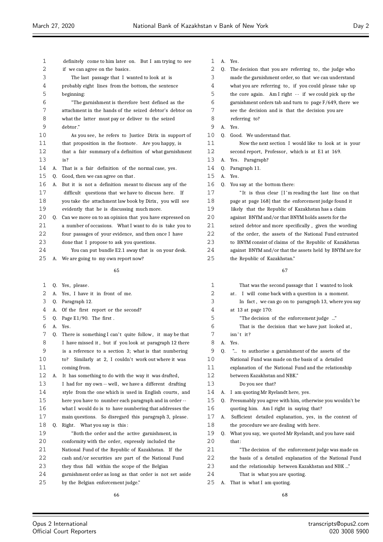| 1        |    | definitely come to him later on. But I am trying to see  | 1  | A. | Yes.                                                     |
|----------|----|----------------------------------------------------------|----|----|----------------------------------------------------------|
| 2        |    | if we can agree on the basics.                           | 2  | Q. | The decision that you are referring to, the judge who    |
| 3        |    | The last passage that I wanted to look at is             | 3  |    | made the garnishment order, so that we can understand    |
| 4        |    | probably eight lines from the bottom, the sentence       | 4  |    | what you are referring to, if you could please take up   |
| 5        |    | beginning:                                               | 5  |    | the core again. Am I right -- if we could pick up the    |
| 6        |    | "The garnishment is therefore best defined as the        | 6  |    | garnishment orders tab and turn to page F/649, there we  |
| 7        |    | attachment in the hands of the seized debtor's debtor on | 7  |    | see the decision and is that the decision you are        |
| 8        |    | what the latter must pay or deliver to the seized        | 8  |    | referring to?                                            |
| 9        |    | debtor."                                                 | 9  |    | A. Yes.                                                  |
| 10       |    | As you see, he refers to Justice Dirix in support of     | 10 |    | Q. Good. We understand that.                             |
| 11       |    | that proposition in the footnote. Are you happy, is      | 11 |    | Now the next section I would like to look at is your     |
| 12       |    | that a fair summary of a definition of what garnishment  | 12 |    | second report, Professor, which is at E1 at 169.         |
| 13       |    | is?                                                      | 13 |    | A. Yes. Paragraph?                                       |
| 14       | А. | That is a fair definition of the normal case, yes.       | 14 | Q. | Paragraph 11.                                            |
| 15       | Q. | Good, then we can agree on that.                         | 15 | А. | Yes.                                                     |
| 16       | А. | But it is not a definition meant to discuss any of the   | 16 |    | Q. You say at the bottom there:                          |
| 17       |    | difficult questions that we have to discuss here. If     | 17 |    | "It is thus clear [I'm reading the last line on that     |
| 18       |    | you take the attachment law book by Dirix, you will see  | 18 |    | page at page 168] that the enforcement judge found it    |
| 19       |    | evidently that he is discussing much more.               | 19 |    | likely that the Republic of Kazakhstan has a claim       |
| 20       | Q. | Can we move on to an opinion that you have expressed on  | 20 |    | against BNYM and/or that BNYM holds assets for the       |
| 21       |    | a number of occasions. What I want to do is take you to  | 21 |    | seized debtor and more specifically, given the wording   |
| 22       |    | four passages of your evidence, and then once I have     | 22 |    | of the order, the assets of the National Fund entrusted  |
| 23       |    | done that I propose to ask you questions.                | 23 |    | to BNYM consist of claims of the Republic of Kazakhstan  |
| 24       |    | You can put bundle E2.1 away that is on your desk.       | 24 |    | against BNYM and/or that the assets held by BNYM are for |
| 25       | А. | We are going to my own report now?                       | 25 |    | the Republic of Kazakhstan."                             |
|          |    |                                                          |    |    |                                                          |
|          |    | 65                                                       |    |    | 67                                                       |
| 1        | Q. | Yes, please.                                             | 1  |    | That was the second passage that I wanted to look        |
| 2        |    | A. Yes, I have it in front of me.                        | 2  |    | at. I will come back with a question in a moment.        |
| 3        | Q. | Paragraph 12.                                            | 3  |    | In fact, we can go on to paragraph 13, where you say     |
| 4        | А. | Of the first report or the second?                       | 4  |    | at 13 at page 170:                                       |
| 5        | Q. | Page E1/90. The first.                                   | 5  |    | "The decision of the enforcement judge "                 |
| 6        |    | A. Yes.                                                  | 6  |    | That is the decision that we have just looked at,        |
| 7        | 0. | There is something I can't quite follow, it may be that  | 7  |    | isn't it?                                                |
| 8        |    | I have missed it, but if you look at paragraph 12 there  | 8  |    | A. Yes.                                                  |
| $\,9$    |    | is a reference to a section 3; what is that numbering    | 9  | Q. | " to authorise a garnishment of the assets of the        |
| $10$     |    | Similarly at 2, I couldn't work out where it was<br>to?  | 10 |    | National Fund was made on the basis of a detailed        |
| 11       |    | coming from.                                             | 11 |    | explanation of the National Fund and the relationship    |
| 12       | А. | It has something to do with the way it was drafted,      | 12 |    | between Kazakhstan and NBK."                             |
| 13       |    | I had for my own -- well, we have a different drafting   | 13 |    | Do you see that?                                         |
| 14       |    | style from the one which is used in English courts, and  | 14 | А. | I am quoting Mr Ryelandt here, yes.                      |
| 15       |    | here you have to number each paragraph and in order --   | 15 | 0. | Presumably you agree with him, otherwise you wouldn't be |
| 16       |    | what I would do is to have numbering that addresses the  | 16 |    | quoting him. Am I right in saying that?                  |
| $17$     |    | main questions. So disregard this paragraph 3, please.   | 17 | А. | Sufficient detailed explanation, yes, in the context of  |
| 18       | Q. | Right. What you say is this:                             | 18 |    | the procedure we are dealing with here.                  |
| 19       |    | "Both the order and the active garnishment, in           | 19 | Q. | What you say, we quoted Mr Ryelandt, and you have said   |
| 20       |    | conformity with the order, expressly included the        | 20 |    | that:                                                    |
| 21       |    | National Fund of the Republic of Kazakhstan. If the      | 21 |    | "The decision of the enforcement judge was made on       |
| 22       |    | cash and/or securities are part of the National Fund     | 22 |    | the basis of a detailed explanation of the National Fund |
| 23       |    | they thus fall within the scope of the Belgian           | 23 |    | and the relationship between Kazakhstan and NBK "        |
| 24<br>25 |    | garnishment order as long as that order is not set aside | 24 |    | That is what you are quoting.                            |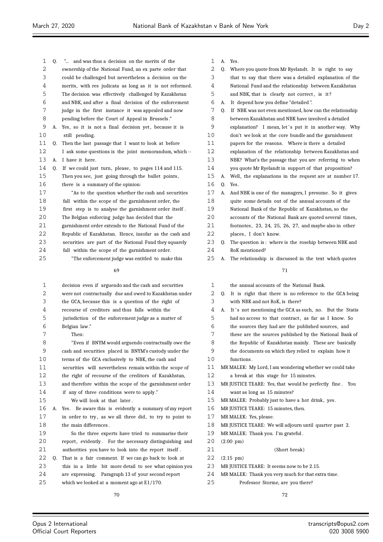| 1        |    | " and was thus a decision on the merits of the                                                                  |
|----------|----|-----------------------------------------------------------------------------------------------------------------|
|          | Q. |                                                                                                                 |
| 2        |    | ownership of the National Fund, an ex parte order that                                                          |
| 3        |    | could be challenged but nevertheless a decision on the                                                          |
| 4        |    | merits, with res judicata as long as it is not reformed.                                                        |
| 5        |    | The decision was effectively challenged by Kazakhstan                                                           |
| 6        |    | and NBK, and after a final decision of the enforcement                                                          |
| 7        |    | judge in the first instance it was appealed and now                                                             |
| 8        |    | pending before the Court of Appeal in Brussels."                                                                |
| 9        | А. | Yes, so it is not a final decision yet, because it is                                                           |
| 10       |    | still pending.                                                                                                  |
| 11       | Q. | Then the last passage that I want to look at before                                                             |
| 12       |    | I ask some questions is the joint memorandum, which --                                                          |
| 13       | А. | I have it here.                                                                                                 |
| 14       | Q. | If we could just turn, please, to pages 114 and 115.                                                            |
| 15       |    | Then you see, just going through the bullet points,                                                             |
| 16       |    | there is a summary of the opinion:                                                                              |
| 17       |    | "As to the question whether the cash and securities                                                             |
| 18       |    | fall within the scope of the garnishment order, the                                                             |
| 19       |    | first step is to analyse the garnishment order itself.                                                          |
| 20       |    | The Belgian enforcing judge has decided that the                                                                |
| 21       |    | garnishment order extends to the National Fund of the                                                           |
| 2.2.     |    | Republic of Kazakhstan. Hence, insofar as the cash and                                                          |
| 23       |    | securities are part of the National Fund they squarely                                                          |
| 24       |    | fall within the scope of the garnishment order.                                                                 |
| 25       |    | "The enforcement judge was entitled to make this                                                                |
|          |    |                                                                                                                 |
|          |    | 69                                                                                                              |
| 1        |    | decision even if arguendo and the cash and securities                                                           |
| 2        |    | were not contractually due and owed to Kazakhstan under                                                         |
| 3        |    | the GCA, because this is a question of the right of                                                             |
| 4        |    | recourse of creditors and thus falls within the                                                                 |
| 5        |    | jurisdiction of the enforcement judge as a matter of                                                            |
| 6        |    | Belgian law."                                                                                                   |
| 7        |    | Then:                                                                                                           |
| 8        |    | "Even if BNYM would arguendo contractually owe the                                                              |
| 9        |    |                                                                                                                 |
|          |    |                                                                                                                 |
|          |    | cash and securities placed in BNYM's custody under the                                                          |
| 10       |    | terms of the GCA exclusively to NBK, the cash and                                                               |
| 11       |    | securities will nevertheless remain within the scope of                                                         |
| 12       |    | the right of recourse of the creditors of Kazakhstan,                                                           |
| 13       |    | and therefore within the scope of the garnishment order                                                         |
| 14       |    | if any of three conditions were to apply."                                                                      |
| 15       |    | We will look at that later.                                                                                     |
| 16       | А. | Be aware this is evidently a summary of my report<br>Yes.                                                       |
| 17       |    | in order to try, as we all three did, to try to point to                                                        |
| 18       |    | the main differences.                                                                                           |
| 19       |    | So the three experts have tried to summarise their                                                              |
| 20<br>21 |    | report, evidently. For the necessary distinguishing and<br>authorities you have to look into the report itself. |

- Q. That is a fair comment. If we can go back to look at
- this in a little bit more detail to see what opinion you
- are expressing. Paragraph 13 of your second report which we looked at a moment ago at E1/170.
- A. Yes.
- Q. Where you quote from Mr Ryelandt. It is right to say
- that to say that there was a detailed explanation of the
- National Fund and the relationship between Kazakhstan
- 5 and NBK, that is clearly not correct, is it?
- A. It depend how you define "detailed ".
- Q. If NBK was not even mentioned, how can the relationship between Kazakhstan and NBK have involved a detailed 9 explanation? I mean, let's put it in another way. Why don't we look at the core bundle and the garnishment
- papers for the reasons. Where is there a detailed
- explanation of the relationship between Kazakhstan and
- NBK? What's the passage that you are referring to when
- you quote Mr Ryelandt in support of that proposition?
- A. Well, the explanations in the request are at number 17.
- Q. Yes.
- A. And NBK is one of the managers, I presume. So it gives
- quite some details out of the annual accounts of the
- National Bank of the Republic of Kazakhstan, so the
- accounts of the National Bank are quoted several times,
- footnotes , 23, 24, 25, 26, 27, and maybe also in other
- 22 places, I don't know.
- Q. The question is : where is the rosehip between NBK and RoK mentioned?
- A. The relationship is discussed in the text which quotes

- the annual accounts of the National Bank. Q. It is right that there is no reference to the GCA being with NBK and not RoK, is there?
- 4 A. It's not mentioning the GCA as such, no. But the Statis
- had no access to that contract , as far as I know. So
- the sources they had are the published sources, and
- these are the sources published by the National Bank of
- the Republic of Kazakhstan mainly. These are basically
- the documents on which they relied to explain how it
- functions .
- MR MALEK: My Lord, I am wondering whether we could take
- a break at this stage for 15 minutes.
- MR JUSTICE TEARE: Yes, that would be perfectly fine . You want as long as 15 minutes?
- MR MALEK: Probably just to have a hot drink, yes.
- MR JUSTICE TEARE: 15 minutes, then.
- MR MALEK: Yes, please.
- MR JUSTICE TEARE: We will adjourn until quarter past 2.
- MR MALEK: Thank you. I'm grateful .
- (2.00 pm)
- (Short break)

- (2.15 pm)
- MR JUSTICE TEARE: It seems now to be 2.15.
- MR MALEK: Thank you very much for that extra time.
- Professor Storme, are you there?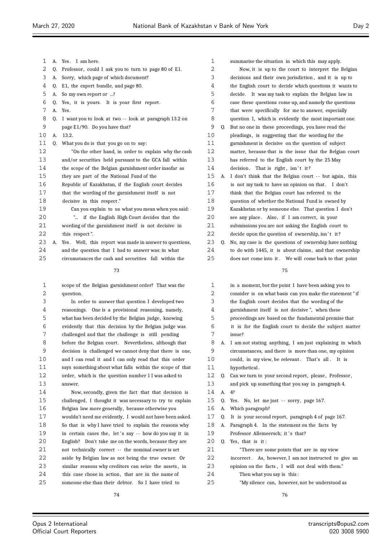| 1  | А. | Yes. I am here.                                         |
|----|----|---------------------------------------------------------|
| 2  | 0. | Professor, could I ask you to turn to page 80 of E1.    |
| 3  | A. | Sorry, which page of which document?                    |
| 4  | 0. | E1, the expert bundle, and page 80.                     |
| 5  | A. | So my own report or ?                                   |
| 6  | 0. | Yes, it is yours. It is your first report.              |
| 7  | A. | Yes.                                                    |
| 8  | 0. | I want you to look at two -- look at paragraph 13.2 on  |
| 9  |    | page E1/90. Do you have that?                           |
| 10 | A. | 13.2.                                                   |
| 11 | 0. | What you do is that you go on to say:                   |
| 12 |    | "On the other hand, in order to explain why the cash    |
| 13 |    | and/or securities held pursuant to the GCA fall within  |
| 14 |    | the scope of the Belgian garnishment order insofar as   |
| 15 |    | they are part of the National Fund of the               |
| 16 |    | Republic of Kazakhstan, if the English court decides    |
| 17 |    | that the wording of the garnishment itself is not       |
| 18 |    | decisive in this respect."                              |
| 19 |    | Can you explain to us what you mean when you said:      |
| 20 |    | " if the English High Court decides that the            |
| 21 |    | wording of the garnishment itself is not decisive in    |
| 22 |    | this respect".                                          |
| 23 | A. | Yes. Well, this report was made in answer to questions, |
| 24 |    | and the question that I had to answer was: in what      |
| 25 |    | circumstances the cash and securities fall within the   |
|    |    | 73                                                      |
|    |    |                                                         |

 scope of the Belgian garnishment order? That was the 2 question.

 In order to answer that question I developed two reasonings. One is a provisional reasoning, namely, what has been decided by the Belgian judge, knowing evidently that this decision by the Belgian judge was challenged and that the challenge is still pending 8 before the Belgian court. Nevertheless, although that decision is challenged we cannot deny that there is one, and I can read it and I can only read that this order says something about what falls within the scope of that order, which is the question number 1 I was asked to answer.

 Now, secondly, given the fact that that decision is challenged, I thought it was necessary to try to explain Belgian law more generally, because otherwise you wouldn't need me evidently, I would not have been asked. So that is why I have tried to explain the reasons why 19 in certain cases the, let's say -- how do you say it in English? Don't take me on the words, because they are not technically correct - - the nominal owner is set aside by Belgian law as not being the true owner. Or similar reasons why creditors can seize the assets , in 24 this case chose in action, that are in the name of someone else than their debtor. So I have tried to

| $\mathbf 1$ |    | summarise the situation in which this may apply.         |
|-------------|----|----------------------------------------------------------|
| 2           |    | Now, it is up to the court to interpret the Belgian      |
| 3           |    | decisions and their own jurisdiction, and it is up to    |
| 4           |    | the English court to decide which questions it wants to  |
| 5           |    | decide. It was my task to explain the Belgian law in     |
| 6           |    | case these questions come up, and namely the questions   |
| 7           |    | that were specifically for me to answer, especially      |
| 8           |    | question 1, which is evidently the most important one.   |
| 9           | Q. | But no one in these proceedings, you have read the       |
| 10          |    | pleadings, is suggesting that the wording for the        |
| 11          |    | garnishment is decisive on the question of subject       |
| 12          |    | matter, because that is the issue that the Belgian court |
| 13          |    | has referred to the English court by the 25 May          |
| 14          |    | decision. That is right, isn't it?                       |
| 15          | А. | I don't think that the Belgian court -- but again, this  |
| 16          |    | is not my task to have an opinion on that. I don't       |
| 17          |    | think that the Belgian court has referred to the         |
| 18          |    | question of whether the National Fund is owned by        |
| 19          |    | Kazakhstan or by someone else. That question I don't     |
| 20          |    | see any place. Also, if I am correct, in your            |
| 21          |    | submissions you are not asking the English court to      |
| 22          |    | decide upon the question of ownership, isn't it?         |
| 23          | 0. | No, my case is the questions of ownership have nothing   |
| 24          |    | to do with 1445, it is about claims, and that ownership  |
| 25          |    | does not come into it. We will come back to that point   |
|             |    | 7 E                                                      |

# in a moment, but the point I have been asking you to consider is on what basis can you make the statement " if the English court decides that the wording of the garnishment itself is not decisive ", when these proceedings are based on the fundamental premise that it is for the English court to decide the subject matter issue? A. I am not stating anything, I am just explaining in which circumstances, and there is more than one, my opinion 10 could, in my view, be relevant. That's all. It is hypothetical . 12 Q. Can we turn to your second report, please, Professor, and pick up something that you say in paragraph 4. A. 4? Q. Yes. No, let me just - - sorry, page 167. A. Which paragraph? Q. It is your second report, paragraph 4 of page 167. A. Paragraph 4. In the statement on the facts by 19 Professor Allemeersch; it 's that? Q. Yes, that is it : "There are some points that are in my view 22 incorrect. As, however, I am not instructed to give an opinion on the facts , I will not deal with them." Then what you say is this : "My silence can, however, not be understood as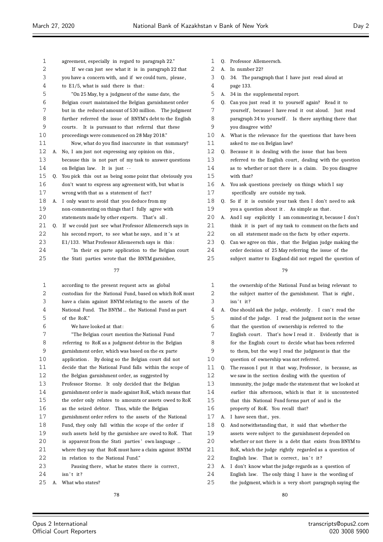$\equiv$ 

ż

| $\mathbf{1}$ |    | agreement, especially in regard to paragraph 22."        | 1  |    | Q. Professor Allemeersch.                                      |
|--------------|----|----------------------------------------------------------|----|----|----------------------------------------------------------------|
| 2            |    | If we can just see what it is in paragraph 22 that       | 2  |    | A. In number 22?                                               |
| 3            |    | you have a concern with, and if we could turn, please,   | 3  | Q. | 34. The paragraph that I have just read aloud at               |
| 4            |    | to $E1/5$ , what is said there is that:                  | 4  |    | page 133.                                                      |
| 5            |    | "On 25 May, by a judgment of the same date, the          | 5  |    | A. 34 in the supplemental report.                              |
| 6            |    | Belgian court maintained the Belgian garnishment order   | 6  | Q. | Can you just read it to yourself again? Read it to             |
| 7            |    | but in the reduced amount of 530 million. The judgment   | 7  |    | yourself, because I have read it out aloud. Just read          |
| 8            |    | further referred the issue of BNYM's debt to the English | 8  |    | paragraph 34 to yourself. Is there anything there that         |
| 9            |    | courts. It is pursuant to that referral that these       | 9  |    | you disagree with?                                             |
| 10           |    | proceedings were commenced on 28 May 2018."              | 10 |    | A. What is the relevance for the questions that have been      |
| 11           |    | Now, what do you find inaccurate in that summary?        | 11 |    | asked to me on Belgian law?                                    |
| 12           | А. | No, I am just not expressing any opinion on this,        | 12 | Q. | Because it is dealing with the issue that has been             |
| 13           |    | because this is not part of my task to answer questions  | 13 |    | referred to the English court, dealing with the question       |
| 14           |    | on Belgian law. It is just --                            | 14 |    | as to whether or not there is a claim. Do you disagree         |
| 15           | Q. | You pick this out as being some point that obviously you | 15 |    | with that?                                                     |
| 16           |    | don't want to express any agreement with, but what is    | 16 |    | A. You ask questions precisely on things which I say           |
| 17           |    | wrong with that as a statement of fact?                  | 17 |    | specifically are outside my task.                              |
| 18           |    | A. I only want to avoid that you deduce from my          | 18 |    | Q. So if it is outside your task then I don't need to ask      |
| 19           |    | non-commenting on things that I fully agree with         | 19 |    | you a question about it. As simple as that.                    |
| 20           |    | statements made by other experts. That's all.            | 20 |    | A. And I say explicitly I am commenting it, because I don't    |
| 21           | Q. | If we could just see what Professor Allemeersch says in  | 21 |    | think it is part of my task to comment on the facts and        |
| 22           |    | his second report, to see what he says, and it's at      | 22 |    | on all statement made on the facts by other experts.           |
| 23           |    | E1/133. What Professor Allemeersch says is this:         | 23 | 0. | Can we agree on this, that the Belgian judge making the        |
| 24           |    | "In their ex parte application to the Belgian court      | 24 |    | order decision of 25 May referring the issue of the            |
| 25           |    | the Stati parties wrote that the BNYM garnishee,         | 25 |    | subject matter to England did not regard the question of       |
|              |    | 77                                                       |    |    | 79                                                             |
|              |    |                                                          |    |    |                                                                |
| $\mathbf{1}$ |    | according to the present request acts as global          | 1  |    | the ownership of the National Fund as being relevant to        |
| 2            |    | custodian for the National Fund, based on which RoK must | 2  |    | the subject matter of the garnishment. That is right,          |
| 3            |    |                                                          |    |    |                                                                |
| 4            |    | have a claim against BNYM relating to the assets of the  | 3  |    | isn't it?                                                      |
|              |    | National Fund. The BNYM  the National Fund as part       | 4  | А. | One should ask the judge, evidently. I can't read the          |
| 5            |    | of the RoK."                                             | 5  |    | mind of the judge. I read the judgment not in the sense        |
| 6            |    | We have looked at that:                                  | 6  |    | that the question of ownership is referred to the              |
| 7            |    | "The Belgian court mention the National Fund             | 7  |    | English court. That's how I read it. Evidently that is         |
| 8            |    | referring to RoK as a judgment debtor in the Belgian     | 8  |    | for the English court to decide what has been referred         |
| 9            |    | garnishment order, which was based on the ex parte       | 9  |    | to them, but the way I read the judgment is that the           |
| 10           |    | application. By doing so the Belgian court did not       | 10 |    | question of ownership was not referred.                        |
| 11           |    | decide that the National Fund falls within the scope of  | 11 | Q. | The reason I put it that way, Professor, is because, as        |
| 12           |    | the Belgian garnishment order, as suggested by           | 12 |    | we saw in the section dealing with the question of             |
| 13           |    | Professor Storme. It only decided that the Belgian       | 13 |    | immunity, the judge made the statement that we looked at       |
| 14           |    | garnishment order is made against RoK, which means that  | 14 |    | earlier this afternoon, which is that it is uncontested        |
| 15           |    | the order only relates to amounts or assets owed to RoK  | 15 |    | that this National Fund forms part of and is the               |
| 16           |    | as the seized debtor. Thus, while the Belgian            | 16 |    | property of RoK. You recall that?                              |
| 17           |    | garnishment order refers to the assets of the National   | 17 |    | A. I have seen that, yes.                                      |
| 18           |    | Fund, they only fall within the scope of the order if    | 18 | Q. | And notwithstanding that, it said that whether the             |
| 19           |    | such assets held by the garnishee are owed to RoK. That  | 19 |    | assets were subject to the garnishment depended on             |
| 20           |    | is apparent from the Stati parties' own language         | 20 |    | whether or not there is a debt that exists from BNYM to        |
| 21           |    | where they say that RoK must have a claim against BNYM   | 21 |    | RoK, which the judge rightly regarded as a question of         |
| 22           |    | in relation to the National Fund."                       | 22 |    | English law. That is correct, isn't it?                        |
| 23           |    | Pausing there, what he states there is correct,          | 23 |    | A. I don't know what the judge regards as a question of        |
| 24           |    | isn't it?                                                | 24 |    | English law. The only thing I have is the wording of           |
| 25           | А. | What who states?<br>78                                   | 25 |    | the judgment, which is a very short paragraph saying the<br>80 |

 $\equiv$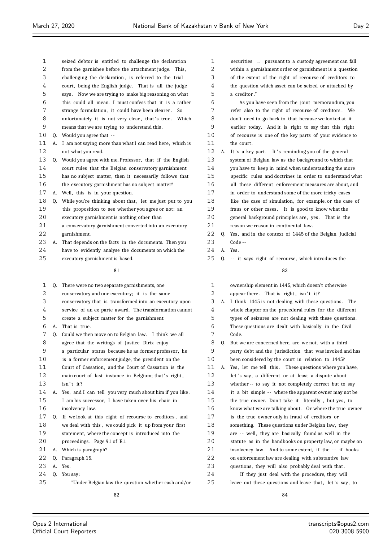| 2  |    | from the garnishee before the attachment judge. This,       | 2              |
|----|----|-------------------------------------------------------------|----------------|
| 3  |    | challenging the declaration, is referred to the trial       | 3              |
| 4  |    | court, being the English judge. That is all the judge       | 4              |
| 5  |    | says. Now we are trying to make big reasoning on what       | 5              |
| 6  |    | this could all mean. I must confess that it is a rather     | $\epsilon$     |
| 7  |    | strange formulation, it could have been clearer.<br>So.     | 7              |
| 8  |    | unfortunately it is not very clear, that's true. Which      | E              |
| 9  |    | means that we are trying to understand this.                | S              |
| 10 |    | 0. Would you agree that $-$                                 | 10             |
| 11 | А. | I am not saying more than what I can read here, which is    | 11             |
| 12 |    | not what you read.                                          | 12             |
| 13 |    | Q. Would you agree with me, Professor, that if the English  | 13             |
| 14 |    | court rules that the Belgian conservatory garnishment       | 14             |
| 15 |    | has no subject matter, then it necessarily follows that     | 15             |
| 16 |    | the executory garnishment has no subject matter?            | 16             |
| 17 |    | A. Well, this is in your question.                          | 17             |
| 18 |    | Q. While you're thinking about that, let me just put to you | 18             |
| 19 |    | this proposition to see whether you agree or not: an        | 1 <sup>°</sup> |
| 20 |    | executory garnishment is nothing other than                 | 2 C            |
| 21 |    | a conservatory garnishment converted into an executory      | 21             |
| 22 |    | garnishment.                                                | 22             |
| 23 | А. | That depends on the facts in the documents. Then you        | 23             |
| 24 |    | have to evidently analyse the documents on which the        | 24             |
| 25 |    | executory garnishment is based.                             | 25             |
|    |    | 81                                                          |                |

seized debtor is entitled to challenge the declaration

| 1  | 0. | There were no two separate garnishments, one             |
|----|----|----------------------------------------------------------|
| 2  |    | conservatory and one executory; it is the same           |
| 3  |    | conservatory that is transformed into an executory upon  |
| 4  |    | service of an ex parte award. The transformation cannot  |
| 5  |    | create a subject matter for the garnishment.             |
| 6  | А. | That is true.                                            |
| 7  | Q. | Could we then move on to Belgian law. I think we all     |
| 8  |    | agree that the writings of Justice Dirix enjoy           |
| 9  |    | a particular status because he as former professor, he   |
| 10 |    | is a former enforcement judge, the president on the      |
| 11 |    | Court of Cassation, and the Court of Cassation is the    |
| 12 |    | main court of last instance in Belgium; that's right,    |
| 13 |    | $isn't$ it?                                              |
| 14 | A. | Yes, and I can tell you very much about him if you like. |
| 15 |    | I am his successor, I have taken over his chair in       |
| 16 |    | insolvency law.                                          |
| 17 | 0. | If we look at this right of recourse to creditors, and   |
| 18 |    | we deal with this, we could pick it up from your first   |
| 19 |    | statement, where the concept is introduced into the      |
| 20 |    | proceedings. Page 91 of E1.                              |
| 21 | А. | Which is paragraph?                                      |
| 22 | 0. | Paragraph 15.                                            |
| 23 | А. | Yes.                                                     |
| 24 | 0. | You say:                                                 |
| 25 |    | "Under Belgian law the question whether cash and/or      |
|    |    | 82                                                       |

| $\mathbf{1}$ |    | securities  pursuant to a custody agreement can fall     |
|--------------|----|----------------------------------------------------------|
| 2            |    | within a garnishment order or garnishment is a question  |
| 3            |    | of the extent of the right of recourse of creditors to   |
| 4            |    | the question which asset can be seized or attached by    |
| 5            |    | a creditor."                                             |
| 6            |    | As you have seen from the joint memorandum, you          |
| 7            |    | refer also to the right of recourse of creditors. We     |
| 8            |    | don't need to go back to that because we looked at it    |
| 9            |    | earlier today. And it is right to say that this right    |
| 10           |    | of recourse is one of the key parts of your evidence to  |
| 11           |    | the court.                                               |
| 12           | А. | It's a key part. It's reminding you of the general       |
| 13           |    | system of Belgian law as the background to which that    |
| 14           |    | you have to keep in mind when understanding the more     |
| 15           |    | specific rules and doctrines in order to understand what |
| 16           |    | all these different enforcement measures are about, and  |
| 17           |    | in order to understand some of the more tricky cases     |

- like the case of simulation, for example, or the case of
- fraus or other cases . It is good to know what the
- 20 general background principles are, yes. That is the reason we reason in continental law.
- Q. Yes, and in the context of 1445 of the Belgian Judicial Code --
- A. Yes.
- Q. - it says right of recourse, which introduces the

| $\mathbf 1$ |    | ownership element in 1445, which doesn't otherwise       |
|-------------|----|----------------------------------------------------------|
| 2           |    | appear there. That is right, isn't it?                   |
| 3           | А. | I think 1445 is not dealing with these questions. The    |
| 4           |    | whole chapter on the procedural rules for the different  |
| 5           |    | types of seizures are not dealing with these questions.  |
| 6           |    | These questions are dealt with basically in the Civil    |
| 7           |    | Code.                                                    |
| 8           | 0. | But we are concerned here, are we not, with a third      |
| 9           |    | party debt and the jurisdiction that was invoked and has |
| 10          |    | been considered by the court in relation to 1445?        |
| 11          | А. | Yes, let me tell this. These questions where you have,   |
| 12          |    | let's say, a different or at least a dispute about       |
| 13          |    | whether -- to say it not completely correct but to say   |
| 14          |    | it a bit simple -- where the apparent owner may not be   |
| 15          |    | the true owner. Don't take it literally, but yes, to     |
| 16          |    | know what we are talking about. Or where the true owner  |
| 17          |    | is the true owner only in fraud of creditors or          |
| 18          |    | something. These questions under Belgian law, they       |
| 19          |    | are -- well, they are basically found as well in the     |
| 20          |    | statute as in the handbooks on property law, or maybe on |
| 21          |    | insolvency law. And to some extent, if the -- if books   |
| 22          |    | on enforcement law are dealing with substantive law      |
| 23          |    | questions, they will also probably deal with that.       |
| 24          |    | If they just deal with the procedure, they will          |
| 25          |    | leave out these questions and leave that, let's say, to  |
|             |    |                                                          |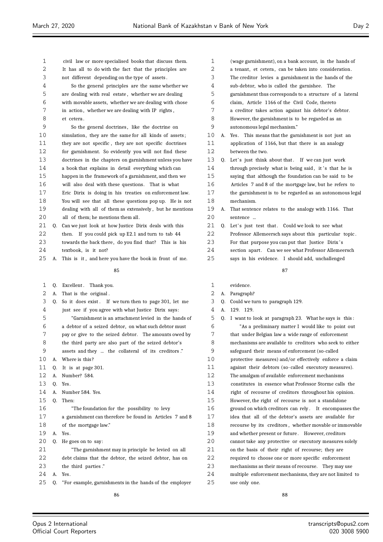| 2  |    | It has all to do with the fact that the principles are   | 2      | a tenant, et cetera, can be taken into consideration.   |
|----|----|----------------------------------------------------------|--------|---------------------------------------------------------|
| 3  |    | not different depending on the type of assets.           | 3      | The creditor levies a garnishment in the hands of the   |
| 4  |    | So the general principles are the same whether we        | 4      | sub-debtor, who is called the garnishee. The            |
| 5  |    | are dealing with real estate, whether we are dealing     | 5      | garnishment thus corresponds to a structure of a late   |
| 6  |    | with movable assets, whether we are dealing with chose   | 6      | claim, Article 1166 of the Civil Code, thereto          |
| 7  |    | in action, whether we are dealing with IP rights,        | 7      | a creditor takes action against his debtor's debtor.    |
| 8  |    | et cetera.                                               | 8      | However, the garnishment is to be regarded as an        |
| 9  |    | So the general doctrines, like the doctrine on           | 9      | autonomous legal mechanism."                            |
| 10 |    | simulation, they are the same for all kinds of assets;   | 10     | A. Yes. This means that the garnishment is not just an  |
| 11 |    | they are not specific, they are not specific doctrines   | 11     | application of 1166, but that there is an analogy       |
| 12 |    | for garnishment. So evidently you will not find these    | 12     | between the two.                                        |
| 13 |    | doctrines in the chapters on garnishment unless you have | 13     | Q. Let's just think about that. If we can just work     |
| 14 |    | a book that explains in detail everything which can      | 14     | through precisely what is being said, it's that he is   |
| 15 |    | happen in the framework of a garnishment, and then we    | 15     | saying that although the foundation can be said to be   |
| 16 |    | will also deal with these questions. That is what        | 16     | Articles 7 and 8 of the mortgage law, but he refers t   |
| 17 |    | Eric Dirix is doing in his treaties on enforcement law.  | 17     | the garnishment is to be regarded as an autonomous l    |
| 18 |    | You will see that all these questions pop up. He is not  | 18     | mechanism.                                              |
| 19 |    | dealing with all of them as extensively, but he mentions | 19     | A. That sentence relates to the analogy with 1166. That |
| 20 |    | all of them; he mentions them all.                       | 20     | sentence                                                |
| 21 | Q. | Can we just look at how Justice Dirix deals with this    | 21     | Q. Let's just test that. Could we look to see what      |
| 22 |    | then. If you could pick up E2.1 and turn to tab 44       | 22     | Professor Allemeersch says about this particular topi   |
| 23 |    | towards the back there, do you find that? This is his    | 23     | For that purpose you can put that Justice Dirix's       |
| 24 |    | textbook, is it not?                                     | 24     | section apart. Can we see what Professor Allemeerscl    |
| 25 | A. | This is it, and here you have the book in front of me.   | 25     | says in his evidence. I should add, unchallenged        |
|    |    |                                                          |        |                                                         |
|    |    | 85                                                       |        | 87                                                      |
| 1  | Q. | Excellent. Thank you.                                    | 1      | evidence.                                               |
| 2  | А. | That is the original.                                    | 2      | A. Paragraph?                                           |
| 3  | Q. | So it does exist. If we turn then to page 301, let me    | 3      | Q. Could we turn to paragraph 129.                      |
| 4  |    | just see if you agree with what Justice Dirix says:      | 4      | A. 129. 129.                                            |
| 5  |    | "Garnishment is an attachment levied in the hands of     | 5      | Q. I want to look at paragraph 23. What he says is this |
| 6  |    | a debtor of a seized debtor, on what such debtor must    | 6      | "As a preliminary matter I would like to point ou       |
| 7  |    | pay or give to the seized debtor. The amounts owed by    | 7      | that under Belgian law a wide range of enforcement      |
| 8  |    | the third party are also part of the seized debtor's     | 8      | mechanisms are available to creditors who seek to eit   |
| 9  |    | assets and they  the collateral of its creditors."       | 9      | safeguard their means of enforcement (so-called         |
| 10 |    | A. Where is this?                                        | 10     | protective measures) and/or effectively enforce a cla   |
| 11 | Q. | It is at page 301.                                       | 11     | against their debtors (so-called executory measures)    |
| 12 | А. | Number? 584.                                             | 12     | The amalgam of available enforcement mechanisms         |
| 13 | Q. | Yes.                                                     | 13     | constitutes in essence what Professor Storme calls th   |
| 14 | А. | Number 584. Yes.                                         | 14     | right of recourse of creditors throughout his opinion   |
| 15 | Q. | Then:                                                    | 15     | However, the right of recourse is not a standalone      |
| 16 |    | "The foundation for the possibility to levy              | 16     | ground on which creditors can rely. It encompasses      |
| 17 |    | a garnishment can therefore be found in Articles 7 and 8 | 17     | idea that all of the debtor's assets are available fo   |
| 18 |    | of the mortgage law."                                    | 18     | recourse by its creditors, whether movable or immov     |
| 19 |    | A. Yes.                                                  | 19     | and whether present or future. However, creditors       |
| 20 | Q. | He goes on to say:                                       | 20     | cannot take any protective or executory measures sole   |
| 21 |    | "The garnishment may in principle be levied on all       | 21     | on the basis of their right of recourse; they are       |
| 22 |    | debt claims that the debtor, the seized debtor, has on   | 22     | required to choose one or more specific enforcement     |
| 23 |    | the third parties."                                      | 23     | mechanisms as their means of recourse. They may use     |
| 24 | А. | Yes.                                                     | $2\,4$ | multiple enforcement mechanisms, they are not limited   |
|    |    |                                                          |        |                                                         |
| 25 | Q. | "For example, garnishments in the hands of the employer  | 25     | use only one.                                           |

civil law or more specialised books that discuss them.

|    |    | rne ereunor hevies a garmoninem in the nanas or the      |
|----|----|----------------------------------------------------------|
| 4  |    | sub-debtor, who is called the garnishee. The             |
| 5  |    | garnishment thus corresponds to a structure of a lateral |
| 6  |    | claim, Article 1166 of the Civil Code, thereto           |
| 7  |    | a creditor takes action against his debtor's debtor.     |
| 8  |    | However, the garnishment is to be regarded as an         |
| 9  |    | autonomous legal mechanism."                             |
| 10 | A. | Yes. This means that the garnishment is not just an      |
| 11 |    | application of 1166, but that there is an analogy        |
| 12 |    | between the two.                                         |
| 13 | 0. | Let's just think about that. If we can just work         |
| 14 |    | through precisely what is being said, it's that he is    |
| 15 |    | saying that although the foundation can be said to be    |
| 16 |    | Articles 7 and 8 of the mortgage law, but he refers to   |
| 17 |    | the garnishment is to be regarded as an autonomous legal |
| 18 |    | mechanism.                                               |
| 19 | А. | That sentence relates to the analogy with 1166. That     |
| 20 |    | sentence                                                 |
| 21 | Q. | Let's just test that. Could we look to see what          |
|    |    |                                                          |

(wage garnishment), on a bank account, in the hands of

- Professor Allemeersch says about this particular topic. For that purpose you can put that Justice Dirix's section apart. Can we see what Professor Allemeersch
- says in his evidence. I should add, unchallenged

| 1    |    | evidence.                                                |
|------|----|----------------------------------------------------------|
| 2    | А. | Paragraph?                                               |
| 3    | 0. | Could we turn to paragraph 129.                          |
| 4    | A. | 129. 129.                                                |
| 5    | 0. | I want to look at paragraph 23. What he says is this:    |
| 6    |    | "As a preliminary matter I would like to point out       |
| 7    |    | that under Belgian law a wide range of enforcement       |
| 8    |    | mechanisms are available to creditors who seek to either |
| 9    |    | safeguard their means of enforcement (so-called          |
| 10   |    | protective measures) and/or effectively enforce a claim  |
| 11   |    | against their debtors (so-called executory measures).    |
| 12   |    | The amalgam of available enforcement mechanisms          |
| 13   |    | constitutes in essence what Professor Storme calls the   |
| 14   |    | right of recourse of creditors throughout his opinion.   |
| 15   |    | However, the right of recourse is not a standalone       |
| 16   |    | ground on which creditors can rely. It encompasses the   |
| 17   |    | idea that all of the debtor's assets are available for   |
| 18   |    | recourse by its creditors, whether movable or immovable  |
| 19   |    | and whether present or future. However, creditors        |
| 20   |    | cannot take any protective or executory measures solely  |
| 21   |    | on the basis of their right of recourse; they are        |
| 2.2. |    | required to choose one or more specific enforcement      |
| 23   |    | mechanisms as their means of recourse. They may use      |
| 2.4  |    | multiple enforcement mechanisms, they are not limited to |
| 25   |    | use only one.                                            |
|      |    |                                                          |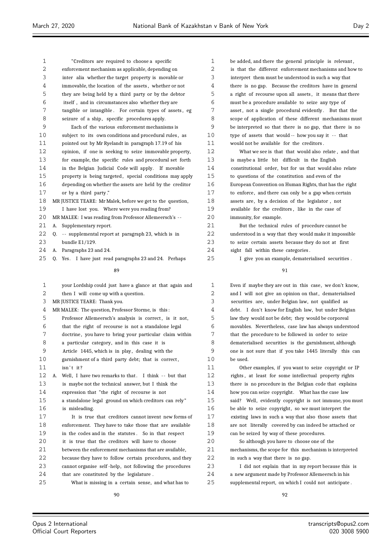| 1  | "Creditors are required to choose a specific                | 1  | be added, and there the |
|----|-------------------------------------------------------------|----|-------------------------|
| 2  | enforcement mechanism as applicable, depending on           | 2  | is that the different e |
| 3  | inter alia whether the target property is movable or        | 3  | interpret them must be  |
| 4  | immovable, the location of the assets, whether or not       | 4  | there is no gap. Becar  |
| 5  | they are being held by a third party or by the debtor       | 5  | a right of recourse up  |
| 6  | itself, and in circumstances also whether they are          | 6  | must be a procedure av  |
| 7  | tangible or intangible. For certain types of assets, eg     | 7  | asset, not a single pro |
| 8  | seizure of a ship, specific procedures apply.               | 8  | scope of application of |
| 9  | Each of the various enforcement mechanisms is               | 9  | be interpreted so that  |
| 10 | subject to its own conditions and procedural rules, as      | 10 | type of assets that wo  |
| 11 | pointed out by Mr Ryelandt in paragraph 17.19 of his        | 11 | would not be available  |
| 12 | opinion, if one is seeking to seize immovable property,     | 12 | What we see is that     |
| 13 | for example, the specific rules and procedural set forth    | 13 | is maybe a little bit   |
| 14 | in the Belgian Judicial Code will apply. If movable         | 14 | constitutional order, b |
| 15 | property is being targeted, special conditions may apply    | 15 | to questions of the cor |
| 16 | depending on whether the assets are held by the creditor    | 16 | European Convention or  |
| 17 | or by a third party."                                       | 17 | to enforce, and there o |
| 18 | MR JUSTICE TEARE: Mr Malek, before we get to the question,  | 18 | assets are, by a decisi |
| 19 | I have lost you. Where were you reading from?               | 19 | available for the credi |
| 20 | MR MALEK: I was reading from Professor Allemeersch's --     | 20 | immunity, for example.  |
| 21 | A. Supplementary report.                                    | 21 | But the technical r     |
| 22 | -- supplemental report at paragraph 23, which is in<br>Q.   | 22 | understood in a way tha |
| 23 | bundle E1/129.                                              | 23 | to seize certain assets |
| 24 | A. Paragraphs 23 and 24.                                    | 24 | sight fall within these |
| 25 | Q. Yes. I have just read paragraphs 23 and 24. Perhaps      | 25 | I give you an exam      |
|    | 89                                                          |    |                         |
| 1  | your Lordship could just have a glance at that again and    | 1  | Even if maybe they are  |
| 2  | then I will come up with a question.                        | 2  | and I will not give an  |
| 3  | MR JUSTICE TEARE: Thank you.                                | 3  | securities are, under l |
| 4  | MR MALEK: The question, Professor Storme, is this:          | 4  | debt. I don't know fo   |
| 5  | Professor Allemeersch's analysis is correct, is it not,     | 5  | law they would not be d |
| 6  | that the right of recourse is not a standalone legal        | 6  | movables. Nevertheless  |
| 7  | doctrine, you have to bring your particular claim within    | 7  | that the procedure to b |
| 8  | a particular category, and in this case it is               | 8  | dematerialised securiti |
| 9  | Article 1445, which is in play, dealing with the            | 9  | one is not sure that if |
| 10 | garnishment of a third party debt; that is correct,         | 10 | be used.                |
| 11 | isn't it?                                                   | 11 | Other examples, if      |
| 12 | Well, I have two remarks to that. I think -- but that<br>А. | 12 | rights, at least for so |
| 13 | is maybe not the technical answer, but I think the          | 13 | there is no procedure i |
| 14 | expression that "the right of recourse is not               | 14 | how you can seize copy: |
| 15 | a standalone legal ground on which creditors can rely"      | 15 | said? Well, evidently   |
| 16 | is misleading.                                              | 16 | be able to seize copyri |
| 17 | It is true that creditors cannot invent new forms of        | 17 | existing laws in such a |
| 18 | enforcement. They have to take those that are available     | 18 | are not literally cover |
| 19 | in the codes and in the statutes. So in that respect        | 19 | can be seized by way of |
| 20 | it is true that the creditors will have to choose           | 20 | So although you hav     |
| 21 | between the enforcement mechanisms that are available,      | 21 | mechanisms, the scope f |
| 22 | because they have to follow certain procedures, and they    | 22 | in such a way that then |
| 23 | cannot organise self-help, not following the procedures     | 23 | I did not explain t     |
| 24 | that are constituted by the legislature.                    | 24 | a new argument made b   |
| 25 | What is missing in a certain sense, and what has to         | 25 | supplemental report, or |
|    |                                                             |    |                         |

general principle is relevant,  $\frac{1}{2}$  inforcement mechanisms and how to understood in such a way that use the creditors have in general on all assets, it means that there railable to seize any type of ocedural evidently . But that the these different mechanisms must there is no gap, that there is no uld -- how you say it -- that for the creditors. that would also relate, and that difficult in the English out for us that would also relate nstitution and even of the n Human Rights, that has the right can only be a gap when certain

ion of the legislator, not itors, like in the case of

ules of procedure cannot be at they would make it impossible because they do not at first categories.

.<br>25 I give dematerialised securities .

91

out in this case, we don't know, opinion on that, dematerialised Belgian law, not qualified as r English law, but under Belgian debt; they would be corporeal s, case law has always understood re followed in order to seize es is the garnishment, although you take 1445 literally this can

you want to seize copyright or IP ome intellectual property rights in the Belgian code that explains right. What has the case law copyright is not immune, you must ight, so we must interpret the way that also those assets that red by can indeed be attached or f these procedures.

ve to choose one of the for this mechanism is interpreted e is no gap.

that in my report because this is by Professor Allemeersch in his n which I could not anticipate.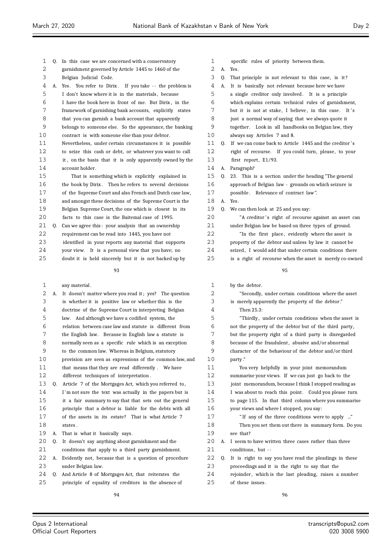| 2  |    | garnishment governed by Article 1445 to 1460 of the      |
|----|----|----------------------------------------------------------|
| 3  |    | Belgian Judicial Code.                                   |
| 4  | А. | Yes. You refer to Dirix. If you take -- the problem is   |
| 5  |    | I don't know where it is in the materials, because       |
| 6  |    | I have the book here in front of me. But Dirix, in the   |
| 7  |    | framework of garnishing bank accounts, explicitly states |
| 8  |    | that you can garnish a bank account that apparently      |
| 9  |    | belongs to someone else. So the appearance, the banking  |
| 10 |    | contract is with someone else than your debtor.          |
| 11 |    | Nevertheless, under certain circumstances it is possible |
| 12 |    | to seize this cash or debt, or whatever you want to call |
| 13 |    | it, on the basis that it is only apparently owned by the |
| 14 |    | account holder.                                          |
| 15 |    | That is something which is explicitly explained in       |
| 16 |    | the book by Dirix. Then he refers to several decisions   |
| 17 |    | of the Supreme Court and also French and Dutch case law, |
| 18 |    | and amongst these decisions of the Supreme Court is the  |
| 19 |    | Belgian Supreme Court, the one which is closest in its   |
| 20 |    | facts to this case is the Baitemal case of 1995.         |
| 21 | 0. | Can we agree this: your analysis that an ownership       |
| 22 |    | requirement can be read into 1445, you have not          |
| 23 |    | identified in your reports any material that supports    |
| 24 |    | your view. It is a personal view that you have; no       |
| 25 |    | doubt it is held sincerely but it is not backed up by    |
|    |    | 93                                                       |
|    |    |                                                          |

Q. In this case we are concerned with a conservatory

| 1                 |    | any material.                                            |
|-------------------|----|----------------------------------------------------------|
| 2                 | А. | It doesn't matter where you read it; yes? The question   |
| 3                 |    | is whether it is positive law or whether this is the     |
| 4                 |    | doctrine of the Supreme Court in interpreting Belgian    |
| 5                 |    | law. And although we have a codified system, the         |
| 6                 |    | relation between case law and statute is different from  |
| 7                 |    | the English law. Because in English law a statute is     |
| 8                 |    | normally seen as a specific rule which is an exception   |
| 9                 |    | to the common law. Whereas in Belgium, statutory         |
| 10                |    | provision are seen as expressions of the common law, and |
| 11                |    | that means that they are read differently. We have       |
| $12 \overline{)}$ |    | different techniques of interpretation.                  |
| 13                | 0. | Article 7 of the Mortgages Act, which you referred to,   |
| 14                |    | I'm not sure the text was actually in the papers but is  |
| 15                |    | it a fair summary to say that that sets out the general  |
| 16                |    | principle that a debtor is liable for the debts with all |
| 17                |    | of the assets in its estate? That is what Article 7      |
| 18                |    | states.                                                  |
| 19                | А. | That is what it basically says.                          |
| 20                | 0. | It doesn't say anything about garnishment and the        |
| 21                |    | conditions that apply to a third party garnishment.      |
| 22                | А. | Evidently not, because that is a question of procedure   |
| 23                |    | under Belgian law.                                       |

Q. And Article 8 of Mortgages Act, that reiterates the

- A. Yes.
- Q. That principle is not relevant to this case, is it ?

| 4  | А. | It is basically not relevant because here we have                                                                |
|----|----|------------------------------------------------------------------------------------------------------------------|
| 5  |    | a single creditor only involved. It is a principle                                                               |
| 6  |    | which explains certain technical rules of garnishment,                                                           |
| 7  |    | but it is not at stake, I believe, in this case.<br>It's                                                         |
| 8  |    | just a normal way of saying that we always quote it                                                              |
| 9  |    | together. Look in all handbooks on Belgian law, they                                                             |
| 10 |    | always say Articles 7 and 8.                                                                                     |
| 11 | Q. | If we can come back to Article 1445 and the creditor's                                                           |
| 12 |    | right of recourse. If you could turn, please, to your                                                            |
| 13 |    | first report, E1/93.                                                                                             |
| 14 | Α. | Paragraph?                                                                                                       |
| 15 | Q. | This is a section under the heading "The general<br>23.                                                          |
| 16 |    | approach of Belgian law - grounds on which seizure is                                                            |
| 17 |    | possible. Relevance of contract law".                                                                            |
| 18 | А. | Yes.                                                                                                             |
| 19 | Q. | We can then look at 25 and you say:                                                                              |
| 20 |    | "A creditor's right of recourse against an asset can                                                             |
| 21 |    | under Belgian law be based on three types of ground.                                                             |
| 22 |    | "In the first place, evidently where the asset is                                                                |
| 23 |    |                                                                                                                  |
| 24 |    | property of the debtor and unless by law it cannot be<br>seized. I would add that under certain conditions there |
| 25 |    |                                                                                                                  |
|    |    | is a right of recourse when the asset is merely co-owned                                                         |
|    |    | 95                                                                                                               |
| 1  |    | by the debtor.                                                                                                   |
| 2  |    | "Secondly, under certain conditions where the asset                                                              |
| 3  |    | is merely apparently the property of the debtor."                                                                |
| 4  |    | Then 25.3:                                                                                                       |
| 5  |    | "Thirdly, under certain conditions when the asset is                                                             |
| 6  |    | not the property of the debtor but of the third party,                                                           |
| 7  |    | but the property right of a third party is disregarded                                                           |
| 8  |    | because of the fraudulent, abusive and/or abnormal                                                               |
| 9  |    | character of the behaviour of the debtor and/or third                                                            |
| 10 |    | party."                                                                                                          |
| 11 |    | You very helpfully in your joint memorandum                                                                      |
| 12 |    | summarise your views. If we can just go back to the                                                              |
| 13 |    | joint memorandum, because I think I stopped reading as                                                           |
| 14 |    | I was about to reach this point. Could you please turn                                                           |
| 15 |    | to page 115. In that third column where you summarise                                                            |
| 16 |    | your views and where I stopped, you say:                                                                         |
| 17 |    | "If any of the three conditions were to apply "                                                                  |
| 18 |    | Then you set them out there in summary form. Do you                                                              |
| 19 |    | see that?                                                                                                        |
| 20 | Α. | I seem to have written three cases rather than three                                                             |
| 21 |    | conditions, but --                                                                                               |
| 22 | Q. | It is right to say you have read the pleadings in these                                                          |
| 23 |    | proceedings and it is the right to say that the                                                                  |

proceedings and it is the right to say that the

 rejoinder , which is the last pleading, raises a number of these issues .

principle of equality of creditors in the absence of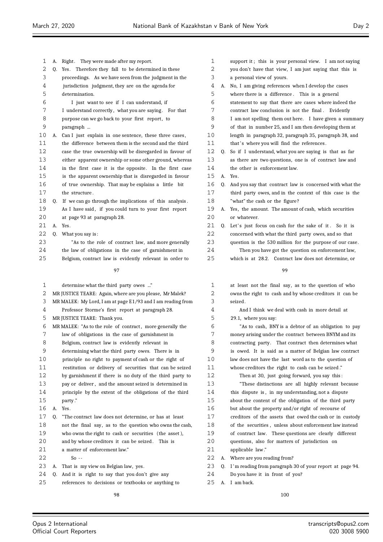$2.2$ 

| 1  | А. | Right. They were made after my report.                      | 1  |    | support it; this is your personal view. I am not saying     |
|----|----|-------------------------------------------------------------|----|----|-------------------------------------------------------------|
| 2  |    | Q. Yes. Therefore they fall to be determined in these       | 2  |    | you don't have that view, I am just saying that this is     |
| 3  |    | proceedings. As we have seen from the judgment in the       | 3  |    | a personal view of yours.                                   |
| 4  |    | jurisdiction judgment, they are on the agenda for           | 4  |    | A. No, I am giving references when I develop the cases      |
| 5  |    | determination.                                              | 5  |    | where there is a difference. This is a general              |
| 6  |    | I just want to see if I can understand, if                  | 6  |    | statement to say that there are cases where indeed the      |
| 7  |    | I understand correctly, what you are saying. For that       | 7  |    | contract law conclusion is not the final. Evidently         |
| 8  |    | purpose can we go back to your first report, to             | 8  |    | I am not spelling them out here. I have given a summary     |
| 9  |    | paragraph                                                   | 9  |    | of that in number 25, and I am then developing them at      |
| 10 | А. | Can I just explain in one sentence, these three cases,      | 10 |    | length in paragraph 32, paragraph 35, paragraph 38, and     |
| 11 |    | the difference between them is the second and the third     | 11 |    | that's where you will find the references.                  |
| 12 |    | case the true ownership will be disregarded in favour of    | 12 | 0. | So if I understand, what you are saying is that as far      |
| 13 |    | either apparent ownership or some other ground, whereas     | 13 |    | as there are two questions, one is of contract law and      |
| 14 |    | in the first case it is the opposite. In the first case     | 14 |    | the other is enforcement law.                               |
| 15 |    | is the apparent ownership that is disregarded in favour     | 15 |    | A. Yes.                                                     |
| 16 |    | of true ownership. That may be explains a little bit        | 16 | 0. | And you say that contract law is concerned with what the    |
| 17 |    | the structure.                                              | 17 |    | third party owes, and in the context of this case is the    |
| 18 | O. | If we can go through the implications of this analysis.     | 18 |    | "what" the cash or the figure?                              |
| 19 |    | As I have said, if you could turn to your first report      | 19 |    | A. Yes, the amount. The amount of cash, which securities    |
| 20 |    | at page 93 at paragraph 28.                                 | 20 |    | or whatever.                                                |
| 21 | А. | Yes.                                                        | 21 |    | Q. Let's just focus on cash for the sake of it. So it is    |
| 22 | 0. | What you say is:                                            | 22 |    | concerned with what the third party owes, and so that       |
| 23 |    | "As to the role of contract law, and more generally         | 23 |    | question is the 530 million for the purpose of our case.    |
| 24 |    | the law of obligations in the case of garnishment in        | 24 |    | Then you have got the question on enforcement law,          |
| 25 |    | Belgium, contract law is evidently relevant in order to     | 25 |    | which is at 28.2. Contract law does not determine, or       |
|    |    |                                                             |    |    |                                                             |
|    |    | 97                                                          |    |    | 99                                                          |
| 1  |    | determine what the third party owes "                       | 1  |    | at least not the final say, as to the question of who       |
| 2  |    | MR JUSTICE TEARE: Again, where are you please, Mr Malek?    | 2  |    | owns the right to cash and by whose creditors it can be     |
| 3  |    | MR MALEK: My Lord, I am at page E1/93 and I am reading from | 3  |    | seized.                                                     |
| 4  |    | Professor Storme's first report at paragraph 28.            | 4  |    | And I think we deal with cash in more detail at             |
| 5  |    | MR JUSTICE TEARE: Thank you.                                | 5  |    | 29.1, where you say:                                        |
| 6  |    | MR MALEK: "As to the role of contract, more generally the   | 6  |    | "As to cash, BNY is a debtor of an obligation to pay        |
| 7  |    | law of obligations in the case of garnishment in            | 7  |    | money arising under the contract between BNYM and its       |
| 8  |    | Belgium, contract law is evidently relevant in              | 8  |    | contracting party. That contract then determines what       |
| 9  |    | determining what the third party owes. There is in          | 9  |    | is owed. It is said as a matter of Belgian law contract     |
| 10 |    | principle no right to payment of cash or the right of       | 10 |    | law does not have the last word as to the question of       |
| 11 |    | restitution or delivery of securities that can be seized    | 11 |    | whose creditors the right to cash can be seized."           |
| 12 |    | by garnishment if there is no duty of the third party to    | 12 |    | Then at 30, just going forward, you say this:               |
| 13 |    | pay or deliver, and the amount seized is determined in      | 13 |    | "These distinctions are all highly relevant because         |
| 14 |    | principle by the extent of the obligations of the third     | 14 |    | this dispute is, in my understanding, not a dispute         |
| 15 |    | party."                                                     | 15 |    | about the content of the obligation of the third party      |
| 16 | А. | Yes.                                                        | 16 |    | but about the property and/or right of recourse of          |
| 17 | Q. | "The contract law does not determine, or has at least       | 17 |    | creditors of the assets that owed the cash or in custody    |
| 18 |    | not the final say, as to the question who owns the cash,    | 18 |    | of the securities, unless about enforcement law instead     |
| 19 |    | who owns the right to cash or securities (the asset),       | 19 |    | of contract law. These questions are clearly different      |
| 20 |    | and by whose creditors it can be seized. This is            | 20 |    | questions, also for matters of jurisdiction on              |
| 21 |    | a matter of enforcement law."                               | 21 |    | applicable law."                                            |
| 22 |    | $So -$                                                      | 22 | А. | Where are you reading from?                                 |
| 23 | А. | That is my view on Belgian law, yes.                        | 23 |    | Q. I'm reading from paragraph 30 of your report at page 94. |
| 24 | Q. | And it is right to say that you don't give any              | 24 |    | Do you have it in front of you?                             |
| 25 |    | references to decisions or textbooks or anything to         | 25 |    | A. I am back.                                               |
|    |    |                                                             |    |    |                                                             |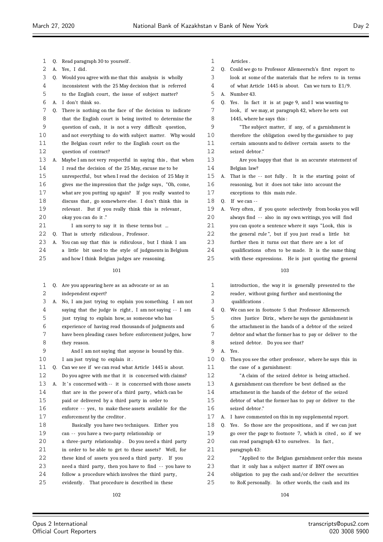| 1  | Q. | Read paragraph 30 to yourself.                                                 | $\mathbf{1}$   |
|----|----|--------------------------------------------------------------------------------|----------------|
| 2  | А. | Yes, I did.                                                                    | $\overline{a}$ |
| 3  | Q. | Would you agree with me that this analysis is wholly                           | 3              |
| 4  |    | inconsistent with the 25 May decision that is referred                         | 4              |
| 5  |    | to the English court, the issue of subject matter?                             | 5              |
| 6  | А. | I don't think so.                                                              | 6              |
| 7  | Q. | There is nothing on the face of the decision to indicate                       | 7              |
| 8  |    | that the English court is being invited to determine the                       | 8              |
| 9  |    | question of cash, it is not a very difficult question,                         | 9              |
| 10 |    | and not everything to do with subject matter. Why would                        | 10             |
| 11 |    | the Belgian court refer to the English court on the                            | 11             |
| 12 |    | question of contract?                                                          | 12             |
| 13 | А. | Maybe I am not very respectful in saying this, that when                       | 13             |
| 14 |    | I read the decision of the 25 May, excuse me to be                             | 14             |
| 15 |    | unrespectful, but when I read the decision of 25 May it                        | 15             |
| 16 |    | gives me the impression that the judge says, "Oh, come,                        | 16             |
| 17 |    | what are you putting up again? If you really wanted to                         | 17             |
| 18 |    | discuss that, go somewhere else. I don't think this is                         | 18             |
| 19 |    | relevant. But if you really think this is relevant,                            | 19             |
| 20 |    | okay you can do it."                                                           | 20             |
| 21 |    | I am sorry to say it in these terms but                                        | 21             |
| 22 | Q. | That is utterly ridiculous, Professor.                                         | 22             |
| 23 | А. | You can say that this is ridiculous, but I think I am                          | 23             |
| 24 |    | a little bit used to the style of judgments in Belgium                         | 24             |
| 25 |    | and how I think Belgian judges are reasoning.                                  | 25             |
|    |    | 101                                                                            |                |
| 1  |    |                                                                                | $\mathbf{1}$   |
| 2  | Q. | Are you appearing here as an advocate or as an                                 | $\overline{a}$ |
| 3  | А. | independent expert?<br>No, I am just trying to explain you something. I am not | 3              |
| 4  |    | saying that the judge is right, I am not saying -- I am                        | 4              |
| 5  |    | just trying to explain how, as someone who has                                 | 5              |
| 6  |    | experience of having read thousands of judgments and                           | 6              |
| 7  |    | have been pleading cases before enforcement judges, how                        | 7              |
| 8  |    | they reason.                                                                   | 8              |
| 9  |    | And I am not saying that anyone is bound by this.                              | 9              |
| 10 |    | I am just trying to explain it.                                                | 10             |
| 11 | 0. | Can we see if we can read what Article 1445 is about.                          | 11             |
| 12 |    | Do you agree with me that it is concerned with claims?                         | 12             |
| 13 | А. | It's concerned with -- it is concerned with those assets                       | 13             |
| 14 |    | that are in the power of a third party, which can be                           | 14             |
| 15 |    | paid or delivered by a third party in order to                                 | 15             |
| 16 |    | enforce -- yes, to make these assets available for the                         | 16             |
| 17 |    | enforcement by the creditor.                                                   | 17             |
| 18 |    | Basically you have two techniques. Either you                                  | 18             |
| 19 |    | can -- you have a two-party relationship or                                    | 19             |
| 20 |    | a three-party relationship. Do you need a third party                          | 20             |
| 21 |    | in order to be able to get to these assets? Well, for                          | 21             |
| 22 |    | these kind of assets you need a third party. If you                            | 22             |
| 23 |    | need a third party, then you have to find -- you have to                       | 23             |
| 24 |    | follow a procedure which involves the third party,                             | 24             |
| 25 |    | evidently. That procedure is described in these                                | 25             |

Articles.

 Q. Could we go to Professor Allemeersch's first report to look at some of the materials that he refers to in terms of what Article is about. Can we turn to E1/9. A. Number 43. Q. Yes. In fact it is at page 9, and I was wanting to look, if we may, at paragraph 42, where he sets out 1445, where he says this : "The subject matter, if any, of a garnishment is therefore the obligation owed by the garnishee to pay certain amounts and to deliver certain assets to the seized debtor." Are you happy that that is an accurate statement of Belgian law? A. That is the -- not fully . It is the starting point of reasoning, but it does not take into account the exceptions to this main rule. 0. If we can  $-$ A. Very often, if you quote selectively from books you will always find -- also in my own writings, you will find you can quote a sentence where it says "Look, this is the general rule", but if you just read a little bit further then it turns out that there are a lot of qualifications often to be made. It is the same thing with these expressions. He is just quoting the general 

| $\mathbf{1}$ |    | introduction, the way it is generally presented to the   |
|--------------|----|----------------------------------------------------------|
| 2            |    | reader, without going further and mentioning the         |
| 3            |    | qualifications.                                          |
| 4            |    | O. We can see in footnote 5 that Professor Allemeersch   |
| 5            |    | cites Justice Dirix, where he says the garnishment is    |
| 6            |    | the attachment in the hands of a debtor of the seized    |
| 7            |    | debtor and what the former has to pay or deliver to the  |
| 8            |    | seized debtor. Do you see that?                          |
| 9            | A. | Yes.                                                     |
| 10           | 0. | Then you see the other professor, where he says this in  |
| 11           |    | the case of a garnishment:                               |
| 12           |    | "A claim of the seized debtor is being attached.         |
| 13           |    | A garnishment can therefore be best defined as the       |
| 14           |    | attachment in the hands of the debtor of the seized      |
| 15           |    | debtor of what the former has to pay or deliver to the   |
| 16           |    | seized debtor."                                          |
| 17           | А. | I have commented on this in my supplemental report.      |
| 18           | Q. | Yes. So those are the propositions, and if we can just   |
| 19           |    | go over the page to footnote 7, which is cited, so if we |
| 20           |    | can read paragraph 43 to ourselves. In fact,             |
| 21           |    | paragraph 43:                                            |
| 22           |    | "Applied to the Belgian garnishment order this means     |
| 23           |    | that it only has a subject matter if BNY owes an         |
| 24           |    | obligation to pay the cash and/or deliver the securities |
| 25           |    | to RoK personally. In other words, the cash and its      |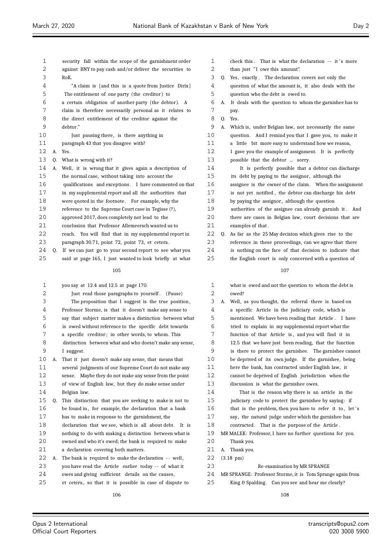$\equiv$ 

| 1  |    | security fall within the scope of the garnishment order  | 1      | check this. That is what the declaration -- it's more         |
|----|----|----------------------------------------------------------|--------|---------------------------------------------------------------|
| 2  |    | against BNY to pay cash and/or deliver the securities to | 2      | than just "I owe this amount".                                |
| 3  |    | RoK.                                                     | 3      | Q.<br>Yes, exactly. The declaration covers not only the       |
| 4  |    | "A claim is [and this is a quote from Justice Dirix]     |        | question of what the amount is, it also deals with the        |
| 5  |    | The entitlement of one party (the creditor) to           | 5      | question who the debt is owed to.                             |
| 6  |    | a certain obligation of another party (the debtor). A    | 6      | А.<br>It deals with the question to whom the garnishee has to |
| 7  |    | claim is therefore necessarily personal as it relates to | 7      | pay.                                                          |
| 8  |    | the direct entitlement of the creditor against the       | 8      | Yes.<br>Q.                                                    |
| 9  |    | debtor."                                                 | 9      | Which is, under Belgian law, not necessarily the same<br>А.   |
| 10 |    | Just pausing there, is there anything in                 | 10     | question. And I remind you that I gave you, to make it        |
| 11 |    | paragraph 43 that you disagree with?                     | 11     | a little bit more easy to understand how we reason,           |
| 12 |    | A. Yes.                                                  | 12     | I gave you the example of assignment. It is perfectly         |
| 13 | Q. | What is wrong with it?                                   | 13     | possible that the debtor  sorry.                              |
| 14 | А. | Well, it is wrong that it gives again a description of   | 14     | It is perfectly possible that a debtor can discharge          |
| 15 |    | the normal case, without taking into account the         | 15     | its debt by paying to the assignor, although the              |
| 16 |    | qualifications and exceptions. I have commented on that  | 16     | assignee is the owner of the claim. When the assignment       |
| 17 |    | in my supplemental report and all the authorities that   | 17     | is not yet notified, the debtor can discharge his debt        |
| 18 |    | were quoted in the footnote. For example, why the        | 18     | by paying the assignor, although the question                 |
| 19 |    | reference to the Supreme Court case in Tegisse (?),      | 19     | authorities of the assignee can already garnish it. And       |
| 20 |    | approved 2017, does completely not lead to the           | 20     | there are cases in Belgian law, court decisions that are      |
| 21 |    | conclusion that Professor Allemeersch wanted us to       | 21     | examples of that.                                             |
| 22 |    | reach. You will find that in my supplemental report in   | 22     | 0.<br>As far as the 25 May decision which gives rise to the   |
| 23 |    | paragraph 30.71, point 72, point 73, et cetera.          | 23     | reference in these proceedings, can we agree that there       |
| 24 | Q. | If we can just go to your second report to see what you  | 24     | is nothing on the face of that decision to indicate that      |
| 25 |    | said at page 165, I just wanted to look briefly at what  | 25     | the English court is only concerned with a question of        |
|    |    | 105                                                      |        | 107                                                           |
| 1  |    | you say at 12.4 and 12.5 at page 170.                    | 1      | what is owed and not the question to whom the debt is         |
| 2  |    | Just read those paragraphs to yourself. (Pause)          | 2      | owed?                                                         |
| 3  |    | The proposition that I suggest is the true position,     | 3      | Well, as you thought, the referral there is based on<br>А.    |
| 4  |    |                                                          |        |                                                               |
|    |    | Professor Storme, is that it doesn't make any sense to   | 4      | a specific Article in the judiciary code, which is            |
| 5  |    | say that subject matter makes a distinction between what | 5      | mentioned. We have been reading that Article. I have          |
| 6  |    | is owed without reference to the specific debt towards   | 6      | tried to explain in my supplemental report what the           |
| 7  |    | a specific creditor; in other words, to whom. This       | 7      | function of that Article is, and you will find it in          |
| 8  |    | distinction between what and who doesn't make any sense, | 8      | 12.5 that we have just been reading, that the function        |
| 9  |    | I suggest.                                               | 9      | is there to protect the garnishee. The garnishee cannot       |
| 10 | A. | That it just doesn't make any sense, that means that     | 10     | be deprived of its own judge. If the garnishee, being         |
| 11 |    | several judgments of our Supreme Court do not make any   | 11     | here the bank, has contracted under English law, it           |
| 12 |    | sense. Maybe they do not make any sense from the point   | 12     | cannot be deprived of English jurisdiction when the           |
| 13 |    | of view of English law, but they do make sense under     | 13     | discussion is what the garnishee owes.                        |
| 14 |    | Belgian law.                                             | 14     | That is the reason why there is an article in the             |
| 15 | Q. | This distinction that you are seeking to make is not to  | 15     | judiciary code to protect the garnishee by saying: if         |
| 16 |    | be found in, for example, the declaration that a bank    | 16     | that is the problem, then you have to refer it to, let's      |
| 17 |    | has to make in response to the garnishment, the          | $17$   | say, the natural judge under which the garnishee has          |
| 18 |    | declaration that we see, which is all about debt. It is  | $1\,8$ | contracted. That is the purpose of the Article.               |
| 19 |    | nothing to do with making a distinction between what is  | 19     | MR MALEK: Professor, I have no further questions for you.     |
| 20 |    | owned and who it's owed; the bank is required to make    | 20     | Thank you.                                                    |
| 21 |    | a declaration covering both matters.                     | 21     | A. Thank you.                                                 |
| 22 | А. | The bank is required to make the declaration -- well,    | 22     | $(3.18 \text{ pm})$                                           |
| 23 |    | you have read the Article earlier today -- of what it    | 23     | Re-examination by MR SPRANGE                                  |
| 24 |    | owes and giving sufficient details on the causes,        | 24     | MR SPRANGE: Professor Storme, it is Tom Sprange again from    |
| 25 |    | et cetera, so that it is possible in case of dispute to  | 25     | King & Spalding. Can you see and hear me clearly?             |

Ξ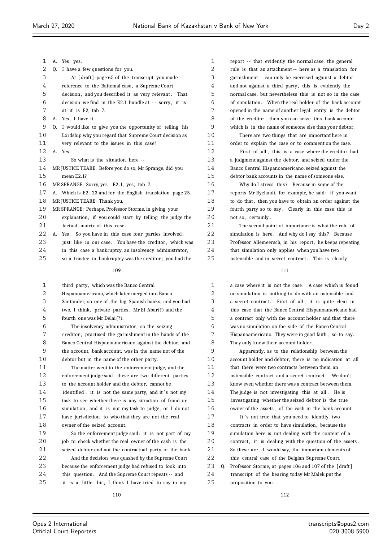| $\mathbf{1}$ |    | A. Yes, yes.                                                |
|--------------|----|-------------------------------------------------------------|
| 2            | 0. | I have a few questions for you.                             |
| 3            |    | At [draft] page 65 of the transcript you made               |
| 4            |    | reference to the Baitemal case, a Supreme Court             |
| 5            |    | decision, and you described it as very relevant. That       |
| 6            |    | decision we find in the E2.1 bundle at -- sorry, it is      |
| 7            |    | at it is E2, tab 7.                                         |
| 8            |    | A. Yes, I have it.                                          |
| 9            | 0. | I would like to give you the opportunity of telling his     |
| 10           |    | Lordship why you regard that Supreme Court decision as      |
| 11           |    | very relevant to the issues in this case?                   |
| 12           |    | A. Yes.                                                     |
| 13           |    | So what is the situation here --                            |
| 14           |    | MR JUSTICE TEARE: Before you do so, Mr Sprange, did you     |
| 15           |    | mean E2.1?                                                  |
| 16           |    | MR SPRANGE: Sorry, yes. E2.1, yes, tab 7.                   |
| 17           |    | A. Which is E2, 23 and for the English translation page 25. |
| 18           |    | MR JUSTICE TEARE: Thank you.                                |
| 19           |    | MR SPRANGE: Perhaps, Professor Storme, in giving your       |
| 20           |    | explanation, if you could start by telling the judge the    |
| 21           |    | factual matrix of this case.                                |
| 22           |    | A. Yes. So you have in this case four parties involved,     |
| 23           |    | just like in our case. You have the creditor, which was     |
| 24           |    | in this case a bankruptcy, an insolvency administrator,     |
| 25           |    | so a trustee in bankruptcy was the creditor; you had the    |
|              |    |                                                             |

| $\mathbf{1}$ | third party, which was the Banco Central                 |
|--------------|----------------------------------------------------------|
| 2            | Hispanoamericano, which later merged into Banco          |
| 3            | Santander, so one of the big Spanish banks; and you had  |
| 4            | two, I think, private parties, Mr El Abar(?) and the     |
| 5            | fourth one was Mr Delai (?).                             |
| 6            | The insolvency administrator, so the seizing             |
| 7            | creditor, practised the garnishment in the hands of the  |
| 8            | Banco Central Hispanoamericano, against the debtor, and  |
| 9            | the account, bank account, was in the name not of the    |
| 10           | debtor but in the name of the other party.               |
| 11           | The matter went to the enforcement judge, and the        |
| 12           | enforcement judge said: these are two different parties  |
| 13           | to the account holder and the debtor, cannot be          |
| 14           | identified, it is not the same party, and it's not my    |
| 15           | task to see whether there is any situation of fraud or   |
| 16           | simulation, and it is not my task to judge, or I do not  |
| 17           | have jurisdiction to who that they are not the real      |
| 18           | owner of the seized account.                             |
| 19           | So the enforcement judge said: it is not part of my      |
| 20           | job to check whether the real owner of the cash is the   |
| 21           | seized debtor and not the contractual party of the bank. |
| 22           | And the decision was quashed by the Supreme Court        |

 because the enforcement judge had refused to look into this question. And the Supreme Court repeats -- and 25 it is a little bit, I think I have tried to say in my

 report - - that evidently the normal case, the general rule is that an attachment -- here as a translation for garnishment -- can only be exercised against a debtor and not against a third party, this is evidently the normal case, but nevertheless this is not so in the case of simulation. When the real holder of the bank account opened in the name of another legal entity is the debtor of the creditor , then you can seize this bank account which is in the name of someone else than your debtor. There are two things that are important here in

order to explain the case or to comment on the case.

 First of all , this is a case where the creditor had a judgment against the debtor, and seized under the Banco Central Hispanoamericano, seized against the debtor bank accounts in the name of someone else.

16 Why do I stress this? Because in some of the reports Mr Ryelandt, for example, he said: if you want 18 to do that, then you have to obtain an order against the fourth party so to say. Clearly in this case this is 20 not so, certainly.

 The second point of importance is what the role of 22 simulation is here. And why do I say this? Because 23 Professor Allemeersch, in his report, he keeps repeating that simulation only applies when you have two 25 ostensible and in secret contract. This is clearly

 a case where it is not the case. A case which is found on simulation is nothing to do with an ostensible and 3 a secret contract. First of all, it is quite clear in this case that the Banco Central Hispanoamericano had a contract only with the account holder and that there was no simulation on the side of the Banco Central Hispanoamericano. They were in good faith , so to say. They only knew their account holder.

 Apparently, as to the relationship between the account holder and debtor, there is no indication at all 11 that there were two contracts between them, an 12 ostensible contract and a secret contract. We don't know even whether there was a contract between them. The judge is not investigating this at all . He is investigating whether the seized debtor is the true owner of the assets , of the cash in the bank account. 17 It's not true that you need to identify two contracts in order to have simulation, because the simulation here is not dealing with the content of a 20 contract, it is dealing with the question of the assets. 21 So these are, I would say, the important elements of this central case of the Belgian Supreme Court. Q. Professor Storme, at pages 106 and 107 of the [ draft ] transcript of the hearing today Mr Malek put the proposition to you - -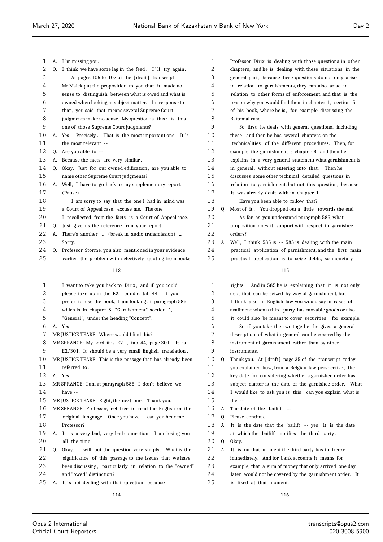| 1        | А. | I'm missing you.                                            |
|----------|----|-------------------------------------------------------------|
| 2        | Q. | I think we have some lag in the feed. I'll try again.       |
| 3        |    | At pages 106 to 107 of the [draft] transcript               |
| 4        |    | Mr Malek put the proposition to you that it made no         |
| 5        |    | sense to distinguish between what is owed and what is       |
| 6        |    | owned when looking at subject matter.  In response to       |
| 7        |    | that, you said that means several Supreme Court             |
| 8        |    | judgments make no sense. My question is this: is this       |
| 9        |    | one of those Supreme Court judgments?                       |
| 10       | А. | Precisely. That is the most important one. It's<br>Yes.     |
| 11       |    | the most relevant --                                        |
| 12       | Q. | Are you able to $-$                                         |
| 13       | А. | Because the facts are very similar.                         |
| 14       | Q. | Okay. Just for our owned edification, are you able to       |
| 15       |    | name other Supreme Court judgments?                         |
| 16       | А. | Well, I have to go back to my supplementary report.         |
| 17       |    | (Pause)                                                     |
| 18       |    | I am sorry to say that the one I had in mind was            |
| 19       |    | a Court of Appeal case, excuse me. The one                  |
| 20       |    | I recollected from the facts is a Court of Appeal case.     |
| 21       | 0. | Just give us the reference from your report.                |
| 22       | А. | There's another  (break in audio transmission)              |
| 23       |    | Sorry.                                                      |
| 24       | 0. | Professor Storme, you also mentioned in your evidence       |
| 25       |    | earlier the problem with selectively quoting from books.    |
|          |    |                                                             |
|          |    | 113                                                         |
| 1        |    | I want to take you back to Dirix, and if you could          |
| 2        |    | please take up in the E2.1 bundle, tab 44. If you           |
| 3        |    | prefer to use the book, I am looking at paragraph 585,      |
| 4        |    | which is in chapter 8, "Garnishment", section 1,            |
| 5        |    | "General", under the heading "Concept".                     |
| 6        | А. | Yes.                                                        |
| 7        |    | MR JUSTICE TEARE: Where would I find this?                  |
|          |    |                                                             |
| 8<br>9   |    | MR SPRANGE: My Lord, it is E2.1, tab 44, page 301. It is    |
|          |    | E2/301. It should be a very small English translation.      |
| 10<br>11 |    | MR JUSTICE TEARE: This is the passage that has already been |
|          |    | referred to.                                                |
| 12       | А. | Yes.                                                        |
| 13       |    | MR SPRANGE: I am at paragraph 585. I don't believe we       |
| 14       |    | have --                                                     |
| 15       |    | MR JUSTICE TEARE: Right, the next one. Thank you.           |
| 16       |    | MR SPRANGE: Professor, feel free to read the English or the |
| 17       |    | original language. Once you have -- can you hear me         |
| 18       |    | Professor?                                                  |
| 19       | А. | It is a very bad, very bad connection. I am losing you      |
| 20       |    | all the time.                                               |
| 21       | Q. | Okay. I will put the question very simply. What is the      |
| 22       |    | significance of this passage to the issues that we have     |
| 23       |    | been discussing, particularly in relation to the "owned"    |
| 24       |    | and "owed" distinction?                                     |
| 25       | А. | It's not dealing with that question, because                |
|          |    |                                                             |

| 1  |    | Professor Dirix is dealing with those questions in other   |
|----|----|------------------------------------------------------------|
| 2  |    | chapters, and he is dealing with these situations in the   |
| 3  |    | general part, because these questions do not only arise    |
| 4  |    | in relation to garnishments, they can also arise in        |
| 5  |    | relation to other forms of enforcement, and that is the    |
| 6  |    | reason why you would find them in chapter 1, section 5     |
| 7  |    | of his book, where he is, for example, discussing the      |
| 8  |    | Baitemal case.                                             |
| 9  |    | So first he deals with general questions, including        |
| 10 |    | these, and then he has several chapters on the             |
| 11 |    | technicalities of the different procedures. Then, for      |
| 12 |    | example, the garnishment is chapter 8, and then he         |
| 13 |    | explains in a very general statement what garnishment is   |
| 14 |    | in general, without entering into that. Then he            |
| 15 |    | discusses some other technical detailed questions in       |
| 16 |    | relation to garnishment, but not this question, because    |
| 17 |    | it was already dealt with in chapter 1.                    |
| 18 |    | Have you been able to follow that?                         |
| 19 | Q. | Most of it. You dropped out a little towards the end.      |
| 20 |    | As far as you understand paragraph 585, what               |
| 21 |    | proposition does it support with respect to garnishee      |
| 22 |    | orders?                                                    |
| 23 | А. | Well, I think 585 is -- 585 is dealing with the main       |
| 24 |    | practical application of garnishment, and the first main   |
| 25 |    | practical application is to seize debts, so monetary       |
|    |    |                                                            |
|    |    | 115                                                        |
| 1  |    | rights. And in 585 he is explaining that it is not only    |
| 2  |    | debt that can be seized by way of garnishment, but         |
| 3  |    | I think also in English law you would say in cases of      |
| 4  |    | availment when a third party has movable goods or also     |
| 5  |    | it could also be meant to cover securities, for example.   |
| 6  |    | So if you take the two together he gives a general         |
| 7  |    | description of what in general can be covered by the       |
| 8  |    | instrument of garnishment, rather than by other            |
| 9  |    | instruments.                                               |
| 10 | Q. | Thank you. At [draft] page 35 of the transcript today      |
| 11 |    | you explained how, from a Belgian law perspective, the     |
| 12 |    | key date for considering whether a garnishee order has     |
| 13 |    | subject matter is the date of the garnishee order.<br>What |
| 14 |    | I would like to ask you is this: can you explain what is   |
| 15 |    | the --                                                     |

- A. The date of the bailiff ...
- Q. Please continue.
- 18 A. It is the date that the bailiff -- yes, it is the date at which the bailiff notifies the third party.
- Q. Okay.
- A. It is on that moment the third party has to freeze
- immediately. And for bank accounts it means, for
- example, that a sum of money that only arrived one day
- later would not be covered by the garnishment order. It
- is fixed at that moment.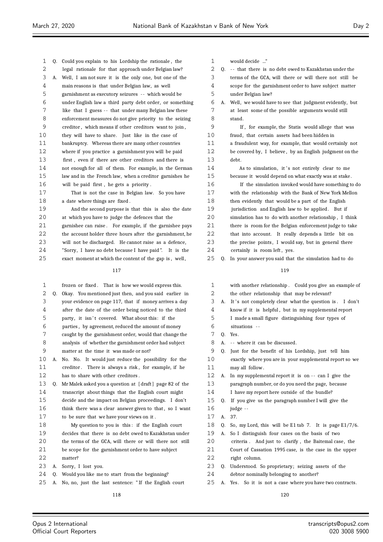| 1  | 0. | Could you explain to his Lordship the rationale, the     |
|----|----|----------------------------------------------------------|
| 2  |    | legal rationale for that approach under Belgian law?     |
| 3  | А. | Well, I am not sure it is the only one, but one of the   |
| 4  |    | main reasons is that under Belgian law, as well          |
| 5  |    | garnishment as executory seizures -- which would be      |
| 6  |    | under English law a third party debt order, or something |
| 7  |    | like that I guess -- that under many Belgian law these   |
| 8  |    | enforcement measures do not give priority to the seizing |
| 9  |    | creditor, which means if other creditors want to join,   |
| 10 |    | they will have to share. Just like in the case of        |
| 11 |    | bankruptcy. Whereas there are many other countries       |
| 12 |    | where if you practice a garnishment you will be paid     |
| 13 |    | first, even if there are other creditors and there is    |
| 14 |    | not enough for all of them. For example, in the German   |
| 15 |    | law and in the French law, when a creditor garnishes he  |
| 16 |    | will be paid first, he gets a priority.                  |
| 17 |    | That is not the case in Belgian law. So you have         |
| 18 |    | a date where things are fixed.                           |
| 19 |    | And the second purpose is that this is also the date     |
| 20 |    | at which you have to judge the defences that the         |
| 21 |    | garnishee can raise. For example, if the garnishee pays  |
| 22 |    | the account holder three hours after the garnishment, he |
| 23 |    | will not be discharged. He cannot raise as a defence,    |
| 24 |    | "Sorry,I have no debt because I have paid".<br>It is the |
| 25 |    | exact moment at which the content of the gap is, well,   |
|    |    | 117                                                      |
|    |    |                                                          |
| 1  |    | frozen or fixed. That is how we would express this.      |
| 2  | Q. | Okay. You mentioned just then, and you said earlier in   |
| 3  |    | your evidence on page 117, that if money arrives a day   |
| 4  |    | after the date of the order being noticed to the third   |
| 5  |    | party, it isn't covered. What about this: if the         |
| 6  |    | parties, by agreement, reduced the amount of money       |
| ⇁  |    |                                                          |

 caught by the garnishment order, would that change the analysis of whether the garnishment order had subject matter at the time it was made or not?

- A. No. No. It would just reduce the possibility for the 11 creditor. There is always a risk, for example, if he has to share with other creditors .
- Q. Mr Malek asked you a question at [ draft ] page 82 of the transcript about things that the English court might decide and the impact on Belgian proceedings. I don't 16 think there was a clear answer given to that, so I want to be sure that we have your views on it .
- My question to you is this : if the English court decides that there is no debt owed to Kazakhstan under 20 the terms of the GCA, will there or will there not still
- be scope for the garnishment order to have subject
- matter?
- A. Sorry, I lost you.
- Q. Would you like me to start from the beginning?
- A. No, no, just the last sentence: " If the English court

would decide ..."

2 Q. -- that there is no debt owed to Kazakhstan under the terms of the GCA, will there or will there not still be scope for the garnishment order to have subject matter under Belgian law?

 A. Well, we would have to see that judgment evidently, but at least some of the possible arguments would still stand.

 If , for example, the Statis would allege that was fraud, that certain assets had been hidden in

 a fraudulent way, for example, that would certainly not be covered by, I believe , by an English judgment on the debt.

14 As to simulation, it's not entirely clear to me because it would depend on what exactly was at stake .

 If the simulation invoked would have something to do with the relationship with the Bank of New York Mellon then evidently that would be a part of the English 19 jurisdiction and English law to be applied. But if simulation has to do with another relationship , I think there is room for the Belgian enforcement judge to take that into account. It really depends a little bit on 23 the precise points, I would say, but in general there

- 24 certainly is room left, yes.
- Q. In your answer you said that the simulation had to do

### 

| $\mathbf{1}$ |    | with another relationship. Could you give an example of   |
|--------------|----|-----------------------------------------------------------|
| 2            |    | the other relationship that may be relevant?              |
| 3            | A. | It's not completely clear what the question is. I don't   |
| 4            |    | know if it is helpful, but in my supplemental report      |
| 5            |    | I made a small figure distinguishing four types of        |
| 6            |    | situations --                                             |
| 7            | 0. | Yes.                                                      |
| 8            | A. | -- where it can be discussed.                             |
| 9            | 0. | Just for the benefit of his Lordship, just tell him       |
| 10           |    | exactly where you are in your supplemental report so we   |
| 11           |    | may all follow.                                           |
| 12           | А. | In my supplemental report it is on -- can I give the      |
| 13           |    | paragraph number, or do you need the page, because        |
| 14           |    | I have my report here outside of the bundle?              |
| 15           | 0. | If you give us the paragraph number I will give the       |
| 16           |    | judge --                                                  |
| 17           | A. | 37.                                                       |
| 18           | 0. | So, my Lord, this will be E1 tab 7. It is page $E1/7/6$ . |
| 19           | А. | So I distinguish four cases on the basis of two           |
| 20           |    | criteria. And just to clarify, the Baitemal case, the     |
| 21           |    | Court of Cassation 1995 case, is the case in the upper    |
| 22           |    | right column.                                             |
| 23           | 0. | Understood. So proprietary; seizing assets of the         |
| 24           |    | debtor nominally belonging to another?                    |
|              |    |                                                           |

A. Yes. So it is not a case where you have two contracts.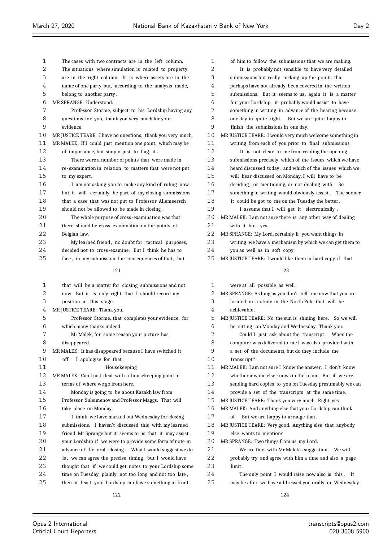| 1    | The cases with two contracts are in the left column.        | 1  | of him to follow the submissions that we are making.      |
|------|-------------------------------------------------------------|----|-----------------------------------------------------------|
| 2    | The situations where simulation is related to property      | 2  | It is probably not sensible to have very detailed         |
| 3    | are in the right column. It is where assets are in the      | 3  | submissions but really picking up the points that         |
| 4    | name of one party but, according to the analysis made,      | 4  | perhaps have not already been covered in the written      |
| 5    | belong to another party.                                    | 5  | submissions. But it seems to us, again it is a matter     |
| 6    | MR SPRANGE: Understood.                                     | 6  | for your Lordship, it probably would assist to have       |
| 7    | Professor Storme, subject to his Lordship having any        | 7  | something in writing in advance of the hearing because    |
| 8    | questions for you, thank you very much for your             | 8  | one day in quite tight. But we are quite happy to         |
| 9    | evidence.                                                   | 9  | finish the submissions in one day.                        |
| 10   | MR JUSTICE TEARE: I have no questions, thank you very much. | 10 | MR JUSTICE TEARE: I would very much welcome something in  |
| 11   | MR MALEK: If I could just mention one point, which may be   | 11 | writing from each of you prior to final submissions.      |
| 12   | of importance, but simply just to flag it.                  | 12 | It is not clear to me from reading the opening            |
| 13   | There were a number of points that were made in             | 13 | submissions precisely which of the issues which we have   |
| 14   | re-examination in relation to matters that were not put     | 14 | heard discussed today, and which of the issues which we   |
| 15   | to my expert.                                               | 15 | will hear discussed on Monday, I will have to be          |
| 16   | I am not asking you to make any kind of ruling now          | 16 | deciding, or mentioning, or not dealing with. So          |
| 17   | but it will certainly be part of my closing submissions     | 17 | something in writing would obviously assist. The sooner   |
| 18   | that a case that was not put to Professor Allemeersch       | 18 | it could be got to me on the Tuesday the better.          |
| 19   | should not be allowed to be made in closing.                | 19 | I assume that I will get it electronically.               |
| 20   | The whole purpose of cross-examination was that             | 20 | MR MALEK: I am not sure there is any other way of dealing |
| 21   | there should be cross-examination on the points of          | 21 | with it but, yes.                                         |
| 22   | Belgian law.                                                | 22 | MR SPRANGE: My Lord, certainly if you want things in      |
| 23   | My learned friend, no doubt for tactical purposes,          | 23 | writing we have a mechanism by which we can get them to   |
| 24   | decided not to cross-examine. But I think he has to         | 24 | you as well as in soft copy.                              |
| 25   | face, in my submission, the consequences of that, but       | 25 | MR JUSTICE TEARE: I would like them in hard copy if that  |
|      |                                                             |    |                                                           |
|      | 121                                                         |    | 123                                                       |
| 1    | that will be a matter for closing submissions and not       | 1  | were at all possible as well.                             |
| 2    | now. But it is only right that I should record my           | 2  | MR SPRANGE: As long as you don't tell me now that you are |
| 3    | position at this stage.                                     | 3  | located in a study in the North Pole that will be         |
| 4    | MR JUSTICE TEARE: Thank you.                                | 4  | achievable.                                               |
| 5    | Professor Storme, that completes your evidence, for         | 5  | MR JUSTICE TEARE: No, the sun is shining here. So we will |
| 6    | which many thanks indeed.                                   | 6  | be sitting on Monday and Wednesday. Thank you.            |
| 7    | Mr Malek, for some reason your picture has                  | 7  | Could I just ask about the transcript. When the           |
| 8    | disappeared.                                                | 8  | computer was delivered to me I was also provided with     |
| 9    | MR MALEK: It has disappeared because I have switched it     | 9  | a set of the documents, but do they include the           |
| 10   | off. I apologise for that.                                  | 10 | transcript?                                               |
| 11   | Housekeeping                                                | 11 | MR MALEK: I am not sure I know the answer. I don't know   |
| 12   | MR MALEK: Can I just deal with a housekeeping point in      | 12 | whether anyone else knows in the team. But if we are      |
| 13   | terms of where we go from here.                             | 13 | sending hard copies to you on Tuesday presumably we can   |
| 14   | Monday is going to be about Kazakh law from                 | 14 | provide a set of the transcripts at the same time.        |
| 15   | Professor Suleimenov and Professor Maggs. That will         | 15 | MR JUSTICE TEARE: Thank you very much. Right, yes.        |
| 16   | take place on Monday.                                       | 16 | MR MALEK: And anything else that your Lordship can think  |
| $17$ | I think we have marked out Wednesday for closing            | 17 | of. But we are happy to arrange that.                     |
| 18   |                                                             |    |                                                           |
|      |                                                             |    |                                                           |
|      | submissions. I haven't discussed this with my learned       | 18 | MR JUSTICE TEARE: Very good. Anything else that anybody   |
| 19   | friend Mr Sprange but it seems to us that it may assist     | 19 | else wants to mention?                                    |
| 20   | your Lordship if we were to provide some form of note in    | 20 | MR SPRANGE: Two things from us, my Lord.                  |
| 21   | advance of the oral closing. What I would suggest we do     | 21 | We are fine with Mr Malek's suggestion. We will           |
| 22   | is, we can agree the precise timing, but I would have       | 22 | probably try and agree with him a time and also a page    |
| 23   | thought that if we could get notes to your Lordship some    | 23 | limit.                                                    |
| 24   | time on Tuesday, plainly not too long and not too late,     | 24 | The only point I would raise now also is this. It         |
| 25   | then at least your Lordship can have something in front     | 25 | may be after we have addressed you orally on Wednesday    |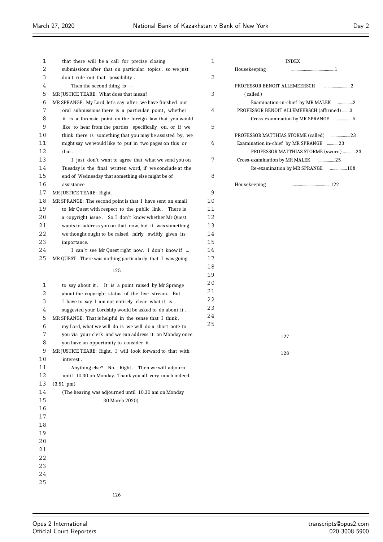| 1    | that there will be a call for precise closing             | 1  | INDEX                                     |
|------|-----------------------------------------------------------|----|-------------------------------------------|
| 2    | submissions after that on particular topics, so we just   |    | Housekeeping<br>1                         |
| 3    | don't rule out that possibility.                          | 2  |                                           |
| 4    | Then the second thing is --                               |    | PROFESSOR BENOIT ALLEMEERSCH<br>2         |
| 5    | MR JUSTICE TEARE: What does that mean?                    | 3  | (called)                                  |
| 6    | MR SPRANGE: My Lord, let's say after we have finished our |    | Examination-in-chief by MR MALEK 2        |
| 7    | oral submissions there is a particular point, whether     | 4  | PROFESSOR BENOIT ALLEMEERSCH (affirmed) 3 |
| 8    | it is a forensic point on the foreign law that you would  |    | Cross-examination by MR SPRANGE 5         |
| 9    | like to hear from the parties specifically on, or if we   | 5  |                                           |
| 10   | think there is something that you may be assisted by, we  |    | PROFESSOR MATTHIAS STORME (called)<br>23  |
| 11   | might say we would like to put in two pages on this or    | 6  | Examination in-chief by MR SPRANGE 23     |
| 12   | that.                                                     |    | PROFESSOR MATTHIAS STORME (sworn) 23      |
| 13   | I just don't want to agree that what we send you on       | 7  | Cross-examination by MR MALEK<br>25       |
| 14   | Tuesday is the final written word, if we conclude at the  |    | Re-examination by MR SPRANGE<br>108       |
| 15   | end of Wednesday that something else might be of          | 8  |                                           |
| 16   | assistance.                                               |    | Housekeeping                              |
| 17   | MR JUSTICE TEARE: Right.                                  | 9  |                                           |
| 18   | MR SPRANGE: The second point is that I have sent an email | 10 |                                           |
| 19   | to Mr Quest with respect to the public link. There is     | 11 |                                           |
| 20   | a copyright issue. So I don't know whether Mr Quest       | 12 |                                           |
| 21   | wants to address you on that now, but it was something    | 13 |                                           |
| 22   | we thought ought to be raised fairly swiftly given its    | 14 |                                           |
| 23   | importance.                                               | 15 |                                           |
| 24   | I can't see Mr Quest right now. I don't know if           | 16 |                                           |
| 25   | MR QUEST: There was nothing particularly that I was going | 17 |                                           |
|      | 125                                                       | 18 |                                           |
|      |                                                           | 19 |                                           |
| 1    | to say about it. It is a point raised by Mr Sprange       | 20 |                                           |
| 2    | about the copyright status of the live stream. But        | 21 |                                           |
| 3    | I have to say I am not entirely clear what it is          | 22 |                                           |
| 4    | suggested your Lordship would be asked to do about it.    | 23 |                                           |
| 5    | MR SPRANGE: That is helpful in the sense that I think,    | 24 |                                           |
| 6    | my Lord, what we will do is we will do a short note to    | 25 |                                           |
| 7    | you via your clerk and we can address it on Monday once   |    | 127                                       |
| 8    | you have an opportunity to consider it.                   |    |                                           |
| 9    | MR JUSTICE TEARE: Right. I will look forward to that with |    | 128                                       |
| 10   | interest.                                                 |    |                                           |
| 11   | Anything else? No. Right. Then we will adjourn            |    |                                           |
| 12   | until 10.30 on Monday. Thank you all very much indeed.    |    |                                           |
| 13   | $(3.51 \text{ pm})$                                       |    |                                           |
| 14   | (The hearing was adjourned until 10.30 am on Monday       |    |                                           |
| 15   | 30 March 2020)                                            |    |                                           |
| 16   |                                                           |    |                                           |
| $17$ |                                                           |    |                                           |
| 18   |                                                           |    |                                           |
| 19   |                                                           |    |                                           |
| 20   |                                                           |    |                                           |
| 21   |                                                           |    |                                           |
| 22   |                                                           |    |                                           |
| 23   |                                                           |    |                                           |
| 24   |                                                           |    |                                           |
| 25   |                                                           |    |                                           |
|      |                                                           |    |                                           |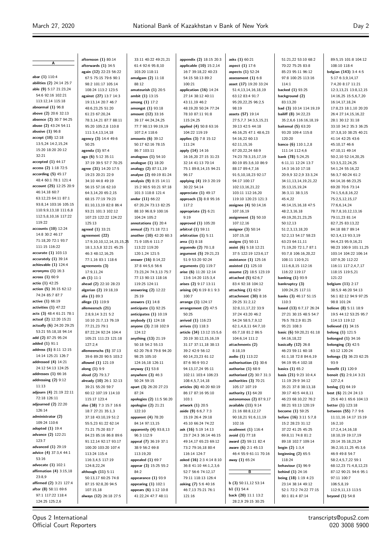**A abar (1)** 110:4 **abilities (2)** 24:14 25:7 **able (9)** 5:17 21:23,24 54:6 92:16 102:21 113:12,14 115:18 **abnormal (1)** 96:8 **above (2)** 20:6 32:13 **absence (2)** 30:7 94:25 **abuse (2)** 43:24 54:11 **abusive (1)** 96:8 **accept (10)** 12:18 13:5,24 14:2,15,24 15:20 18:20 20:12 32:21 **accepted (1)** 44:17 **access (2)** 1:18 72:5 **according (5)** 45:17 48:4 60:1 78:1 121:4 **account (25)** 12:25 20:9 46:14,18 60:7 63:12,23 64:11 87:1 93:8,14 103:16 105:15 110:9,9,13,18 111:6,8 112:5,8,10,16 117:22 119:22 **accounts (10)** 12:24 14:8 30:2 46:17 71:18,20 72:1 93:7 111:15 116:22 **accurate (1)** 103:13 **accurately (1)** 39:14 **achievable (1)** 124:4 **acronyms (1)** 16:3 **across (1)** 60:9 **actio (1)** 42:25 **action (5)** 36:15 62:12 74:24 85:7 87:7 **active (1)** 66:19 **activities (1)** 47:22 **acts (3)** 48:4 61:21 78:1 **actual (2)** 12:20 15:21 **actually (6)** 24:20 29:25 53:21 55:18,18 94:14 **add (2)** 87:25 95:24 **added (1)** 91:1 **address (5)** 8:11 12:15 14:14 125:21 126:7 **addressed (4)** 14:21 24:12 54:13 124:25 **addresses (1)** 66:16 **addressing (2)** 9:12 11:13 **adjourn (4)** 21:19 22:11 72:18 126:11 **adjourned (2)** 22:20 126:14 **administrator (2)** 109:24 110:6 **adopted (1)** 19:4 **advance (2)** 122:21 123:7 **advanced (1)** 29:19 **advice (4)** 37:3,4 44:1 53:16 **advocate (1)** 102:1 **affirmation (4)** 3:15,18 23:8,9 **affirmed (2)** 3:21 127:4 **after (8)** 58:11 69:6 97:1 117:22 118:4 124:25 125:2,6

**afternoon (1)** 80:14 **afterwards (1)** 34:5 **again (12)** 22:23 56:22 67:5 75:15 79:6 90:1 98:2 101:17 105:14 108:24 113:2 123:5 **against (27)** 13:7 14:3 19:13,14 20:7 46:7 48:6,23,25 51:20 61:23 67:20,24 78:3,14,21 87:7 88:11 95:20 105:2,8 110:8 111:3,4,13,14,18 **agency (3)** 14:4 49:6 -<br>50:25 **agenda (1)** 97:4 **ago (6)** 5:12 35:11 37:19 39:5 57:7 70:25 **agree (31)** 14:20 17:5 19:23 20:21 22:9 34:10 44:8 49:19 56:15 57:16 62:10 64:3,14,20 65:2,15 68:15 77:19 79:23 81:10,13,19 82:8 86:4 93:21 101:3 102:12 107:23 122:22 124:22 125:13 **agreed (1)** 33:21 **agreement (22)** 17:0,10,10,12,14,15,15 18:1,3,5,8 32:21 45:25 46:3 48:12,16,25 77:1,16 83:1 118:6 **agreements (3)** 17:9,11,24 **ah (1)** 11:1 **ahead (2)** 22:10 28:23 **algerian (2)** 19:18,19 **alia (1)** 89:3 **allege (1)** 119:9 **allemeersch (21)** 2:8,9,14 3:21 5:2 10:10 21:7,13 76:19 77:21,23 79:1 87:22,24 92:24 104:4 105:21 111:23 121:18 127:2,4 **allemeerschs (5)** 37:13 39:6 89:20 90:5 103:2 **allowed (1)** 121:19 **along (1)** 9:9 **aloud (2)** 79:3,7 **already (10)** 26:1 32:13 39:21 55:20 59:7 60:12 107:19 114:10 115:17 123:4 **also (38)** 7:3 15:7 16:6 18:7 27:21 35:1,3 37:18 43:10,19 51:2 55:5,23 61:22 62:14 71:21 75:20 83:7 84:23 85:16 86:8 89:6 91:12,14 92:17 93:17 100:20 103:20 107:4 113:24 115:4 116:3,4,5 117:19 124:8,22,24 **although (11)** 5:11 50:13,17 60:25 74:8 87:15 92:8,20 94:5 107:15,18 **always (12)** 26:18 27:5

33:11 40:22 49:21,21 61:4 92:6 95:8,10 103:20 118:11 **amalgam (2)** 11:18 88:12 **amateurish (1)** 20:5 **ambit (1)** 13:15 **among (1)** 17:2 **amongst (1)** 93:18 **amount (12)** 33:16 39:17 44:24,24,25 77:7 98:13 99:19,19 107:2,4 118:6 **amounts (6)** 39:12 50:17 62:16 78:15 86:7 103:11 **analogous (1)** 54:10 **analogue (1)** 18:20 **analogy (2)** 87:11,19 **analyse (2)** 69:19 81:24 **analysis (9)** 8:15 14:11 15:2 90:5 93:21 97:18 101:3 118:8 121:4 **andor (11)** 66:22 67:20,24 73:13 82:25 88:10 96:8,9 100:16 104:24 105:2 **annotations (1)** 20:4 **annual (2)** 71:18 72:1 **another (10)** 42:20 60:3 71:9 105:6 111:7 113:22 119:20 120:1,24 121:5 **answer (16)** 8:14,22 37:8 44:5,6 56:6 73:23,24 74:3,13 75:7 77:13 90:13 118:16 119:25 124:11 **answering (2)** 12:22 25:19 **answers (1)** 14:8 **anticipate (1)** 92:25 **anticipates (1)** 10:19 **anybody (1)** 124:18 **anyone (3)** 2:18 102:9 124:12 **anything (13)** 21:19 50:18 54:2 55:13 62:20 76:8 79:8 94:20 98:25 105:10 124:16,18 126:11 **anyway (1)** 53:8 **anywhere (3)** 46:3 50:24 59:15 **apart (3)** 26:20 27:23 87:24 **apologies (2)** 11:5 56:20 **apologise (2)** 21:21 122:10 **apparent (4)** 78:20 84:14 97:13,15 **apparently (4)** 93:8,13 96:3 112:9 **appeal (7)** 36:19 37:1 38:9 56:2 69:8 113:19,20 **appealed (1)** 69:7 **appear (3)** 15:25 55:2  $84.2$ **appearance (1)** 93:9 **appearing (1)** 102:1 **appears (6)** 1:12 10:8 41:22,24 47:7 48:11

**appendix (2)** 18:15 20:3 **applicable (10)** 15:2,14 16:7 39:18,22 40:23 54:15 58:13 89:2 100:21 **application (16)** 14:24 27:14 38:12 40:11 43:11,19 46:2 48:19,20 50:24 77:24 78:10 87:11 91:8 115:24,25 **applied (4)** 50:8 63:16 104:22 119:19 **applies (3)** 7:8 15:12 111:24 **apply (14)** 14:16 16:16,20 27:15 31:23 32:14 41:13 70:14 75:1 89:8,14,15 94:21  $06:17$ **applying (4)** 19:3 20:19 30:22 54:14 **appreciate (1)** 49:17 **approach (3)** 8:8 95:16 117:2 **appropriate (2)** 6:21  $0.10$ **approved (1)** 105:20 **arbitral (1)** 59:11 **arbitration (1)** 5:11 **area (1)** 8:18 **arguendo (2)** 70:1,8 **argument (5)** 29:21,23 51:9 53:20 92:24 **arguments (1)** 119:7 **arise (6)** 11:20 12:14 13:6 14:20 115:3,4 **arises (2)** 9:17 13:11 **arising (4)** 6:19 8:1 9:3 100:7 **arrange (1)** 124:17 **arrangement (2)** 47:5 50:25 **arrived (1)** 116:23 **arrives (1)** 118:3 **article (34)** 13:12 15:5,6 20:19 30:12,15,16,19 31:17 37:11,18 38:13 39:2 42:9 56:12 60:14,23,23 61:12 87:6 90:9 93:2 94:13,17,24 95:11 102:11 103:4 106:23 108:4,5,7,14,18 **articles (6)** 40:20 60:19 86:17 87:16 95:10 103:1 **artwork (1)** 20:5 **aside (9)** 6:6,7 7:3 15:19 26:4 29:18 45:10 66:24 74:22 **ask (16)** 5:19 14:13 23:7 24:3 36:14 46:15 49:14,17 65:23 69:12 73:2 79:16,18 80:4 116:14 124:7 **asked (16)** 2:3 4:14 8:10 36:8 41:10 44:1,2,3,6 52:7 56:6 74:12,17 79:11 118:13 126:4 **asking (7)** 5:6 40:16 46:7,13 75:21 76:1 121:16

**asks (1)** 60:21 **aspect (1)** 17:6 **aspects (1)** 52:24 **assessment (1)** 6:8 **asset (17)** 19:20 33:24 51:4,13,14,16,18,19 63:12 83:4 91:7 95:20,22,25 96:2,5 98:19 **assets (57)** 19:14 27:5,7,7 34:3,5,15,21 39:13 42:5 44:18 46:16,25 47:1 48:6,23 54:16,22 60:13 62:11,15,16 67:20,22,24 68:9 74:23 78:3,15,17,19 80:19 85:3,6,10 86:9 88:17 89:4,7,16 91:5,10,18,23 92:17 94:17 100:17 102:13,16,21,22 103:11 112:16,20 119:10 120:23 121:3 **assignee (4)** 50:14,16 107:16,19 **assignment (3)** 50:10 107:12,16 **assignor (3)** 50:14 107:15,18 **assigns (1)** 50:11 **assist (6)** 5:18 12:21 37:5 122:19 123:6,17 **assistance (1)** 125:16 **assisted (1)** 125:10 **assume (2)** 18:5 123:19 **attached (5)** 62:6,7 83:4 92:18 104:12 **attaching (1)** 62:9 **attachment (30)** 8:16 29:25 31:2,12 32:8,11,17,22 33:9 37:24 43:20 46:2 54:24 58:5,7,9,12 62:1,4,8,11 64:7,10 65:7,18 81:2 86:5 104:6,14 111:2 **attachments (2)** 8:18,19 **audio (1)** 113:22 **authorisation (1)** 30:6 **authorise (1)** 68:9 **authorised (2)** 30:7 31:3 **authorities (3)** 70:21 105:17 107:19 **authority (1)** 64:20 **autonomous (2)** 87:9,17 **available (11)** 9:14 21:16 88:8,12,17 90:18,21 91:6,11,19 102:16 **availment (1)** 116:4 **avoid (1)** 77:18 **award (2)** 59:11 82:4 **aware (6)** 2:1 45:13 46:4 55:9 61:11 70:16 **away (1)** 65:24 **B b (3)** 50:11,12 53:14 **b1 (1)** 54:4 **back (20)** 11:1 13:2

28:2,9 29:15 30:25

51:21,22 53:10 68:2 70:22 75:25 83:8 85:23 95:11 96:12 97:8 100:25 113:16 114:1 **backed (1)** 93:25 **background (2)** 83:13,20 **bad (3)** 10:14 114:19,19 **bailiff (8)** 34:22,23 35:2,6,6 116:16,18,19 **baitemal (5)** 63:20 93:20 109:4 115:8 120:20 **banco (6)** 110:1,2,8 111:14 112:4,6 **bank (78)** 5:24,25 6:11,11 12:24 13:7 14:3 16:10 17:18 20:9,9 32:2,9 33:3,24 34:11,13,14,19,21,22 35:13,15,19,24 36:3,11 38:3,15 45:4,22 46:14,15,16,18 47:5 48:2,3,16,18 49:19,20,21,23,25 50:12,13 51:2,3,13,18,20 52:2,13 54:17 58:23 63:23 64:11,11 71:19,20 72:1,7 87:1 93:7,8 106:16,20,22 108:11 110:9,21 111:6,8,15 112:16 116:22 119:17 **banking (1)** 93:9 **bankruptcy (3)** 109:24,25 117:11 **banks (3)** 46:17 51:15 110:3 **based (13)** 6:7,17 26:24 27:21 30:15 48:5 54:7 76:5 78:2,9 81:25 95:21 108:3 **basic (6)** 59:20,21 61:18 64:16,18,22 **basically (12)** 26:8 46:23 59:11 60:18 61:1,18 72:8 84:6,19 94:19 95:4 102:18 **basics (1)** 65:2 **basis (21)** 9:23 10:4,4 11:19 29:9 34:12 35:21 37:8 38:13,18 39:17 40:5 44:8,11 46:23 68:10,22 76:2 88:21 93:13 120:19 **become (1)** 59:25 **before (16)** 3:11 5:7,8 15:2 28:23 31:12 37:22 41:25 45:25 69:8,11 74:8 81:2 89:18 102:7 109:14 **begin (2)** 1:3,4 **beginning (2)** 65:5 118:24 **behaviour (1)** 96:9 **behind (1)** 24:16 **being (18)** 1:19 4:23 23:14 38:14 49:12 52:1 72:2 74:22 77:15 80:1 81:4 87:14

89:5,15 101:8 104:12 108:10 118:4 **belgian (143)** 3:4 4:5 5:17 6:3,9,14,17 7:4,20 8:17 11:21 12:3,13,21 13:8,12,15 14:16,25 15:5,6,7,20 16:14,17,18,24 17:8,23 18:1,10 20:20 26:4 27:14,15,16,22 28:1 30:12 31:18 33:10 34:2 35:3 36:25 37:3,8,10 38:25 40:21 41:14 42:25 43:6 45:10,17 46:6 47:10,11 49:14 50:2,10 52:14,20,25 53:3,5,22,24,25 54:1,24 55:16,22 56:3,7 60:24 61:2 64:14,16 66:23,25 69:20 70:6 73:14 74:1,5,6,8,16,22 75:2,5,12,15,17 77:6,6,14,24 78:7,8,10,12,13,16 79:11,23 81:14 82:7,25 83:13,22 84:18 88:7 89:14 92:3,4,13 93:3,19 94:4,23 95:9,16,21 98:23 100:9 101:11,25 103:14 104:22 106:14 107:9,20 112:22 116:11 117:2,4,7,17 118:15 119:5,21 121:22 **belgium (11)** 2:17 38:5,9 46:20 54:13 56:1 82:12 94:9 97:25 98:8 101:24 **believe (8)** 5:11 18:9 19:5 44:12 53:25 95:7 114:13 119:12 **believed (1)** 34:15 **belong (1)** 121:5 **belonged (1)** 34:16 **belonging (3)** 42:5 63:12 120:24 **belongs (3)** 36:23 62:25 93:9 **benefit (1)** 120:9 **benoit (5)** 2:9,14 3:21 127:2,4 **beslag (1)** 64:19 **best (6)** 21:24 24:13 25:6 40:1 65:6 104:13 **better (1)** 123:18 **between (55)** 7:7 9:6 11:11,16 14:17 15:19 16:2,10 17:2,4,14,16,18 18:10,19 19:17,19 20:14 35:18,23,24 36:2,10,11,25 45:3,6 46:9 49:8 54:7 58:2,4,5,7,22 59:1 68:12,23 71:4,8,12,23 87:12 90:21 94:6 95:1 97:11 100:7 106:5,8,19 112:9,11,13 113:5 **beyond (1)** 54:8

Opus 2 International Official Court Reporters

transcripts@opus2.com 020 3008 5900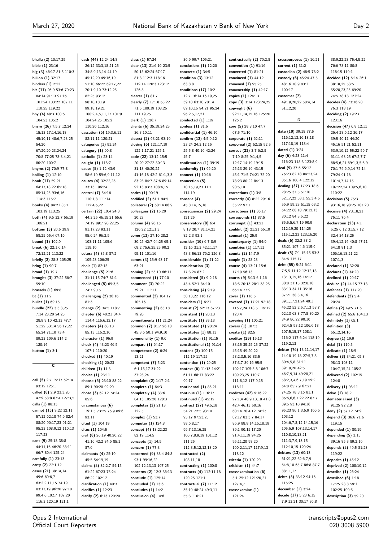**bhalla (2)** 10:17,25 **bible (1)** 23:16 **big (3)** 46:17 81:5 110:3 **billion (1)** 32:17 **binders (1)** 2:22 **bit (11)** 26:9 53:6 70:23 84:14 91:13 97:16 101:24 103:22 107:11 110:25 119:22 **bny (4)** 48:3 100:6 104:23 105:2 **bnym (26)** 7:5,7 12:24 15:13 17:14,16,18 45:10,11 48:6,7,23,25 54:20 67:20,20,23,24,24 70:8 77:25 78:3,4,21 80:20 100:7 **bnyms (2)** 70:9 77:8 **boiling (1)** 12:10 **book (11)** 59:21 64:17,18,22 65:18 85:14,25 93:6,16 114:3 115:7 **books (4)** 84:21 85:1 103:19 113:25 **both (4)** 9:6 32:7 66:19 106:21 **bottom (5)** 20:5 39:9 58:25 65:4 67:16 **bound (1)** 102:9 **break (6)** 22:1,6,14 72:12,21 113:22 **briefly (2)** 28:3 105:25 **bring (1)** 90:7 **broad (1)** 19:7 **brought (3)** 37:22 56:7 59:10 **brussels (1)** 69:8 **bt (1)** 11:2 **bullet (1)** 69:15 **bundle (22)** 3:3,3,25 7:14 23:20 24:25 28:8,9,10 42:13 47:7 51:22 53:14 56:17,22 65:24 71:10 73:4 89:23 109:6 114:2 120:14 **button (1)** 3:1 **C call (5)** 2:7 15:17 62:14 93:12 125:1 **called (8)** 2:9 23:3,20 47:9 58:8 87:4 127:3,5 **calls (1)** 88:13 **cannot (15)** 9:22 32:11 57:12 62:18 74:9 82:4 88:20 90:17,23 91:21 95:23 108:9,12 110:13 117:23 **cant (9)** 25:18 38:8 44:11,16 46:20 58:11 66:7 80:4 125:24 **carefully (1)** 23:13 **carry (2)** 22:1,12 **cases (21)** 38:14,14 49:6 60:6,7 63:2,2,11,15 74:19 83:17,19 96:20 97:10 99:4,6 102:7 107:20 116:3 120:19 121:1

**cash (44)** 12:24 14:8 26:12 33:3,18,21,25 34:8,9,13,14 44:19 45:12,20 49:16,19 51:10 66:22 69:17,22 70:1,9,10 73:12,25 82:25 93:12 98:10,18,19 99:18,19,21 100:2,4,6,11,17 101:9 104:24,25 105:2 110:20 112:16 **cassation (6)** 19:3,6,11 82:11,11 120:21 **categories (1)** 91:24 **category (1)** 90:8 **catholic (1)** 23:14 **caught (1)** 118:7 **cause (8)** 1:12 43:9 58:6,19 59:6,9,11,12 **causes (4)** 32:22,23 33:13 106:24 **central (7)** 54:16 110:1,8 111:14  $112:46,22$ **certain (22)** 10:4 24:3 44:3,25 46:15,21 56:6 74:19 89:7 90:22,25 91:17,23 93:11 95:6,24 96:2,5 103:11,11 105:6 119:10 **cetera (4)** 85:8 87:2 105:23 106:25 **chair (1)** 82:15 **challenge (5)** 21:6 31:11,15 74:7 81:1 **challenged (5)** 69:3,5 74:7,9,15 **challenging (2)** 36:16 81:3 **change (2)** 34:5 118:7 **chapter (6)** 40:21 84:4 114:4 115:6,12,17 **chapters (4)** 60:13 85:13 115:2,10 **character (1)** 96:9 **check (4)** 43:23 46:5 107:1 110:20 **checked (1)** 40:19 **checking (1)** 20:23 **children (1)** 11:3 **choice (1)** 23:11 **choose (5)** 23:10 88:22 89:1 90:20 92:20 **chose (3)** 62:12 74:24 85:6 **circumstances (6)** 19:1,5 73:25 76:9 89:6 93:11 **cited (1)** 104:19 **cites (1)** 104:5 **civil (8)** 26:19 40:20,22 41:16 42:2 84:6 85:1 87:6 **claimants (4)** 25:10 45:5 54:19,19 **claims (8)** 32:2,7 54:15 61:22 67:23 75:24 86:22 102:12 **clarification (1)** 40:3 **clarifies (1)** 12:23 **clarify (2)** 6:13 120:20

**class (1)** 57:24 **clear (13)** 21:6,10 23:5 50:15 62:24 67:17 81:8 112:3 118:16 119:14 120:3 123:12 126:3 **clearer (1)** 81:7 **clearly (7)** 17:18 63:22 71:5 100:19 108:25 111:19,25 **clerk (1)** 126:7 **clients (6)** 35:19,24,25 36:3,10,11 **closest (2)** 63:21 93:19 **closing (6)** 121:17,19 122:1,17,21 125:1 **code (22)** 13:12 15:5 20:20 27:22 30:13 31:18 40:20,22 41:16,18 42:2 61:1,3,3 83:23 84:7 87:6 89:14 92:13 93:3 108:4,15 **codes (1)** 90:19 **codified (2)** 61:1 94:5 **collateral (2)** 60:14 86:9 **colleagues (2)** 15:20 20:23 **column (4)** 96:15 120:22 121:1,3 **come (13)** 27:10 28:2 30:25 42:7 64:25 65:1 68:2 75:6,25,25 90:2 95:11 101:16 **comes (3)** 15:9 43:17 63:21 **coming (2)** 53:10 66:11 **commenced (1)** 77:10 **comment (3)** 70:22 79:21 111:11 **commented (2)** 104:17 105:16 **commenting (2)** 63:18 79:20 **commitments (1)** 21:24 **common (7)** 8:17 26:18 45:3,6 50:1 94:9,10 **commonality (1)** 9:6 **compare (1)** 64:17 **competence (2)** 6:24 13:21 **competent (7)** 5:23 6:1,15,17 31:22 37:23,24 **complaint (2)** 1:17 2:1 **complete (1)** 64:3 **completely (4)** 33:6 84:13 105:20 120:3 **completes (2)** 21:13  $122.5$ **complex (1)** 53:7 **computer (1)** 124:8 **concept (4)** 18:22,23 82:19 114:5 **concepts (1)** 14:5 **concern (1)** 77:3 **concerned (9)** 33:4 84:8 93:1 99:16,22 102:12,13,13 107:25 **concerns (2)** 12:3 36:13 **conclude (1)** 125:14 **concluded (1)** 13:6 **concludes (1)** 14:2 **conclusion (4)** 14:6

30:9 99:7 105:21 **conclusions (1)** 12:20 **concrete (1)** 34:5 **condition (3)** 13:12 63:8,8 **conditions (17)** 10:2 12:7 16:14,16,19,25 39:18 63:10 70:14 89:10,15 94:21 95:24 96:2,5,17,21 **conducted (1)** 1:19 **confess (1)** 81:6 **confidential (1)** 46:10 **confirm (12)** 4:5,9,12 23:24 24:3,12,15 25:5,8 40:16 42:24 45:7 **confirmation (1)** 39:19 **conformity (1)** 66:20 **connect (1)** 10:16 **connection (5)** 10:15,19,23 11:1 114:19 **consent (4)** 45:8,14,15,18 **consequences (2)** 29:24 121:25 **conservatory (8)** 6:4 8:18 20:7 81:14,21 82:2,3 93:1 **consider (10)** 6:7 8:9 12:16 31:3 42:11,17 43:3 56:13 76:2 126:8 **considerable (1)** 41:22 **consideration (3)** 17:3,24 87:2 **considered (5)** 9:2,18 43:4 52:1 84:10 **considering (4)** 9:19 30:13,22 116:12 **considers (1)** 6:21 **consist (2)** 62:13 67:23 **consistent (1)** 20:13 **constitute (1)** 39:13 **constituted (1)** 90:24 **constitutes (1)** 88:13 **constitution (1)** 91:15 **constitutional (1)** 91:14 **content (3)** 100:15 112:19 117:25 **contention (1)** 29:25 **context (6)** 11:13 14:21 61:11 68:17 83:22  $99.17$ **continental (1)** 83:21 **continue (1)** 116:17 **continued (1)** 45:12 **contract (27)** 49:5,18 54:21 72:5 93:10 95:17 97:23,25 98:6,8,17 99:7,13,16,25 100:7,8,9,19 101:12 111:25 112:3,5,12,12,13,20 **contracted (2)** 108:11,18 **contracting (1)** 100:8 **contracts (4)** 112:11,18 120:25 121:1 **contractual (7)** 11:12 35:19 48:24 49:3,11 55:3 110:21

**contractually (2)** 70:2,8 **convention (1)** 91:16 **converted (1)** 81:21 **convinced (1)** 44:12 **coowned (1)** 95:25 **coownership (1)** 42:17 **copies (1)** 124:13 **copy (3)** 3:14 123:24,25 **copyright (6)** 92:11,14,15,16 125:20 126:2 **core (5)** 28:8,10 47:7 67:5 71:10 **corporate (1)** 62:11 **corporeal (2)** 62:15 92:5 **correct (23)** 3:7 6:2,5 7:19 8:25 9:1,4,5 12:17 14:19 19:15 25:13 29:19 43:15 45:1 71:5 74:21 75:20 78:23 80:22 84:13 90:5,10 **corrections (1)** 3:8 **correctly (4)** 8:22 29:16 35:22 97:7 **correctness (1)** 36:17 **corresponds (1)** 87:5 **corrumpit (1)** 43:21 **couldnt (2)** 21:21 66:10 **counsel (1)** 25:9 **counterparty (1)** 54:9 **countries (1)** 117:11 **counts (2)** 14:7,9 **couple (1)** 28:23 **course (4)** 13:21 15:6 17:19 56:13 **courts (9)** 5:13 6:1,16 18:5 20:13 28:1 38:25 66:14 77:9 **cover (1)** 116:5 **covered (7)** 17:21 92:18 116:7,24 118:5 119:12 123:4 **covering (1)** 106:21 **covers (1)** 107:3 **create (1)** 82:5 **creditor (29)** 19:13 33:15 35:25,25 37:22 45:15 49:20,22 58:2,3,5,16 83:5 87:3,7 89:16 95:5 102:17 105:5,8 106:7 109:23,25 110:7 111:8,12 117:9,15 118:11 **creditors (42)** 9:16,22 27:1,4 40:9,13,18 41:8 42:4 46:13 50:16 60:14 70:4,12 74:23 82:17 83:3,7 84:17 86:9 88:8,14,16,18,19 89:1 90:15,17,20 91:4,11,19 94:25 95:11,20 98:20 100:2,11,17 117:9,13 118:12 **criteria (1)** 120:20 **criticism (1)** 44:7 **crossexamination (6)** 5:1 25:12 121:20,21 127:4,7 **crossexamine (1)** 121:24

**crosspurposes (1)** 16:21 **current (1)** 31:2 **custodian (2)** 48:5 78:2 **custody (6)** 45:24 47:5 48:16 70:9 83:1 100:17 **customer (7)** 49:19,20,22 50:4,14 51:12,20 **D date (10)** 39:18 77:5 116:12,13,16,18,18 117:18,19 118:4 **dated (1)** 3:24 **day (6)** 4:23 11:4 116:23 118:3 123:8,9 **deal (9)** 37:6 55:12 76:23 82:18 84:23,24 85:16 100:4 122:12 **dealing (37)** 17:23 18:6 28:25 37:5 51:10 52:17,22 53:1 55:3,4,5 56:9 59:23 61:15 63:2 64:22 68:18 79:12,13 80:12 84:3,5,22 85:5,5,6,7,19 90:9 112:19,20 114:25 115:1,2,23 123:16,20 **deals (6)** 32:2 38:2 85:21 107:4,6 115:9 **dealt (5)** 7:1 15:15 53:3 84:6 115:17 **debt (55)** 5:24 6:11 7:5,5 11:12 12:12,18 13:13,15,16 14:17 30:8 31:15 32:8,10 33:13 34:11 35:16 37:21 38:3,4,16 39:1,17,21,24 40:1 45:22 52:2,5,7,13 58:7 62:13 63:8 77:8 80:20 84:9 86:22 90:10 92:4,5 93:12 106:6,18 107:5,15,17 108:1 116:2 117:6,24 118:19 119:2,13 **debtor (76)** 13:11,14,17 14:18 19:18 27:5,7,8 30:4,5,8 31:11 39:19,20 42:5 46:7,9,14 49:20,21 58:2,3,4,6,7,19 59:2 64:8 65:7,9 67:21 74:25 78:8,16 81:1 86:6,6,6,7,22,22 87:7 89:5 93:10 94:16 95:23 96:1,3,6,9 100:6 103:12 104:6,7,8,12,14,15,16 105:6,9 107:13,14,17 110:8,10,13,21 111:3,7,9,13,15 112:10,15 120:24 **debtors (13)** 60:13 61:21,22 62:6,7,9 64:8,10 65:7 86:8 87:7 88:11,17 **debts (3)** 33:12 94:16 115:25 **december (1)** 3:24 **decide (17)** 5:23 6:15 7:9 13:21 30:17 36:8

38:9,22,23 75:4,5,22 76:6 78:11 80:8 118:15 119:1 **decided (12)** 6:14 26:1 38:18,25 53:5 55:20,23,25 69:20 74:5 78:13 121:24 **decides (4)** 73:16,20 76:3 118:19 **deciding (2)** 19:23  $123.16$ **decision (47)** 6:8 12:11 26:4 28:6,12 36:17 39:5 40:11 44:20 45:16 51:21 52:11 53:9,10,12 55:22 59:7 61:11 63:25 67:2,7,7 68:5,6,21 69:1,3,5,6,9 70:1 74:6,9,14 75:14 79:24 91:18 101:4,7,14,15 107:22,24 109:5,6,10 110:22 **decisions (5)** 75:3 93:16,18 98:25 107:20 **decisive (4)** 73:18,21 75:11 76:4 **declaration (23)** 4:1 5:25 6:12 31:5,7,12 32:4 34:18,25 39:4,12,14 40:8 47:11 54:18 81:1,3 106:16,18,21,22 107:1,3 **declared (1)** 32:20 **declares (1)** 34:20 **declined (1)** 29:17 **deduce (2)** 44:15 77:18 **defences (1)** 117:20 **defendants (2)** 5:4 20:24 **define (2)** 49:5 71:6 **defined (2)** 65:6 104:13 **definitely (1)** 65:1 **definition (3)** 65:12,14,16 **degree (1)** 19:9 **delai (1)** 110:5 **delicate (1)** 18:9 **deliver (8)** 34:21 65:8 98:13 103:11 104:7,15,24 105:2 **delivered (2)** 102:15 124:8 **delivery (1)** 98:11 **delve (1)** 18:2 **dematerialised (3)** 91:25 92:2,8 **deny (2)** 57:12 74:9 **depend (3)** 36:6 71:6 119:15 **depended (1)** 80:19 **depending (5)** 3:15 39:16 85:3 89:2,16 **depends (3)** 49:5 81:23 119:22 **deposits (1)** 45:12 **deprived (2)** 108:10,12 **describe (1)** 26:24 **described (6)** 1:18 17:25 28:8 59:1 102:25 109:5 **description (3)** 59:20

Opus 2 International Official Court Reporters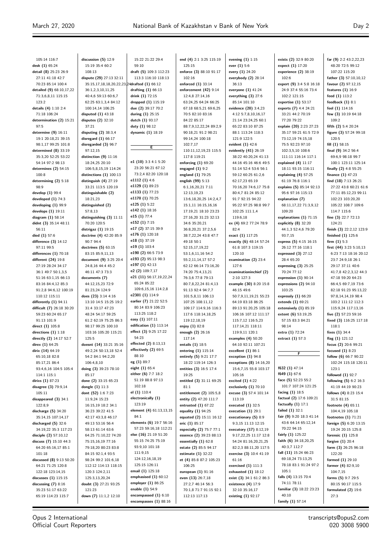105:14 116:7 **desk (1)** 65:24 **detail (8)** 25:23 26:9 27:11 41:18 42:7 70:23 85:14 100:4 **detailed (9)** 68:10,17,22 71:3,6,8,11 115:15 123:2 **details (4)** 1:10 2:4 71:18 106:24 **determination (2)** 15:21 97:5 **determine (9)** 16:11 19:1 20:18,21 39:15 98:1,17 99:25 101:8 **determined (8)** 33:19 35:3,20 52:25 53:22 54:14 97:2 98:13 **determines (2)** 54:15 100:8 **determining (2)** 5:18 98:9 **develop (1)** 99:4 **developed (1)** 74:3 **developing (1)** 99:9 **develops (1)** 19:11 **diagram (1)** 58:14 **didnt (3)** 35:14 48:11 56:11 **died (1)** 57:6 **difference (3)** 14:12 97:11 99:5 **differences (1)** 70:18 **different (24)** 19:8 27:19 28:24 34:17 36:1 49:7 50:1,3,5 51:16 63:1,15 66:13 83:16 84:4,12 85:3 91:2,8 94:6,12 100:19 110:12 115:11 **differently (1)** 94:11 **difficult (7)** 26:18 30:20 59:23 60:24 65:17 91:13 101:9 **direct (1)** 105:8 **directions (1)** 1:18 **directly (2)** 14:17 52:7 **direx (1)** 64:25 **dirix (14)** 64:19 65:10,18 82:8 85:17,21 86:4 93:4,6,16 104:5 105:4 114:1 115:1 **dirixs (1)** 87:23 **disagree (3)** 79:9,14 105:11 **disappeared (3)** 34:1  $122.89$ **discharge (5)** 34:20 35:14,15 107:14,17 **discharged (5)** 32:6 34:19,22 35:3 117:23 **disciple (2)** 57:10,12 **discuss (7)** 15:10 44:3 64:20 65:16,17 85:1 101:18 **discussed (8)** 9:13 50:20 64:21 71:25 120:8 122:18 123:14,15 **discusses (1)** 115:15 **discussing (7)** 8:16 35:23 51:17 63:22 65:19 114:23 115:7

**discussion (5)** 12:9 15:19 35:4 60:2 108:13 **dispute (29)** 27:13 32:11 35:15,17,18,18,20,22,23,24 36:1,2,3,10,11,25 40:4,6 59:13 60:6,7 62:25 63:1,3,4 84:12 100:14,14 106:25 **disputed (1)** 43:18 **disputes (2)** 32:10 37:21 **disputing (2)** 38:3,4 **disregard (1)** 66:17 **disregarded (3)** 96:7 97:12,15 **distinction (9)** 11:16 18:24,25 20:10 106:5,8,15,19 114:24 **distinctions (1)** 100:13 **distinguish (4)** 27:19 33:21 113:5 120:19 **distinguishable (2)** 18:21,23 **distinguished (2)** 57:8,13 **distinguishing (3)** 11:11 70:20 120:5 **distrigaz (1)** 19:15 **doctrine (4)** 42:20 85:9  $90.7944$ **doctrines (5)** 63:15 83:15 85:9,11,13 **document (9)** 3:25 20:4 24:8,16 44:4 45:2 46:11 47:3 73:3 **documents (7)** 44:12,15,23 72:9 81:23,24 124:9 **does (23)** 3:14 4:16 13:10 14:5 15:25 19:2 31:4 33:17 47:23 48:24 54:17 59:25 61:2 62:19 75:25 86:3 98:17 99:25 100:10 103:16 105:20 115:21 125:5 **doesnt (14)** 33:21 35:16 49:2,24 50:13,18 52:4 54:2 84:1 94:2,20 106:4,8,10 **doing (3)** 39:23 78:10 85:17 **done (2)** 33:15 65:23 **dongle (1)** 11:3 **dont (52)** 1:6 7:23 11:9,24 15:23 16:15,19 18:2 34:1 36:23 39:22 41:5 42:17 43:3,8 46:17 49:13 53:16 56:4 58:13 61:14 63:6 64:25 71:10,22 74:20 75:15,16,19 77:16 79:18,20 80:23 83:8 84:15 92:1,4 93:5 98:24 99:2 101:6,18 112:12 114:13 118:15 120:3 124:2,11 125:3,13,20,24 **doubt (3)** 27:21 93:25 121:23 **down (7)** 11:1,2 12:10

15:22 21:22 29:4 59:10 **draft (5)** 109:3 112:23 113:3 116:10 118:13 **drafted (1)** 66:12 **drafting (1)** 66:13 **drink (1)** 72:15 **dropped (1)** 115:19 **due (2)** 39:17 70:2 **during (1)** 25:15 **dutch (1)** 93:17 **duty (1)** 98:12 **dynamic (1)** 18:19 **E e1 (10)** 3:3 4:1 5:20

23:20 56:21 67:12 73:2,4 82:20 120:18 **e1112 (1)** 4:6 **e1129 (1)** 89:23 **e1133 (1)** 77:23 **e1170 (1)** 70:25 **e125 (1)** 5:22 **e142 (1)** 18:16 **e15 (1)** 77:4 **e152 (1)** 7:15 **e17 (2)** 37:15 39:9 **e176 (1)** 120:18 **e18 (1)** 37:19 **e19 (1)** 103:4 **e190 (2)** 66:5 73:9 **e193 (2)** 95:13 98:3 **e197 (1)** 42:13 **e2 (2)** 109:7,17 **e21 (11)** 56:17,19,22,24 65:24 85:22 109:6,15,16 114:2,8 **e2301 (1)** 114:9 **earlier (7)** 21:22 52:5 80:14 83:9 106:23 113:25 118:2 **easy (1)** 107:11 **edification (1)** 113:14 **effect (3)** 9:25 17:22 54:23 **effected (2)** 8:13,13 **effectively (2)** 69:5 88:10 **eg (1)** 89:7 **eight (1)** 65:4 **either (6)** 7:7 18:2 51:19 88:8 97:13 102:18 **el (1)** 110:4 **electronically (1)** 123:19 **element (4)** 61:13,13,15 84:1 **elements (6)** 19:7 56:16 57:23 59:16,18 112:21 **else (16)** 21:19 51:20 55:15 74:25 75:19 93:9,10 101:18 111:9,15 124:12,16,18,19 125:15 126:11 **email (1)** 125:18 **emphasised (1)** 60:12 **employer (1)** 86:25 **enable (1)** 54:9 **encompassed (1)** 6:10 **encompasses (1)** 88:16

**end (4)** 2:1 3:25 115:19 125:15 **enforce (3)** 88:10 91:17 102:16 **enforced (1)** 33:14 **enforcement (42)** 9:14 12:4,8 27:14,16 63:24,25 64:24 66:25 67:18 68:5,21 69:6,25 70:5 82:10 83:16 84:22 85:17 88:7,9,12,22,24 89:2,9 90:18,21 91:2 98:21 99:14,24 100:18  $102.7,17$ 110:11,12,19,23 115:5 117:8 119:21 **enforcing (1)** 69:20 **engaged (1)** 9:2 **england (1)** 79:25 **english (99)** 5:13 6:1,16,20,21 7:11 12:13,19,23 13:6,18,20,25 14:2,4,7 15:1,11 16:15,16,16 17:19,21 18:10 23:23 27:16,20 31:23 32:13 34:6 35:20,21 36:8,20,21 37:2,5,6 38:7,22,24 43:8 47:7 49:18 50:1 52:15,17,19,22 53:1,6,11,16 54:2 55:2,11,14,17 57:2 62:12 66:14 73:16,20 74:20 75:4,13,21 76:3,6 77:8 79:13 80:7,8,22,24 81:4,13 91:13 92:4 94:7,7 101:5,8,11 106:13 107:25 108:11,12 109:17 114:9,16 116:3 117:6 118:14,18,25 119:12,18,19 **enjoy (1)** 82:8 **enough (2)** 26:16 117:14 **entails (1)** 18:5 **entering (1)** 115:14 **entirely (5)** 9:21 17:7 18:22 119:14 126:3 **entities (3)** 16:5 17:4 19:25 **entitled (3)** 31:11 69:25 81:1 **entitlement (2)** 105:5,8 **entity (2)** 47:20 111:7 **entrusted (1)** 67:22 **equality (1)** 94:25 **equated (2)** 15:11 16:12 **eric (1)** 85:17 **especially (2)** 75:7 77:1 **essence (2)** 39:23 88:13 **essentially (1)** 62:8 **estate (2)** 85:5 94:17 **estimate (1)** 32:22 **et (4)** 85:8 87:2 105:23 106:25 **european (1)** 91:16 **even (13)** 26:7,18 27:2,7 46:14 56:3 70:1,8 71:7 91:15 92:1 112:13 117:13

**evening (1)** 1:15 **ever (1)** 5:6 **every (1)** 24:20 **everybody (2)** 28:14 36:13 **everyone (1)** 41:24 **everything (3)** 27:6 85:14 101:10 **evidence (20)** 3:4,23 4:12 5:7,8,10,16,17 21:14 23:24,25 60:1 65:22 83:10 87:25 88:1 113:24 118:3 121:9 122:5 **evident (1)** 42:6 **evidently (41)** 26:19 38:22 40:20,24 41:13 44:16 45:16 46:6 49:5 51:14 52:4 53:6 56:1 59:12 60:25 61:2,6 62:17,23 65:19 70:16,20 74:6,17 75:8 80:4,7 81:24 85:12 91:7 92:15 94:22 95:22 97:25 98:8 99:7 102:25 111:1,4 119:6,18 **ex (4)** 69:2 77:24 78:9 82:4 **exact (1)** 117:25 **exactly (6)** 48:14 57:24 61:8 107:3 119:15 120:10 **examination (2)** 23:4 127:6 **examinationinchief (2)** 2:10 127:3 **example (30)** 8:20 15:8 46:15 49:6 50:7,9,11,19,21 55:23 64:19 83:18 86:25 89:13 91:20,25 105:18 106:16 107:12 111:17 115:7,12 116:5,23 117:14,21 118:11 119:9,11 120:1 **examples (4)** 50:20 64:10 92:11 107:21 **excellent (1)** 86:1 **exception (1)** 94:8 **exceptions (8)** 14:16,20 15:6,7,15 55:8 103:17 105:16 **excited (1)** 4:22 **exclusively (1)** 70:10 **excuse (3)** 57:4 101:14 113:19 **executed (1)** 32:5 **execution (1)** 29:1 **executionary (5)** 8:9 9:3,15 11:13 12:15 **executory (17)** 8:12,19 9:17,22,25 11:17 12:8 54:24 81:16,20,21,25 82:2,3 88:11,20 117:5 **exercise (3)** 10:4 41:19 61:16 **exercised (1)** 111:3 **exhausted (1)** 18:12 **exist (3)** 34:1 61:2 86:3 **existence (4)** 17:9 32:10 35:16,17 **existing (1)** 92:17

**exists (2)** 32:9 80:20 **expect (1)** 17:20 **experience (2)** 38:19 102:6 **expert (9)** 3:4 5:8 16:18 24:9 37:4 55:16 73:4 102:2 121:15 **expertise (1)** 53:17 **experts (7)** 4:4 24:21 33:21 44:2 70:19 77:20 79:22 **explain (20)** 2:23 27:23 35:17 59:21 61:5 72:9 73:12,19 74:15,18 75:5 92:23 97:10 102:3,5,10 108:6 111:11 116:14 117:1 **explained (4)** 11:17 18:11 93:15 116:11 **explaining (4)** 57:25 61:19 76:8 116:1 **explains (5)** 85:14 92:13 95:6 97:16 115:13 **explanation (7)** 68:11,17,22,71:3,9,12 109:20 **explanations (1)** 71:15 **explicitly (8)** 32:20 44:1,3 52:4,6 79:20 93:7,15 **express (5)** 4:15 16:15 26:12 77:16 118:1 **expressed (3)** 27:12 28:4 65:20 **expressing (3)** 25:25 70:24 77:12 **expression (1)** 90:14 **expressions (2)** 94:10 103:25 **expressly (1)** 66:20 **extends (1)** 69:21 **extensively (1)** 85:19 **extent (6)** 53:19,25 57:15 83:3 84:21 98:14 **extra (1)** 72:24 **extract (1)** 57:3 **F f632 (1)** 47:14 **f649 (1)** 67:6 **face (5)** 52:23 55:2 101:7 107:24 121:25 **facing (1)** 18:5 **factual (2)** 17:6 109:21 **factually (1)** 17:1 **failed (1)** 32:1 **fair (9)** 9:20 18:3 41:14 43:6 64:14 65:12,14 70:22 94:15 **fairly (1)** 125:22 **faith (6)** 34:18,20,25  $40.3,7$  112.7 **fall (11)** 15:24 66:23 69:18,24 73:13,25 78:18 83:1 91:24 97:2 105:1 **falls (4)** 13:15 70:4 74:11 78:11 **familiar (3)** 18:22 23:23

40:10 **family (1)** 57:14 **far (9)** 2:2 43:2,22,23 48:20 72:5 99:12 107:22 115:20 **father (3)** 57:10,10,12 **favour (2)** 97:12,15 **features (1)** 16:9 **feed (1)** 113:2 **feedback (1)** 8:1 **feel (1)** 114:16 **few (3)** 10:19 64:18  $109.2$ **fifth (2)** 5:4 20:24 **figure (3)** 57:24 99:18 120:5 **fill (1)** 58:15 **final (9)** 34:2 56:4 69:6,9 98:18 99:7 100:1 123:11 125:14 **finally (2)** 4:8 55:25 **finance (1)** 47:23 **find (18)** 7:13 26:21 27:22 43:8 60:21 61:6 77:11 85:12,23 99:11 102:23 103:20,20 105:22 108:7 109:6 114:7 115:6 **fine (3)** 22:7 72:13 124:21 **finish (3)** 22:2,12 123:9 **finished (1)** 125:6 **firm (1)** 5:3 **first (44)** 3:23 5:10,13 6:23 7:13 18:16 20:12 23:7 24:9,18 26:1 29:17 37:11 40:6 41:7,8 42:2,3,12 44:3 47:18 59:20 64:23 66:4,5 69:7,19 73:6 82:18 91:23 95:13,22 97:8,14,14,19 98:4 103:2 111:12 112:3 115:9,24 117:13,16 **five (2)** 57:23 59:16 **fixed (3)** 116:25 117:18 118:1 **fixes (1)** 34:4 **flag (1)** 121:12 **focus (2)** 20:6 99:21 **focused (1)** 8:23 **follow (6)** 66:7 90:22 102:24 115:18 120:11 123:1 **followed (1)** 92:7 **following (5)** 6:2 16:3 41:19 44:19 90:23 **follows (4)** 8:23 15:4 31:5 81:15 **footnote (4)** 65:11 104:4,19 105:18 **footnotes (1)** 71:21 **foreign (5)** 6:20 13:15 19:24 20:15 125:8 **forensic (1)** 125:8 **forgive (1)** 20:4 **form (3)** 26:25 96:18 122:20 **formed (1)** 29:10 **former (4)** 82:9,10  $104.7,15$ **forms (5)** 9:7 29:5 80:15 90:17 115:5 **formulated (2)** 19:6 27:3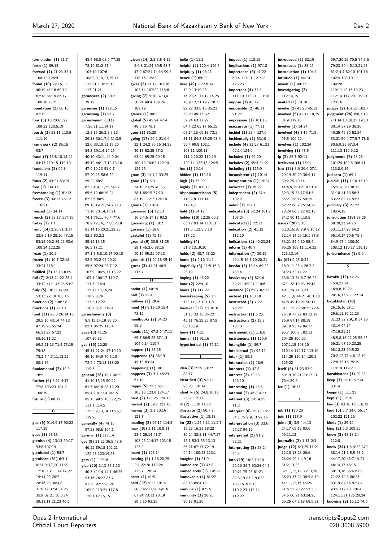125:23

91:22

62:14 124:9

102:2 **index (1)** 127:1

107:24

112:10

73:14

76:22

18:13

**inter (1)** 89:3

126:10

 $11.2$ 

55:17 94:12

92:21

94:4

119:22

| formulation $(1)$ 81:7   | 48:4 58:8 63:6 77:25    | given (14) 2:3 3:5 4:12       | hello (1) 11:2           |
|--------------------------|-------------------------|-------------------------------|--------------------------|
| forth $(1)$ 89:13        | 78:19 81:2 87:4         | 5:6,8 21:24 39:5 43:7         | helpful (2) 120:4 126:5  |
| forward (4) 21:23 32:1   | 103:10 107:6            | 47:2 67:21 74:14 99:8         | helpfully (1) 96:11      |
| 100:12 126:9             | 108:9,9,10,13,15,17     | 118:16 125:22                 | hence (1) 69:22          |
| found $(10)$ 29:16,17    | 115:21 116:12,13        | gives (5) 71:17 101:16        | here (49) 2:22 6:14      |
| 40:19 41:16 60:19        | 117:21,21               | 105:14 107:22 116:6           | 12:9 13:19,23            |
| 67:18 84:19 86:17        | garnishees (2) 30:2     | giving (7) 5:10 37:3,4        | 16:20,21 17:12,14,25     |
| 106:16 112:1             | 39:19                   | 50:21 99:4 106:24             | 18:9,12,23 19:7 20:7     |
| foundation $(2)$ 86:16   | garnishes (1) 117:15    | 109:19                        | 22:22 33:8,16 35:23      |
| 87:15                    | garnishing $(1)$ 93:7   | glance (1) 90:1               | 38:20 49:13 52:1         |
| four (5) 10:20 65:22     | garnishment (133)       | global (5) 45:24 47:4         | 59:24 63:17,22           |
| 109:22 120:5,19          | 7:20,21 11:14,17        | 48:5,16 78:1                  | 64:4,22 65:17 66:15      |
| fourth (3) 58:11 110:5   | 12:3,15 26:2,3,5,13     | goes (1) 86:20                | 68:14,18 69:13 73:1      |
| 111:19                   | 29:18 30:1,7,9 31:3,5   | going (17) 20:2 21:6,9        | 81:11 84:8 85:25 93:6    |
| framework (2) 85:15      | 32:6 33:10,11,19,20     | 22:1 24:2 30:16 34:23         | 95:4 99:8 102:1          |
| 93:7                     | 34:3 39:1,4,14,25       | 49:17 52:25 57:2              | 108:11 109:13            |
| fraud (7) 15:8,18,18,24  | 40:10 43:11 44:9,24     | 63:24 65:25 69:15             | 111:2,10,22 112:19       |
| 84:17 110:15 119:10      | 45:19 46:1,7,12,13,16   | 100:12 104:2 122:14           | 120:14 122:13 124:5      |
| fraudulent $(2)$ 96:8    | 47:9,10,13 51:6,7       | 125:25                        | hes $(1)$ 10:14          |
| 119:11                   | 57:20,25 58:6,22        | gone (3) 11:1,2 33:25         | hidden (1) 119:10        |
| fraus (2) 43:21 83:19    | 59:22 60:2              | good (12) 8:3                 | high (1) 73:20           |
| free $(1)$ 114:16        | 62:2,4,9,11,22 64:17    | 34:18,20,25 40:3,7            | highly (1) 100:13        |
| freestanding $(1)$ 61:13 | 65:6,12 66:19,24        | 58:1 65:15 67:10              | hispanoamericano (5)     |
| freeze (3) 34:13 45:12   | 67:3,6 68:9             | 83:19 112:7 124:18            | 110:2,8 111:14           |
|                          | 69:18,19,21,24 70:13    |                               |                          |
| 116:21                   |                         | goods (1) 116:4               | 112:4,7                  |
| freezed (1) 34:14        | 71:10 73:14,17,21       | governed $(6)$ 12:13          | hold $(1)$ 54:17         |
| french (2) 93:17 117:15  | 74:1 75:11 76:4 77:6    | 16:2,4,6 17:18 93:2           | holder (10) 12:25 60:7   |
| friday $(1)$ 1:1         | 78:9,12,14,17 80:2,19   | governing $(1)$ 18:2          | 63:12 93:14 110:13       |
| front (14) 2:20,21 3:17  | 81:14,16,20,21,22,25    | governs (1) 18:8              | 111:6 112:5,8,10         |
| 23:8,9,19 28:16 47:15    | 82:5 83:2,2             | grateful (1) 72:19            | 117:22                   |
| 53:15 66:2 85:25 93:6    | 85:12,13,15             | ground $(9)$ 30:5 31:25       | holding (4)              |
| 100:24 122:25            | 86:5,17,21              | 39:1 45:3,6 88:16             | 51:3,13,19,20            |
| froze $(1)$ 30:2         | 87:1,3,5,8,10,17 90:10  | 90:15 95:21 97:13             | holds (2) 48:7 67:20     |
| frozen (4) 10:7 32:18    | 92:8 93:2 94:20,21      | grounds (2) 29:18 95:16       | home (2) 2:16 11:4       |
| 33:24 118:1              | 95:6 97:24 98:7,12      | guess (3) 44:21 46:5          | hopefully (3) 11:5 16:3  |
| fulfilled (2) 13:13 63:9 | 103:9 104:5,11,13,22    | 117:7                         | 23:19                    |
| full (7) 2:13 24:22 25:4 | 105:1 106:17 110:7      | н                             | hoping $(1)$ 46:22       |
| 33:12 41:1 43:23 53:2    | 111:3 114:4             |                               | hour $(2)$ 22:4,10       |
| fully (5) 18:11 47:20    | 115:12,13,16,24         | hadnt (1) 40:19               | hours (1) 117:22         |
| 53:13 77:19 103:15       | 116:2,8,24              | half $(1)$ 22:4               | housekeeping (5) 1:5     |
| function (2) 108:7,8     | 117:5,12,22             | halfway (1) 29:4              | 122:11,12 127:1,8        |
| functions $(1)$ 72:10    | 118:7,8,21 119:4        | hand (4) 8:19,20 15:4         | however (11) 7:2 8:16    |
| fund (31) 20:8 26:14,16  | garnishments (8)        | 73:12                         | 31:15 33:15 35:22        |
| 29:5,10 43:14 44:13      | 8:9,12,14,19 39:20      | handbooks (2) 84:20           | 45:11 76:22,25 87:8      |
| 47:19,20 55:24           | 82:1 86:25 115:4        | 95:9                          | 88:15.19                 |
| 66:21,22 67:22           | gave (3) 41:25          | hands (11) 47:2 64:7,11       | hows $(1)$ 4:21          |
| 68:10,11,22              | 107:10,12               | 65:7 86:5,25 87:1,3           | human (1) 91:16          |
| 69:2,21,23 71:4 73:15    | gca (15) 12:20          | 104:6,14 110:7                | hypothetical $(1)$ 76:11 |
| 75:18                    | 45:11,21,24 47:10,10    | happen (1) 85:15              |                          |
| 78:2,4,4,7,11,18,22      | 49:16 54:9 70:3,10      | happened (3) 38:19            | L                        |
| 80:1,15                  | 72:2,4 73:13 118:20     | 45:15 63:14                   |                          |
| fundamental (2) 19:9     | 119:3                   | happening $(1)$ 38:1          | idea (3) 21:9 50:22      |
| 76:5                     | general (28) 19:7 40:22 | happens (3) 3:1 46:23         | 88:17                    |
| further (6) 3:11 4:17    | 41:10,15,15 50:22       | 63:10                         | identified $(3)$ 52:12   |
| 77:8 103:23 104:2        |                         | happy (5) 22:3 65:11          | 93:23 110:14             |
|                          | 61:7 64:18 83:12,20     | 103:13 123:8 124:17           | identify (5) 24:8,10,18  |
| 108:19                   | 85:4,9 91:1,4 94:15     | hard (2) 123:25 124:13        | 25:3 112:17              |
| future (1) 88:19         | 95:15 99:5 103:22,25    | havent (2) 59:7 122:18        | ill (2) 11:10 113:2      |
|                          | 111:1 114:5             |                               | illustrate $(2)$ 50:7,9  |
| G                        | 115:3,9,13,14 116:6,7   | having (3) 2:1 102:6<br>121:7 |                          |
|                          | 119:23                  |                               | illustrative (1) 18:18   |
| gap (5) 91:4,9,17 92:22  | generally (4) 74:16     | heading (2) 95:15 114:5       | im (22) 1:24 5:11 11:2,7 |
| 117:25                   | 97:23 98:6 104:1        | hear (10) 2:11 10:9,11        | 15:23 16:23 18:22        |
| gaps (1) 58:15           | german (1) 117:14       | 23:5 25:14 41:7               | 30:24 38:8,11 44:7,17    |
| garnish (4) 13:13 50:17  | get (9) 21:22 36:5 43:5 | 108:25 114:17 123:15          | 45:1 53:3 55:13,13       |
| 93:8 107:19              | 46:22 89:18 102:21      | 125:9                         | 56:21 67:17 72:19        |
| garnished $(1)$ 58:7     | 122:23 123:19,23        | heard (1) 123:14              | 94:14 100:23 113:1       |
| garnishee (51) 6:3,4     | gets (1) 117:16         | hearing (8) 1:18,20,25        | imagine (1) 51:9         |
| 8:24 9:3,7,20 11:21      | give (20) 2:13 35:1,13  | 2:4 22:20 112:24              | immediate $(1)$ 43:8     |
| 12:10 13:11 14:17,22     | 40:3 41:14 44:1 46:25   | 123:7 126:14                  | immediately $(1)$ 116:22 |
| 19:14,20 20:7            | 53:16 76:22 86:7        | heart $(1)$ 41:5              | immovable $(4)$ 61:22    |
| 28:16,20 30:4,8          | 91:25 92:2 98:24        | held (12) 5:23 19:15          | 88:18 89:4,12            |
| 31:6,12 32:4 34:25       | 109:9 113:21 117:8      | 20:8 45:11,20 49:16           | immune (1) 92:15         |
| 35:9 37:21 38:3,14       | 120:1,12,15,15          | 67:24 73:13 78:19             | immunity (3) 28:25       |
| 39:11,11,21,23 40:2      |                         | 89:5,16 93:25                 | 80:13 91:20              |

**impact (1)** 118:15 **implications (1)** 97:18 **importance (5)** 41:22 60:4 111:21 121:12 **important (4)** 75:8 111:10 112:21 113:10 **impose (1)** 45:17 **impossible (2)** 46:11 **impression (1)** 101:16 **inaccurate (1)** 77:11 **inchief (2)** 23:4 127:6 **incidentally (1)** 53:10 **include (4)** 32:23 61:21 **included (1)** 66:20 **includes (2)** 45:3 54:21 **including (1)** 115:9 **inconsistent (1)** 101:4 **incorporation (1)** 19:24 **incorrect (1)** 76:22 **independent (2)** 37:4 **indicate (3)** 52:24 101:7 **indicated (1)** 22:13 **indication (2)** 41:12 **indications (2)** 46:23,24 **inform (1)** 40:7 **information (7)** 39:15 40:4,5 46:8,10,20,21 **insofar (3)** 15:14 69:22 **insolvency (4)** 82:16 84:21 109:24 110:6 **instance (2)** 69:7 82:12 **instead (1)** 100:18 **instructed (2)** 7:22 **instruction (1)** 6:25 **instructions (2)** 15:3 **instrument (1)** 116:8 **instruments (1)** 116:9 **intangible (1)** 89:7 **intellectual (1)** 92:12 **interaction (1)** 18:9 **interacts (1)** 42:8 **interest (2)** 32:23 **interesting (1)** 43:5 **internal (2)** 46:8 47:3 **internet (3)** 10:14,25 **interpret (6)** 15:13 18:7 54:1 75:2 91:3 92:16 **interpretation (3)** 33:6 **interpreted (2)** 91:9 **interpreting (2)** 53:24 **into (19)** 18:2 19:10 22:16 34:7 63:24 64:1 70:21 75:25 81:21 82:3,19 87:2 93:22 103:16 105:15 110:2,23 115:14 **introduced (1)** 82:19 **introduces (1)** 83:25 **introduction (1)** 104:1 **intuition (1)** 44:14 **invent (1)** 90:17 **investigating (2)** 112:14,15 **invited (1)** 101:8 **invoke (2)** 43:20 46:12 **invoked (5)** 42:11,18,25 84:9 119:16 **involve (1)** 14:24 **involved (4)** 8:15 71:8 95:5 109:22 **involves (1)** 102:24 **involving (1)** 47:5 **ip (2)** 85:7 92:11 **irrelevant (1)** 16:11 **isnt (33)** 3:6 26:6 27:1 29:19 30:20 36:9,11 39:2,25 40:14 41:4,9,25 42:18 51:4 52:3,15 53:17 54:3 55:21 58:17 59:15 62:22 68:7 75:14,22 78:24 80:3,22 82:13 84:2 90:11 118:5 **issues (20)** 5:18 6:10,15,16 7:9 8:10,17 12:14 14:25 15:1 37:5 53:21 54:9,10 55:4 96:25 109:11 114:22 123:13,14 **its (62)** 6:25 8:24 18:9,11 25:4 26:7,8 31:23 32:14,22 33:6,13 34:6,7 36:25 37:1 38:10,23 39:18 40:1,24 41:3,23 42:1,1,8 44:21 46:1,18 47:8 49:19,21 50:11 51:1 52:23 59:22 72:4 76:19 77:22 83:12,12 86:9 87:14 88:18 89:10 93:19 94:17 95:7 100:7 102:13 104:25 106:20 107:1,15 108:10 110:14 112:17 113:10 114:25 119:14 120:3 125:22 **itself (8)** 31:23 53:9 69:19 70:21 73:17,21 76:4 89:6 **ive (1)** 16:13 **J job (1)** 110:20 **join (1)** 117:9 **joint (8)** 3:5 4:4,13 24:17 69:12 83:6 96:11,13 **journalist (2)** 1:17 2:3 **judge (72)** 6:3,25 11:21 12:10 13:23 26:6 28:24 29:4,4,9,16 31:2,13,22 32:11,12,12 35:13,20 36:23 37:24 38:5,8,10 44:11,12,16 45:25 51:6 52:20,22 53:3,5

69:7,20,25 70:5 74:5,6 79:23 80:4,5,13,21,23 81:2,4,4 82:10 101:16 102:4 108:10,17 109:20 110:11,12,16,19,23 112:14 117:20 119:21 120:16 **judges (2)** 101:25 102:7 **judgment (26)** 6:6,7,18 7:3 14:18 18:15 19:13 30:14 37:19 38:20 40:25 45:10 52:24 53:21 56:4 77:5,7 78:8 80:5,9,25 97:3,4 111:13 119:6,12 **judgments (7)** 53:25 101:24 102:6 106:11 113:8,9,15 **judicata (1)** 69:4 **judicial (11)** 1:16 13:12 15:5 20:20 30:12 31:18 41:18 56:3 83:22 89:14 93:3 **judiciary (3)** 27:22 108:4,15 **jurisdiction (19)** 27:25 38:20,23,24,25 53:11,17,20 54:2 55:14,17 70:5 75:3 84:9 97:4 100:20 108:12 110:17 119:19 **jurisprudence (1)** 9:6 **K kazakh (12)** 14:25 15:9,22,24 16:4,6,19,22 20:16,17,20 122:14 **kazakhstan (43)** 26:15,16 27:1 29:6,11,19,22,23 31:23 32:7,9,10 34:16 43:14 44:14 47-10,21,22 48:5,8,18,22,25 55:25 66:21 67:19,23,25 68:12,23 69:5,22 70:2,12 71:4,8,12,19 72:8 73:16 75:19 118:19 119:2 **kazakhstans (1)** 29:25 **keep (3)** 25:18 57:14 83:14 **keeps (1)** 111:23 **kept (1)** 17:10 **key (3)** 83:10,12 116:12 **kind (5)** 5:7 34:6 56:17 102:22 121:16 **kinds (1)** 85:10 **king (2)** 5:3 108:25 **knew (3)** 48:13,14 112:8 **know (34)** 1:6 4:22 37:1 38:14 41:1,5,5 43:2 44:17,20 45:7,14,21 46:14,17 48:15 50:13,18 56:4 61:8 71:22 72:5 80:23 83:19 84:16 92:1,4 93:5 112:13 120:4 124:11,11 125:20,24

Opus 2 International Official Court Reporters

transcripts@opus2.com 020 3008 5900

**knowing (2)** 16:12 74:5

54:5 60:21 63:24,25 66:25 67:2,18 68:5,21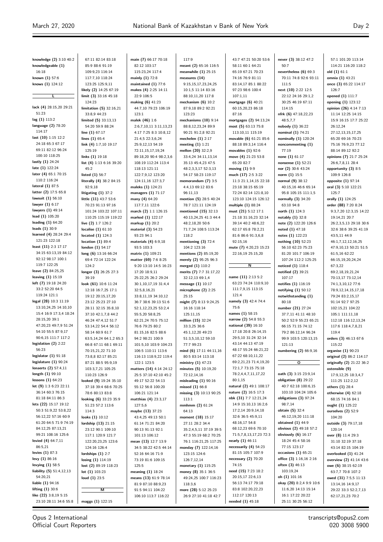57:1 101:20 113:14

**knowledge (2)** 3:10 40:2 **knowledgeable (1)** 16:18 **known (1)** 57:6 **knows (1)** 124:12 **L lack (4)** 28:15,20 29:21 51:23 **lag (1)** 113:2 **language (2)** 78:20 114:17 **last (10)** 1:15 12:2 24:18 65:3 67:17 69:11 82:12 96:24 100:10 118:25 **lastly (1)** 24:24 **late (1)** 122:24 **later (4)** 65:1 70:15 110:2 116:24 **lateral (1)** 87:5 **latter (2)** 17:5 65:8 **lawsuit (1)** 56:10 **lawyer (1)** 6:17 **lawyers (1)** 49:14 **lead (1)** 105:20 **leading (1)** 64:20 **leads (1)** 30:9 **learned (4)** 28:24 29:4 121:23 122:18 **least (11)** 2:3 17:17 34:15 63:13,19 84:12 92:12 98:17 100:1 119:7 122:25 **leave (2)** 84:25,25 **leaving (1)** 15:19 **left (7)** 19:18 24:20 33:2 52:20 64:5 119:24 121:1 **legal (28)** 10:3 11:19 13:10,24,25 14:10,10 15:4 16:9 17:3,4 18:24 28:15,20 39:1 47:20,23 49:7,9 51:24 54:10 55:5 87:9,17 90:6,15 111:7 117:2 **legislation (2)** 2:22 56:23 **legislator (1)** 91:18 **legislature (1)** 90:24 **lenaerts (2)** 57:4,11 **length (1)** 99:10 **lessons (1)** 64:23 **let (9)** 1:3 6:23 22:11 36:14 60:3 76:15 81:18 84:11 86:3 **lets (22)** 15:17 19:12 50:3 51:9,22 53:8,22 56:12,22 57:16 60:9 61:20 64:5 71:9 74:19 84:12,25 87:13,21 99:21 108:16 125:6 **levied (4)** 64:7,11 86:5,21 **levies (1)** 87:3 **levy (1)** 86:16 **levying (1)** 58:5 **liability (5)** 51:4,12,13 54:20,21 **liable (1)** 94:16 **lifting (1)** 30:6 **like (22)** 3:8,19 5:15 23:10 28:11 34:6 55:8 124:23 125:19  $45.2$ 92:9,18 124:2 39:19 114:3 **loud (1)** 23:5 **maggs (1)** 122:15

67:11 82:14 83:18 85:9 88:6 91:19 109:9,23 116:14 117:7,10 118:24 123:25 125:9,11 **likely (2)** 14:25 67:19 **limit (3)** 33:16 45:18 **limitation (5)** 32:16,21 33:8,9 44:23 **limited (5)** 33:13,13 54:20 59:9 88:24 **line (1)** 67:17 **lines (1)** 65:4 **link (4)** 1:7,10 19:17 **links (1)** 19:18 **list (4)** 1:13 6:16 39:20 **listed (1)** 56:7 **literally (4)** 38:2 84:15 **litigating (1)** 37:2 **little (11)** 43:7 53:6 70:23 91:13 97:16 101:24 103:22 107:11 110:25 115:19 119:22 **live (2)** 1:7 126:2 **localise (1)** 61:10 **located (1)** 124:3 **location (1)** 89:4 **london (1)** 54:17 **long (6)** 13:16 66:24 69:4 72:14 122:24 **longer (3)** 26:25 27:3 **look (61)** 10:6 11:24 12:18 16:7,25 17:1 19:12 20:15,17,20 23:12 25:23 27:10 28:11 32:15 35:8,10 37:10 42:1,7,8 44:2 46:24 47:4,12 51:7 53:14,22 54:4 56:12 58:14 60:9 61:7 63:5,14,24 64:1,2 65:3 66:8 67:11 68:1 69:11 70:15,21,22 71:10 73:8,8 82:17 85:21 87:21 88:5 95:9,19 103:3,7,21 105:25 110:23 126:9 **looked (9)** 19:24 35:10 37:18 39:4 68:6 70:25 78:6 80:13 83:8 **looking (6)** 33:23 35:9 51:23 57:2 113:6 **looks (1)** 10:12 **lordship (13)** 21:15 23:12 90:1 109:10 117:1 120:9 121:7 122:20,23,25 123:6 124:16 126:4 **lordships (1)** 2:7 **losing (1)** 114:19 **lost (2)** 89:19 118:23 **lot (1)** 103:23 **M**

**main (7)** 66:17 70:18 82:12 103:17 115:23,24 117:4 **mainly (1)** 72:8 **maintained (1)** 77:6 **makes (4)** 2:25 14:11 22:9 106:5 **making (6)** 41:23 44:7,10 79:23 106:19 123:1 **malek (46)** 1:6 2:6,7,10,11 3:11,13,23 4:17 7:25 8:3 10:8,12 21:4,5 22:3,6,24 25:9,12,13 54:19 72:11,15,17,19,24 89:18,20 90:4 98:2,3,6 108:19 112:24 113:4 118:13 121:11 122:20 12 123:20 124:11,16 127:3,7 **maleks (1)** 124:21 **managers (1)** 71:17 **many (4)** 64:20 117:7,11 122:6 **march (2)** 1:1 126:15 **marked (1)** 122:17 **markup (1)** 20:2 **material (3)** 54:23 93:23 94:1 **materials (4)** 6:9,18 93:5 103:3 **matrix (1)** 109:21 **matter (69)** 7:6 8:25 9:20 13:10 14:5 16:23 17:20 18:9,11 25:22,25 26:2 29:24 30:1,10,17,19 31:4,4 32:5,8,16,21 33:8,11,19 34:10,12 36:7 38:6 39:13 51:6 52:1,12,23,25 53:2,4 55:5,20 58:8,25 62:21,24 70:5 75:12 76:6 79:25 80:2 81:15,16 82:5 88:6 94:2 98:21 100:9 101:5,10 103:9 104:23 106:5 110:11 113:6 116:13 118:9,22 119:4 122:1 123:5 **matters (14)** 4:14 24:12 25:5 37:10 42:10 45:2 49:17 52:22 54:13 55:12 56:8 100:20 106:21 121:14 **matthias (4)** 23:3,17  $127.56$ **maybe (13)** 37:23 43:4,25 49:13 50:1 61:14 71:21 84:20 90:13 91:13 92:1 101:13 106:12 **mean (13)** 12:7 13:9 34:5 38:22 42:5 44:14 52:16 64:16 71:9 73:19 81:6 109:15 125:5 **meaning (1)** 18:24 **means (13)** 61:9 78:14 81:9 87:10 88:9,23 91:5 94:11 104:22 106:10 113:7 116:22

117:9 **meant (2)** 65:16 116:5 **meanwhile (1)** 25:15 **measures (14)** 9:15,15,17,23,24,25 10:1,5 11:14 83:16 88:10,11,20 117:8 **mechanism (6)** 10:2 87:9,18 89:2 92:21 123:23 **mechanisms (10)** 9:14 88:8,12,23,24 89:9 90:21 91:2,8 92:21 **mechelen (1)** 2:17 **meeting (1)** 1:21 **mellon (20)** 32:2,9 33:4,24 34:11,13,14 35:13 45:4,23 47:5 48:2,3,3,17 52:3,13 54:17 58:23 119:17 **memorandum (7)** 3:5 4:4,13 69:12 83:6 96:11,13 **mention (5)** 28:5 40:24 78:7 121:11 124:19 **mentioned (15)** 32:13 40:13,24,25 41:3 44:4 48:2,18,20 50:6 71:7,24 108:5 113:24 118:2 **mentioning (3)** 72:4 104:2 123:16 **mentions (2)** 85:19,20 **merely (2)** 95:25 96:3 **merged (1)** 110:2 **merits (7)** 7:7 31:17,22 32:12,13 69:1,4 **message (1)** 10:17 **microphone (2)** 2:25  $25.15$ **might (7)** 8:13 9:24,25 16:16 118:14 125:11,15 **million (15)** 32:24 33:3,25 36:6 45:1,12,20 49:23 51:3,5,10,12 59:10 77:7 99:23 **mind (6)** 17:11 44:11,16 80:5 83:14 113:18 **ministry (1)** 47:23 **minutes (5)** 10:19,20 72:12,14,16 **misleading (1)** 90:16 **missed (1)** 66:8 **missing (3)** 10:13 90:25 113:1 **mmhmm (2)** 61:24 64:13 **moment (18)** 15:17 27:11 28:2 34:4 35:2,4,5,11 37:19 39:5 47:3 55:19 68:2 70:25 76:1 116:21,25 117:25 **monday (7)** 122:14,16 123:15 124:6 126:7,12,14 **monetary (1)** 115:25 **money (8)** 35:1 36:5 49:24,25 100:7 116:23 118:3,6 **more (28)** 5:12 25:23 26:9 27:10 41:18 42:7

43:7 47:21 50:20 53:6 58:11 60:1 64:21 65:19 67:21 70:23 74:16 76:9 81:11 83:14,17 85:1 88:22 97:23 98:6 100:4 107:1,11 **mortgage (6)** 40:21 60:15,20,23 86:18 87:16 **mortgages (2)** 94:13,24 **most (5)** 63:13 75:8 113:10,11 115:19 **movable (6)** 61:21 85:6 88:18 89:3,14 116:4 **movables (1)** 92:6 **move (4)** 21:23 53:8 65:20 82:7 **moving (1)** 9:9 **much (17)** 2:5 3:22 11:3 21:1,14,15 22:18 23:18 38:15 65:19 72:24 82:14 121:8,10 123:10 124:15 126:12 **multiple (1)** 88:24 **must (21)** 5:12 17:1 21:18 31:16,23 32:14 39:14 40:2 48:6,22 62:17 65:8 78:2,21 81:6 86:6 91:3,6,8 92:15,16 **mute (7)** 4:20,23 15:23 22:16,19 25:15,20 **N name (11)** 2:13 5:2 63:23 74:24 110:9,10 111:7,9,15 113:15 121:4 **namely (3)** 42:4 74:4 75:6 **names (1)** 58:15 **narrow (2)** 54:8 55:3 **national (39)** 16:10 17:18 20:8 26:14,15 29:5,10 31:24 32:14 43:14 44:13 47:19 48:17 55:24 66:21,22 67:22 68:10,11,22 69:2,21,23 71:4,19,20 72:1,7 73:15 75:18 78:2,4,4,7,11,17,22 80:1,15 **natural (2)** 49:1 108:17 **nature (2)** 16:5 17:3 **nbk (31)** 7:7 12:21,24 14:9 15:10,13 16:2,6 17:2,14 20:9,14,18 32:6 36:5 45:9,11 48:16,17 54:8 68:12,23 69:6 70:10 71:5,7,8,13,17,23 72:3 **nearly (1)** 46:11 **necessarily (4)** 54:23 81:15 105:7 107:9 **necessary (2)** 70:20 74:15 **need (15)** 7:23 18:2 20:15,17 22:6,13 56:13 74:17 79:18 83:8 102:20,22,23 112:17 120:13

**needed (1)** 45:18

**never (3)** 38:12 47:2 50:7 **nevertheless (6)** 69:3 70:11 74:8 92:6 93:11 111:5 **next (10)** 2:22 12:5 22:12 24:16 29:1,2 30:25 46:19 67:11 114:15 **nfrk (6)** 47:18,22,23 48:5,7,7 **nobody (1)** 36:22 **nominal (1)** 74:21 **nominally (1)** 120:24 **noncommenting (1)** 77:19 **none (1)** 61:17 **nonsense (1)** 52:21 **nor (2)** 30:6 43:24 **norm (1)** 15:5 **normal (9)** 38:12 40:15,16 46:6 65:14 95:8 105:15 111:1,5 **normally (3)** 34:20 63:10 94:8 **north (1)** 124:3 **notably (1)** 32:8 **note (2)** 122:20 126:6 **noted (1)** 47:18 **notes (1)** 122:23 **nothing (10)** 52:23 56:10 62:23 75:23 81:20 101:7 106:19 107:24 112:2 125:25 **noticed (1)** 118:4 **notified (2)** 39:21 107:17 **notifies (1)** 116:19 **notifying (1)** 50:12 **notwithstanding (1)** 80:18 **number (21)** 27:24 37:7,11 41:11 48:10 50:2 52:9 55:23 65:21 66:15 71:15 74:12 79:2 86:12,14 96:24 99:9 103:5 120:13,15 121:13 **numbering (2)** 66:9,16 **O oath (3)** 3:15 23:9,14 **obligation (8)** 29:22 40:7 62:18 100:6,15 103:10 104:24 105:6 **obligations (3)** 97:24 98:7,14 **obtain (5)** 32:4 46:12,19,20 111:18 **obtained (1)** 44:9 **obvious (2)** 49:18 57:2 **obviously (6)** 16:17 18:24 45:4 58:16 77:15 123:17 **occasions (1)** 65:21 **office (3)** 1:16,16 2:16 **often (3)** 46:13 103:19,24 **oh (1)** 101:16 **okay (20)** 8:2,4 9:9 10:6 11:6,20 14:13 15:14 16:1 17:22 20:22

25:11 30:25 56:12

114:21 116:20 118:2 **old (1)** 61:1 **omnia (1)** 43:21 **once (3)** 65:22 114:17 126:7 **opened (1)** 111:7 **opening (1)** 123:12 **opinion (26)** 4:14 7:13 11:14 12:25 14:15 15:9 16:15 17:7 25:22 26:12,24 27:12,13,15,17,25 65:20 69:16 70:23 75:16 76:9,23 77:12 88:14 89:12 92:2 **opinions (7)** 21:7 25:24 26:6,7,8,11 28:4 **opportunity (3)** 8:5 109:9 126:8 **opposite (1)** 97:14 **oral (3)** 5:10 122:21 125:7 **orally (1)** 124:25 **order (88)** 7:20 8:24 9:3,7,20 12:3,15 14:22 19:14,21 20:7 26:2,3,5,13 29:18 30:6 32:6 38:6 39:25 41:19 43:5,11 44:9 46:1,7,12,12,16,25 47:9,10,13 50:21 51:5 61:5,16 62:22 66:15,19,20,24,24 67:3,22 69:2,18,19,21,24 70:13,17 73:12,14 74:1,3,10,12 77:6 78:9,12,14,15,17,18 79:24 83:2,15,17 91:14 92:7 97:25 102:15,21 104:22 105:1 111:11,18 112:18 116:12,13,24 117:6 118:4,7,8,21 119:4 **orders (3)** 46:13 67:6 115:22 **organise (1)** 90:23 **original (2)** 86:2 114:17 **originally (2)** 21:22 36:2 **ostensible (9)** 17:9,12,25 18:3,4,7 111:25 112:2,12 **others (1)** 28:4 **otherwise (4)** 62:18 68:15 74:16 84:1 **ought (1)** 125:22 **ourselves (2)** 52:9 104:20 **outside (3)** 79:17,18 120:14 **over (8)** 11:4 29:3 31:10 32:19 37:18 43:14 82:15 104:19 **overlooked (1)** 41:24 **overview (2)** 41:14 43:6 **owe (6)** 38:15 62:19 63:7,7 70:8 107:2 **owed (31)** 7:5,5 11:13 13:14,16 14:9,17 29:22 33:3 52:2,7,13 62:17,21,23 70:2

Opus 2 International Official Court Reporters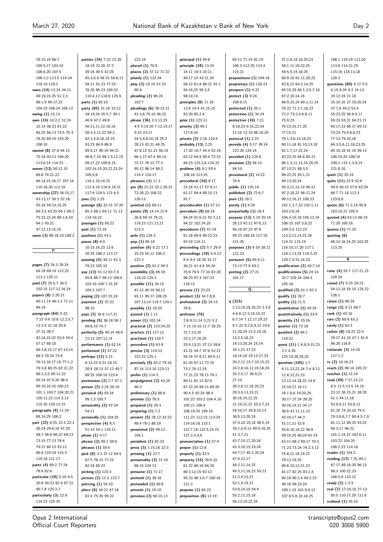78:15,19 86:7

108:1 110:24 112:20

100:9,17 103:10 106:6,20 107:5 108:1,2 113:5 114:24 118:19 119:2 **owes (14)** 12:24 34:11 49:19,23,25 51:2,3 98:1,9 99:17,22 104:23 106:24 108:13 **owing (1)** 15:13 **own (14)** 10:2,2 31:24 32:14 38:23 61:22 65:25 66:13 73:5 75:3 78:20 89:10 103:20 108:10 **owned (8)** 27:8 44:13 75:18 93:13 106:20 113:6,14 114:23 **owner (13)** 50:12,15 60:8 74:21,22 84:14,15,16,17 107:16 110:18,20 112:16 **ownership (27)** 26:15,17 43:13,17 50:3 52:18 55:24 59:14,15,25 60:3,5 63:25 64:1 69:2 75:22,23,24 80:1,6,10 84:1 93:21 97:12,13,15,16 **owns (3)** 98:18,19 100:2 **P pages (7)** 24:3 28:24 64:18 69:14 112:23 113:3 125:11 **paid (7)** 35:5,7 36:5 102:15 117:12,16,24 **papers (8)** 2:20,21 40:11,14 46:1,3 71:11 94:14 **paragraph (64)** 5:22 7:15 9:9 10:6 12:2,5,7 13:3,9 31:18 35:8 37:15 39:7 42:14,15,22 52:6 54:4 57:17 60:10 66:3,8,15,17 67:13,14 68:3 70:24 73:8 76:13,16,17,18 77:1,2 79:3,8 80:25 82:21,22 88:2,3,5 89:11,22 95:14 97:9,20 98:4 99:10,10,10 100:23 101:1 103:7 104:20,21 105:11,23 114:3,13 115:20 120:13,15 **paragraphs (4)** 11:24 89:24,25 106:2 **part (22)** 6:25 15:3 22:3 26:14 29:6,10 47:20 48:7 56:8 66:22 69:23 73:15 77:13 78:4 79:21 80:15 83:12 86:8 110:19 115:3 119:18 121:17 **parte (4)** 69:2 77:24 78:9 82:4 **particular (10)** 5:16 6:5 20:8 50:23 82:9 87:22 90:7,8 125:2,7 **particularly (3)** 22:9 114:23 125:25

**parties (24)** 7:22 12:20 18:19 32:20 37:2 39:16 40:5 42:25 45:3,6,9 48:15 54:6,12 58:11 61:23 77:25 78:20 86:23 109:22 110:4,12 118:6 125:9 **parts (1)** 83:10 **party (65)** 31:16 33:12 34:19,24 35:5,7 39:1 46:9 47:2 49:8 50:11,11,12,18,18 58:3,4,11,22 59:2 62:1,4,8,18,19,19 63:23 84:9 86:8 89:5,17 90:10 94:21 96:6,7,10 98:1,9,12,15 99:17,22 100:8,15 102:14,15,20,22,23,24 105:5,6 110:1,10,14,21 111:4,19 116:4,19,21 117:6 118:5 121:4,5 **pass (1)** 1:25 **passage (8)** 32:15 37:20 65:3 68:1 69:11 71:13 114:10,22 **passages (1)** 65:22 **past (1)** 72:18 **pauliana (1)** 43:1 **pause (8)** 8:4 10:15,16,23 12:6 20:25 106:2 113:17 **pausing (4)** 30:11 62:3 78:23 105:10 **pay (13)** 51:12 63:7,9 65:8 86:7 98:13 100:6 103:10 104:7,15,24 105:2 107:7 **paying (2)** 107:15,18 **payment (2)** 37:22 98:10 **pays (2)** 35:6 117:21 **pending (5)** 36:18 56:1 69:8,10 74:7 **perfectly (5)** 40:15 46:6 72:13 107:12,14 **performance (1)** 62:14 **performed (1)** 47:22 **perhaps (12)** 5:11 6:13,23 9:21 18:15 20:5 28:13 37:12 45:7 89:25 109:19 123:4 **permission (2)** 2:7 47:1 **person (2)** 2:24 20:19 **personal (4)** 93:24 99:1,3 105:7 **personality (2)** 47:24 54:11 **personally (1)** 104:25 **perspective (4)** 8:3 51:15 54:1 116:11 **phase (1)** 9:17 **phrase (2)** 49:1 59:6 **phrases (1)** 59:6 **pick (8)** 3:3 37:12 64:5 67:5 76:13 77:15 82:18 85:22 **picking (1)** 123:3 **picture (2)** 11:5 122:7 **piercing (1)** 54:10 **place (6)** 34:21 47:18 61:4 75:20 95:22

122:16 **placed (1)** 70:9 **places (2)** 37:12 71:22 **plainly (1)** 122:24 **play (3)** 15:10 57:23  $90 \cdot 9$ **pleading (2)** 96:24  $102.7$ **pleadings (6)** 36:15,21 41:3,6 75:10 96:22 **please (36)** 3:3,13,25 4:9 5:19,20 7:12,14,17 9:10 23:11 24:5,8,8,10,18 25:2 28:13 42:21 46:25 47:6,13 51:21 56:19 66:1,17 67:4 69:14 72:17 76:12 77:3 95:12 96:14 98:2 114:2 116:17 **pleasure (1)** 11:3 **pm (8)** 21:22 22:1,20,21 72:20,22 108:22 126:13 **pointed (1)** 89:11 **points (9)** 14:14 21:8 26:8 69:15 76:21 119:23 121:13,21 123:3 **pole (1)** 124:3 **pop (1)** 85:18 **position (6)** 8:22 17:1 33:23 55:12 106:3  $122.3$ **positive (2)** 61:2 94:3 **possibility (3)** 86:16 118:10 125:3 **possible (11)** 34:15 41:12 46:19 58:12 93:11 95:17 106:25 107:13,14 119:7 124:1 **possibly (1)** 10:20 **posted (1)** 1:11 **power (1)** 102:14 **practical (2)** 115:24,25 **practice (1)** 117:12 **practised (1)** 110:7 **precedent (1)** 63:9 **precise (3)** 119:23 122:22 125:1 **precisely (5)** 63:2 79:16 87:14 113:10 123:13 **prefer (1)** 114:3 **prejudgment (2)** 43:20  $46.2$ **preliminary (1)** 88:6 **premise (1)** 76:5 **prepared (1)** 20:3 **preparing (1)** 7:2 **present (5)** 28:12 32:23 48:4 78:1 88:19 **presented (2)** 49:12 104:1 **president (1)** 82:10 **press (3)** 1:15,16 22:3 **pressing (1)** 22:7 **presumably (3)** 21:18 68:15 124:13 **presume (1)** 71:17 **pretend (1)** 38:16 **pretended (1)** 50:8 **prevent (1)** 19:10 **previous (2)** 60:10,13

**principal (1)** 49:8 **principle (18)** 13:24 14:11 19:3 33:11 40:17,19 43:21,24 58:12 61:8 86:21 91:1 94:16,25 95:3,5 98:10,14 **principles (8)** 11:18 13:6 14:4 41:15,15 83:20 85:2,4 **prior (1)** 123:11 **priority (3)** 95:1 117:8,16 **private (2)** 2:16 110:4 **probably (13)** 2:25 17:20 18:7 44:4 52:16 62:12 64:4 65:4 72:15 84:23 123:2,6 124:22 **problem (4)** 8:1 93:4 108:16 113:25 **procedural (10)** 8:17 23:24 41:17 57:9,11 61:17 84:4 89:10,13 91:7 **proceduralist (1)** 57:13 **procedure (9)** 68:18 84:24 91:6,21 92:7,13 94:22 102:24,25 **procedures (7)** 41:19 61:16 89:8 90:22,23 92:19 115:11 **proceeding (2)** 5:7 29:9 **proceedings (18)** 5:4,12 6:4 9:4 18:20 31:17 36:21 41:4,6 54:24 75:9 76:5 77:10 82:20 96:23 97:3 107:23 118:15 **process (1)** 23:23 **product (3)** 34:7,8,9 **professional (2)** 24:13 25:6 **professor (76)** 2:8,9,11,14 3:21 5:2 7:13 10:10 11:7 20:25 21:7,13,16 23:3,17,18,20 25:9,13,21 37:13 39:6 41:21 44:7 47:6 52:21 56:16 57:8,11 60:5,11 61:20 67:12 72:25 73:2 76:12,19 77:21,23 78:13 79:1 80:11 81:13 82:9 87:22,24 88:13 89:20 90:4,5 92:24 98:4 101:22 103:2 104:4,10 105:21 106:4 108:19,24 109:19 111:23 112:23 113:24 114:16,18 115:1 121:7,18 122:5,15,15 127:2,4,5,6 **pronunciation (1)** 57:4 **proper (1)** 12:8 **properly (1)** 32:5 **property (15)** 29:6,10 61:22 80:16 84:20 89:3,12,15 92:12 95:23 96:3,6,7 100:16 121:2 **propose (1)** 65:23 **proposition (8)** 12:19

65:11 71:14 81:19 106:3 112:25 113:4 115:21 **propositions (1)** 104:18 **proprietary (1)** 120:23 **prospect (1)** 4:22 **protect (3)** 9:24 108:9,15 **protected (1)** 35:1 **protection (1)** 34:24 **protective (10)** 7:21 8:18,23 9:15,22,24 11:16 12:10 88:10,20 **protocol (1)** 2:23 **provide (4)** 5:17 39:14 122:20 124:14 **provided (1)** 124:8 **provision (2)** 56:13 94:10 **provisional (2)** 14:22 74:4 **public (1)** 125:19 **published (2)** 72:6,7 **pure (1)** 18:1 **purely (1)** 6:20 **purportedly (1)** 18:4 **purpose (13)** 5:19 20:19 28:13 42:12 47:6,13 56:16 87:23 97:8 99:23 108:18 117:19 121:20 **purposes (3)** 9:19 28:12 121:23 **pursuant (5)** 45:9,11 73:13 77:9 83:1 **putting (2)** 27:21 101:17 **Q q (315)** 2:13,15,18,20,23 3:3,8 4:4,8,12 5:10,15,22 6:7,14 7:12,17,19,23 8:7,22 9:2,6,9,12 10:6 11:20,24 12:2,10,18 13:2,5,18,23 14:13,20,24 15:14 16:1,21 17:22 18:14,18 19:12,17,23 20:2,12 23:7,10,15,23 24:2,8,10,12,16,18,24 25:2,5,17 26:9,21 27:10 28:2,8,11,18,20,23 29:3,9,13,15,21 30:16,19,22,25 31:10,15,21 33:2,7,23 34:10,17 35:8,10,13 36:5,13,20,24 37:4,10,15,18 38:5,19 39:1,4,9,11 40:9,16,25 41:3,7,21 42:7,15,17,20,24 43:3,10,15,19,24 44:7,17 45:2,20,24 47:4,12,17 48:2,11,14,22 49:3,11,16,23 50:23 51:2,9,15,21 52:1,9,19,21 53:8,14,19 54:4 55:2,11,15,18

56:12,19,22,24

57:2,8,14,16,20,23 58:1,11,19,22,25 59:5,9,14,18,25 60:9,19 61:11,20,25 62:6,21 64:2,14,25 65:15,20 66:1,3,5,7,18 67:2,10,14,16 68:9,15,19 69:1,11,14 70:22 71:2,7,16,23 72:2 73:2,4,6,8,11 75:9,23 76:12,15,17,20 77:15,21 79:1,3,6,12,18,23 80:11,18 81:10,13,18 82:1,7,17,22,24 83:22,25 84:8 85:21 86:1,3,11,13,15,20,25 87:13,21 88:3,5 89:22,25 93:1,21 94:13,20,24 95:3,11,15,19 96:22 97:2,18,22 98:17,24 99:12,16,21 100:23 101:1,3,7,22 102:1,11 103:2,6,18 104:4,10,18 105:13,24 106:15 107:3,8,22 109:2,9 112:23 113:2,12,14,21,24 114:21 115:19 116:10,17,20 117:1 118:2,13,24 119:2,25 120:7,9,15,18,23 **qualification (2)** 49:7,10 **qualifications (5)** 24:14 25:7 103:24 104:3 105:16 **qualified (2)** 51:1 92:3 **qualify (1)** 26:7 **quality (1)** 11:5 **quantitative (1)** 44:25 **quantitatively (1)** 33:9 **quantity (1)** 33:16 **quarter (1)** 72:18 **quashed (2)** 64:1 110:22 **quest (11)** 1:6,8,9,15,23  $2.24:20$ 125:19,20,24,25 **question (105)** 1:7 6:11,13,22,24 7:4 8:12 11:8,12,21,23 12:12,14,18,22 14:8 15:10,12 16:11 18:1,6,6 19:20,25 20:17 27:24 28:25 30:16,19,21 34:17 38:6 41:11,11,12 43:16,17 44:3 51:11,11 52:6 54:8,16,18,22 56:8 59:15,25 60:24 61:14 63:11 68:2 69:17 70:3 71:23 73:24 74:2,3,12 75:8,11,18,19,22 79:13,19,25 80:6,10,12,21,23 81:17 82:25 83:2,4 89:18 90:2,4 94:2,22 98:18 99:23,24 100:1,10 101:9,9,12 107:4,5,6,10,18,25

113:8 114:21,25 115:16 118:13,18 120:3 **questions (60)** 4:17 5:5 6:19 8:24 9:2 14:13 20:12,24 21:10 25:10,16 27:19,20,24 37:7,8 44:2 53:4 55:23,25 56:6,9,11 59:23 63:21 64:21,21 65:17,23 66:17 69:12 73:23 75:4,6,6,23 77:13 79:10,16 84:3,5,6,11,18,23,25 85:16,18 91:15 99:13 100:19,20 108:19 109:2 115:1,3,9,15 121:8,10 **quiet (1)** 25:19 **quite (11)** 22:9 42:6 49:9 50:15 57:6 62:24 66:7 71:18 112:3 123:8,8 **quote (6)** 71:2,14 95:8 103:19,21 105:4 **quoted (4)** 63:13 68:19 71:20 105:18 **quotes (1)** 71:25 **quoting (6)** 68:14,16,24,25 103:25 113:25 **R raise (4)** 55:7 117:21,23 124:24 **raised (7)** 5:25 29:23 54:12,18 55:10 125:22 126:1 **raises (1)** 96:24 **range (2)** 9:13 88:7 **rank (1)** 43:16 **rare (2)** 60:8 63:2 **rarely (1)** 63:3 **rather (8)** 18:23 22:4 29:17 41:10 47:1 81:6 96:20 116:8 **rationale (3)** 14:10  $117.1.2$ **re (2)** 10:16,23 **reach (2)** 96:14 105:22 **reaches (1)** 12:19 **read (49)** 7:17,23,23 8:5 12:5 13:5 14:15 23:12 36:15,21 38:20 41:1 44:11,16 52:9,9,11 53:8,12 61:20 74:10,10 75:9 79:3,6,6,7,7 80:4,5,7,9 81:11,12 89:25 93:22 94:2,11 96:22 101:1,14,15 102:6,11 103:22 104:20 106:2,23 114:16 **reader (1)** 104:2 **reading (12)** 7:25 49:1 67:17 89:19,20 96:13 98:3 100:22,23 108:5,8 123:12 **ready (2)** 1:3,9 **real (7)** 17:10,10 27:13 85:5 110:17,20 111:6 **realised (1)** 45:10

Opus 2 International Official Court Reporters

transcripts@opus2.com 020 3008 5900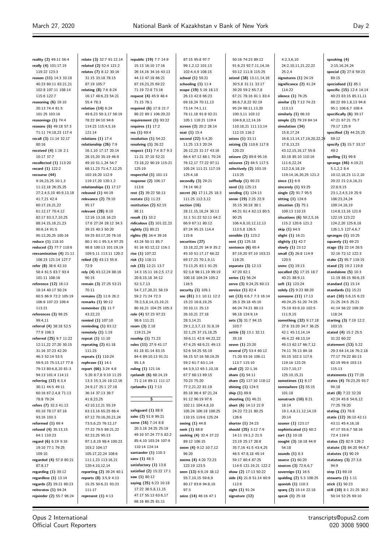$\equiv$ 

İ

| reality (2) 49:11 56:4                     | relate (3) 32:7 91:12,14                      | republic (19) 7:7 14:9                         | 87:15 95:8 97:7                             | 50:16 74:23 89:12                           | 4:2,3,6,10                                | speaking (4)                                |
|--------------------------------------------|-----------------------------------------------|------------------------------------------------|---------------------------------------------|---------------------------------------------|-------------------------------------------|---------------------------------------------|
| really (4) 101:17,19                       | related (2) 52:4 121:2                        | 15:13 16:10 17:16                              | 99:1,2,12 101:13                            | 91:6,23 92:7,11,14,16                       | 24:2,10,11,21,22,22                       | 2:15,16,24,24                               |
| 119:22 123:3                               | relates (7) 8:12 30:16                        | 26:14,16 34:16 43:13                           | 102:4,4,9 108:15                            | 93:12 111:8 115:25                          | 25:2,4                                    | special (3) 27:8 59:23                      |
| reason (11) 14:3 33:18                     | 31:15 33:18 78:15                             | 44:13 47:19 66:21                              | school (1) 59:21                            | seized (38) 13:11,14,16                     | signatures $(1)$ 24:19                    | 89:15                                       |
| 40:23 80:11 83:21,21                       | 87:19 105:7                                   | 67:19,23,25 69:22                              | schooling $(1)$ 11:4                        | 30:5,8 31:11 33:17                          | significance (2) 41:24                    | specialised $(1)$ 85:1                      |
| 102:8 107:11 108:14                        | relating (8) 7:6 8:24                         | 71:19 72:8 73:16                               | scope (19) 5:16 18:13                       | 39:20 59:2 65:7,8                           | 114:22                                    | specific (15) 12:4 14:14                    |
| 115:6 122:7                                | 16:17 48:6,23 54:21                           | request (4) 45:9 48:4                          | 26:13 42:8 66:23                            | 67:21 78:16 81:1 83:4                       | silence (1) 76:25                         | 40:23 83:15 85:11,11                        |
| reasoning (6) 19:10<br>20:13 74:4 81:5     | 55:4 78:3<br>relation (14) 6:24               | 71:15 78:1<br>required (6) 17:8 21:7           | 69:18,24 70:11,13<br>73:14 74:1,11          | 86:6,7,8,22 92:19<br>95:24 98:11,13,20      | similar (3) 7:12 74:23<br>113:13          | 88:22 89:1,8,13 94:8<br>95:1 106:6,7 108:4  |
| 101:25 103:16                              | 49:8,23 50:3,17 58:19                         | 88:22 89:1 106:20,22                           | 78:11,18 91:8 92:21                         | 100:3,11 103:12                             | similarly $(1)$ 66:10                     | specifically $(6)$ 39:17                    |
| reasonings (1) 74:4                        | 78:22 84:10 94:6                              | requirement $(1)$ 93:22                        | 105:1 118:21 119:4                          | 104:6,8,12,14,16                            | simple (2) 79:19 84:14                    | 47:21 67:21 75:7                            |
| reasons (6) 49:18 57:3                     | 114:23 115:4,5,16                             | requires $(1)$ 17:2                            | screen (2) 20:2 28:14                       | 110:18,21 111:13,14                         | simulation (34)                           | 79:17 125:9                                 |
| 71:11 74:18,23 117:4                       | 121:14                                        | res $(1)$ 69:4                                 | seat (1) 15:4                               | 112:15 116:2                                | 15:8,17,24                                | specified (3) 44:25,25                      |
| recall (3) 11:14 32:17                     | relations $(1)$ 17:4                          | resolution $(1)$ 54:22                         | second (22) 5:4,20                          | seizes (1) 33:11                            | 16:8, 13, 14, 17, 19, 20, 22, 24          | 59:12                                       |
| 80:16                                      | relationship (26) 7:9                         | resolving $(1)$ 26:22                          | 11:25 13:3 20:24                            | seizing (3) 110:6 117:8                     | 17:8,13,23                                | specify (3) 15:7 33:17                      |
| received (4) 1:16 2:1                      | 16:1,10 17:17 20:14                           | respect (11) 7:4 8:7 9:3                       | 26:12,23 31:17 43:16                        | 120:23                                      | 43:12,15,16,17 55:8                       | 49:2                                        |
| 10:17 37:7                                 | 28:15,20 35:19 46:9                           | 11:21 37:10 52:21                              | 66:4 67:12 68:1 70:24                       | seizure (2) 89:8 95:16                      | 83:18 85:10 110:16                        | spelling $(1)$ 99:8                         |
| recollected (1) 113:20                     | 49:10 51:1,24 54:7                            | 73:18,22 90:19 115:21                          | 76:12,17 77:22 97:11                        | seizures (2) 84:5 117:5                     | 111:6,22,24                               | sprange (46) 4:19,21                        |
| record (1) 122:2                           | 68:11,23 71:4,7,12,25                         | 125:19                                         | 105:24 111:21 117:19                        | selectively $(2)$ 103:19                    | 112:2,6,18,19                             | 5:1,2,28:4                                  |
| recourse (44)                              | 102:19,20 112:9                               | respectful $(1)$ 101:13                        | 125:4,18                                    | 113:25                                      | 119:14,16,20,25 121:2                     | 10:12,18,23 11:2,10                         |
| 9:16,23,25 10:1,3                          | 119:17,20 120:1,2                             | response (2) 106:17                            | secondly (3) 29:21                          | selfhelp (1) 90:23                          | since (1) 6:9                             | 20:22 21:2,6,16,21                          |
| 11:12,18 26:25,25                          | relationships $(1)$ 17:17                     | 113:6                                          | 74:14 96:2                                  | send (1) 125:13                             | sincerely (1) 93:25                       | 22:8,9,15                                   |
| 27:2,4,5,10 40:9,13,18<br>41:7,21 42:4     | released $(1)$ 44:19                          | rest (2) 39:22 58:13                           | secret (6) 17:11,25 18:3<br>111:25 112:3,12 | sending (1) 124:13                          | single (2) 91:7 95:5                      | 23:1,2,4,5,19 25:9<br>108:23,24,24          |
| 60:17,19,21,22                             | relevance (2) 79:10<br>95:17                  | restate $(1)$ 11:23<br>restitution $(2)$ 62:15 | section (16)                                | sense (19) 2:25 22:9<br>35:15 36:18 38:1    | sitting (1) 124:6<br>situation $(3)$ 75:1 | 109:14,16,19                                |
| 61:12,17 70:4,12                           | relevant (28) 8:10                            | 98:11                                          | 28:11,15,18,24 30:13                        | 46:21 61:4 62:13 80:5                       | 109:13 110:15                             | 114:8,13,16 121:6                           |
| 82:17 83:3,7,10,25                         | 12:16 13:18 16:23                             | result (1) 33:2                                | 31:1 51:22 52:11 64:2                       | 90:25                                       | situations (6) 50:2,5,16                  | 122:19 123:22                               |
| 88:14,15,18,21,23                          | 17:6 27:24 28:12 34:3                         | ridiculous (2) 101:22,23                       | 66:9 67:11 80:12                            | 106:4,8,10,12,12,13                         | 115:2 120:6 121:2                         | 124:2,20 125:6,18                           |
| 90:6,14 91:5                               | 39:15 40:3 50:20                              | rightly (1) 80:21                              | 87:24 95:15 114:4                           | 113:5,8 126:5                               | skip (1) 64:5                             | 126:1,5 127:4,6,7                           |
| 95:12,20,25 100:16                         | 59:25 63:17,20 76:10                          | rights (9) 34:4 39:16                          | 115:6                                       | sensible (1) 123:2                          | slight (1) 16:21                          | spranges $(1)$ 10:25                        |
| reduce (1) 118:10                          | 80:1 91:1 95:3,4 97:25                        | 43:24 50:11 85:7                               | securities (27)                             | sent (1) 125:18                             | slightly (1) 42:7                         | squarely $(1)$ 69:23                        |
| reduced (2) 77:7 118:6                     | 98:8 100:13 101:19,19                         | 91:16 92:12,12 116:1                           | 33:18,22,25 34:9 35:2                       | sentence $(6)$ 65:4                         | slowly (1) 23:12                          | stage (5) 22:14 28:5                        |
| reexamination (4) 21:11                    | 109:5,11 113:11 120:2                         | rise (1) 107:22                                | 45:10 51:17,17 66:22                        | 87:19,20 97:10 103:21                       | small (3) 26:8 114:9                      | 32:16 72:12 122:3                           |
| 108:23 121:14 127:7                        | relied (3) 43:13 55:6                         | risk (1) 118:11                                | 69:17,23 70:1,9,11                          | 118:25                                      | 120:5                                     | stake (2) 95:7 119:15                       |
| refer (8) 38:6 42:10                       | 72:9                                          | rok (33) 12:21 13:7                            | 73:13,25 83:1 91:25                         | separate (3) 12:13                          | snmc (1) 19:13                            | stand (2) 19:2 119:8                        |
| 58:4 61:5 83:7 93:4                        | rely (4) 43:12,24 88:16                       | 14:3 15:11 16:2,5 17:2                         | 92:3,8 98:11,19 99:19                       | 47:20 82:1                                  | socalled (5) 17:15 18:7                   | standalone $(5)$ 10:3                       |
| 101:11 108:16                              | 90:15                                         | 20:8,15,18 34:12                               | 100:18 104:24 105:2                         | series (1) 56:24                            | 40:21 88:9,11                             | 11:19 88:15 90:6,15                         |
| reference (12) 16:13<br>18:14 40:17 50:24  | remain (3) 27:25 53:21<br>70:11               | 52:3,7,13<br>54:7,17,20,21 58:19               | 116:5<br>security (1) 105:1                 | serve (3) 9:24,25 60:13<br>service (1) 82:4 | soft (1) 123:24<br>solely (2) 9:23 88:20  | standard (1) 15:14<br>standards $(1)$ 15:21 |
| 60:5 66:9 72:2 105:19                      | remains (2) 11:6 26:2                         | 59:2 71:24 72:3                                | see (81) 3:1 10:11 12:2                     | set (13) 6:6,7 7:3 16:14                    | someone (11) 17:13                        | start (10) 5:6,15 6:23                      |
| 106:6 107:23 109:4                         | remarks (1) 90:12                             | 78:2,5,8,14,15,19,21                           | 15:23 16:8,19,25                            | 26:3 29:18 45:10                            | 49:24,25 51:20 74:25                      | 21:25 24:5 25:21                            |
| 113:21                                     | remember $(3)$ 11:7                           | 80:16,21 104:25 105:3                          | 20:10,11 25:13                              | 66:24 74:21 89:13                           | 75:19 93:9,10 102:5                       | 41:14 56:22 109:20                          |
| references (3) 98:25                       | 43:22,23                                      | role (4) 57:23 97:23                           | 26:10,21 27:18                              | 96:18 124:9,14                              | 111:9,15                                  | 118:24                                      |
| 99:4,11                                    | remind (1) 107:10                             | 98:6 111:21                                    | 28:3,14,21                                  | sets (3) 31:7 94:15                         | something (32) 9:17,18                    | starting (3) 7:19 12:2                      |
| referral (4) 38:18 52:5                    | reminding $(1)$ 83:12                         | room $(3)$ 2:18                                | 29:1,2,3,7,13 31:8,19                       | 103:7                                       | 27:6 33:20 34:7 36:25                     | 103:15                                      |
| 77:9 108:3                                 | remotely $(1)$ 1:19                           | 119:21,24                                      | 32:1,25 37:15,18,25                         | settle (3) 13:1 32:11                       | 42:1 45:13,14,14                          | stated (4) 15:2 25:5                        |
| referred (25) 9:7 11:22                    | repeat (1) 11:10                              | rosehip (1) 71:23                              | 39:6,11 42:8 44:22,22                       | 35:18                                       | 46:4,22 48:13,14                          | 31:22 60:22                                 |
| 12:11,22 27:20 30:15                       | repeating $(2)$ 61:18                         | rules (11) 27:9 41:17                          | 47:4,25 48:9,21 49:13                       | seven (1) 23:20                             | 49:13 62:17 66:7,12                       | statement $(13)$ 5:22                       |
| 31:16 37:23 42:20                          | 111:23                                        | 61:18 81:14 83:15                              | 52:6 54:25 55:19                            | several (7) 53:4 60:12                      | 74:11 76:13 84:18                         | 29:3 64:14,16 76:2,18                       |
| 46:3 52:14 53:5                            | repeats (1) 110:24                            | 84:4 89:10,13 91:21                            | 56:15 57:16 58:19,25                        | 71:20 93:16 106:11                          | 93:15 102:3 117:6                         | 77:17 79:22 80:13                           |
| 59:9,15 75:13,17 77:8                      | rephrase $(1)$ 14:1                           | 95:1,6                                         | 59:2 61:7 63:1,14                           | 113:7 115:10                                | 119:16 122:25                             | 82:19 99:6 103:13                           |
| 79:13 80:6,8,10 81:3<br>94:13 101:4 114:11 | report (66) 3:24 4:8<br>5:20 8:7,8 9:10 11:25 | ruling (1) 121:16<br>ryelandt (6) 68:14,19     | 64:3,9,12 65:1,10,18<br>67:7 68:13 69:15    | shall (2) 22:1,16<br>sham (1) 54:11         | 123:7,10,17<br>125:10,15,21               | 115:13<br>statements $(1)$ 77:20            |
| referring (12) 6:3,4                       | 13:3 15:3,16 18:12,16                         | 71:2,14 89:11 111:17                           | 70:23 75:20                                 | share (2) 117:10 118:12                     | sometimes $(1)$ 8:17                      | states (4) 78:23,25 93:7                    |
| 30:11 44:5 49:11                           | 24:9,17 25:1 27:18                            | ryelandts $(1)$ 7:13                           | 77:2,21,22 81:19                            | shining (1) 124:5                           | somewhere (2) 55:15                       | 94:18                                       |
| 60:16 67:2,4,8 71:13                       | 36:14 37:13 39:7                              |                                                | 85:18 86:4 87:21,24                         | ship (1) 89:8                               | 101:18                                    | stati (8) 7:22 32:20                        |
| 78:8 79:24                                 | 41:8,23,25                                    | s                                              | 91:12 96:19 97:6                            | shooting $(1)$ 46:21                        | sonatrach (10) 8:21                       | 42:24 45:8 54:6,12                          |
| refers (7) 32:3 41:12                      | 42:10,12,21 55:19                             |                                                | 102:11 104:4,8,10                           | short (6) 14:13 21:9                        | 18:14                                     | 77:25 78:20                                 |
| 65:10 78:17 87:16                          | 63:13,16 65:25 66:4                           | safeguard (1) 88:9                             | 105:24 106:18 108:25                        | 24:22 72:21 80:25                           | 19:1,4,8,11,12,14,19                      | stating $(1)$ 76:8                          |
| 93:16 103:3                                | 67:12 70:16,20,21,24                          | sake (2) 51:9 99:21                            | 110:15 119:6 125:24                         | 126:6                                       | 20:14                                     | statis (12) 36:10 42:11                     |
| reformed (1) 69:4                          | 73:5,6,23 76:12,17                            | same (16) 7:14 8:8                             | seeing (1) 44:8                             | shorter (1) 24:23                           | sooner (1) 123:17                         | 43:11 45:4,16,18                            |
| refused (4) 35:13,15                       | 77:22 79:5 89:21,22                           | 20:3,18 24:25 25:19                            | seek (1) 88:8                               | should (25) 3:12 7:9                        | sophisticated (1) 60:2                    | 47:17 55:6,7 58:16                          |
| 64:1 110:23                                | 92:23,25 95:13                                | 49:10 57:24 77:5 82:2                          | seeking (4) 32:4 37:22                      | 14:11 19:1,2 21:5                           | sort (1) 10:18                            | 72:4 119:9                                  |
| regard (6) 6:19 9:16                       | 97:1,8,19 98:4 100:23                         | 85:4,10 103:24 107:9<br>110:14 124:14          | 89:12 106:15                                | 23:19 25:17 28:8                            | sought (3) 18:18 44:9                     | status (2) 82:9 126:2                       |
| 19:10 77:1 79:25                           | 103:2 104:17                                  | santander $(1)$ 110:3                          | seem (4) 9:12 10:7,12                       | 35:7,16 41:5 43:4,25                        | 54:18                                     | statute (3) 84:20 94:6,7                    |
| 109:10<br>regarded (4) 57:8 80:21          | 105:17,22,24 108:6<br>111:1,23 113:16,21      | sanv (1) 48:3                                  | 96:20<br>seems (4) 4:20 72:23               | 46:5 47:8,18 49:14<br>59:17 80:4 87:25      | sounds $(1)$ 8:3<br>source (1) 60:20      | statutes (1) 90:19<br>statutory (3) 27:3,6  |
| 87:8,17                                    | 120:4,10,12,14                                | satisfactory (1) 13:8                          | 122:19 123:5                                | 114:9 121:19,21 122:2                       | sources (3) 72:6,6,7                      | 94:9                                        |
| regarding (1) 39:12                        | reporting (2) 39:24 40:1                      | satisfied (2) 15:22 17:1                       | seen (13) 6:9,19 38:12                      | show (2) 17:13 50:22                        | sovereign $(1)$ 16:5                      | step (1) 69:19                              |
| regardless (1) 13:14                       | reports (8) 3:5,9 4:13                        | saw (1) 80:12                                  | 55:7,10,15 59:6,9                           | side (4) 21:8 51:14 60:9                    | spalding (2) 5:3 108:25                   | stewarts $(1)$ 1:11                         |
| regards (2) 29:21 80:23                    | 15:25 50:6,21 93:23                           | saying (25) 6:23 10:18                         | 80:17 83:6 94:8,10                          | 112:6                                       | spanish (1) 110:3                         | stick (1) 50:23                             |
| reiterates (1) 94:24                       | 111:17                                        | 17:22 38:5,8,11,15                             | 97:3                                        | sight (1) 91:24                             | sparq (2) 10:14 22:18                     | still (10) 8:1 21:25 30:2                   |
| rejoinder (2) 55:7 96:24                   | represent $(1)$ 4:13                          | 47:17 55:13 63:6,17                            | seize (14) 46:16 47:1                       | signature (12)                              | speak (1) 25:18                           | 50:14 52:25 69:10                           |
|                                            |                                               | 68:16 80:25 81:11                              |                                             |                                             |                                           |                                             |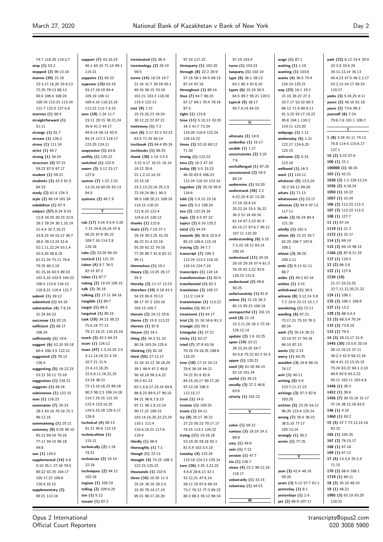$\equiv$ 

| 74:7 118:20 119:3,7                          | support (7) 43:10,19                         | terminated $(1)$ 36:4                       | 97:10 117:22                                      | 97:19 103:4                         | wage $(1)$ 87:1                           | york (22) 6:12 14:4 20:9                     |
|----------------------------------------------|----------------------------------------------|---------------------------------------------|---------------------------------------------------|-------------------------------------|-------------------------------------------|----------------------------------------------|
| stop $(1)$ 53:2                              | 46:1 65:10 71:14 99:1                        | terminology $(2)$ 26:19                     | threeparty $(1)$ 102:20                           | turns $(1)$ 103:23                  | waiting $(1)$ 1:10                        | 32:2,9 33:4,24                               |
| stopped (2) 96:13,16                         | 115:21                                       | 59:5                                        | through (8) 22:2 26:9                             | twoparty (1) 102:19                 | wanting $(1)$ 103:6                       | 34:11,13,14 35:13                            |
| storme (20) 21:16                            | supports (1) 93:23                           | terms (14) 18:19 19:7                       | 57:18 58:1 64:5 69:15                             | type $(6)$ 36:1 38:13               | wants (4) 36:5 75:4                       | 45:4,23 47:5 48:2,3,17                       |
| 23:3,17,18,20 25:9,13                        | supreme (15) 63:19                           | 21:16 31:7 39:18 45:1                       | 87:14 97:18                                       | 63:1 85:3 91:6,10                   | 124:19 125:21                             | 52:2,13 54:17 58:23                          |
| 72:25 78:13 88:13                            | 93:17,18,19 94:4                             | 49:16 56:15 70:10                           | throughout $(1)$ 88:14                            | types (6) 15:18 50:5                | way (23) 16:1 19:2                        | 119:17                                       |
| 90:4 106:4 108:24                            | 105:19 106:11                                | 101:21 103:3 118:20                         | thus (7) 64:7 66:23                               | 84:5 89:7 95:21 120:5               | 21:10 26:22 27:3                          | yorks (3) 5:24,25 6:11                       |
| 109:19 112:23 113:24                         | 109:4,10 110:22,24                           | 119:3 122:13                                | 67:17 69:1 70:4 78:16                             | typical (5) 38:17                   | 33:7,17 52:10 60:3                        | youre (2) 40:10 81:18                        |
| 121:7 122:5 127:5,6<br>stormes (1) 98:4      | 112:22 113:7,9,15                            | test $(9) 1:21$                             | 87:5                                              | 50:7,9,19 64:10                     | 66:12 71:9 80:9,11                        | yours (2) 73:6 99:3                          |
| straightforward (1)                          | sure (18) 1:24 11:7<br>23:11 29:15 30:21,24  | 15:15,20,23 16:24<br>30:12,22,22 87:21      | tight (1) 123:8<br>time (11) 5:10,13 33:20        |                                     | 91:3,22 92:17,19,22<br>95:8 104:1 116:2   | yourself $(6)$ 7:24<br>79:6,7,8 101:1 106:2  |
| 51:11                                        | 35:6 41:2 44:17                              | testimony $(1)$ 7:2                         | 34:3 41:7 72:24                                   | $\overline{\mathtt{U}}$             | 119:11 123:20                             |                                              |
| strange (1) 81:7                             | 49:9,14 58:14 92:9                           | text (6) 3:17 42:2 43:23                    | 114:20 118:9 122:24                               |                                     | webpage $(1)$ 1:12                        | 1                                            |
| stream (1) 126:2                             | 94:14 117:3 118:17                           | 63:5 71:25 94:14                            | 124:14,22                                         | ultimate $(1)$ 14:6                 | wednesday $(5)$ 1:21                      | 1 (8) 3:24 41:11 74:12                       |
| stress (1) 111:16                            | 123:20 124:11                                | textbook (2) 64:4 85:24                     | times $(3)$ 52:10 60:12                           | umbrellas $(1)$ 15:17               | 122:17 124:6,25                           | 75:8 114:4 115:6,17                          |
| strict (1) 40:7                              | suspensive $(1)$ 63:8                        | textbooks $(1)$ 98:25                       | 71:20                                             | unable $(1)$ 1:17                   | 125:15                                    | 127:1                                        |
| strong (1) 34:24                             | swiftly (1) 125:22                           | thank (38) 1:14 2:5,5                       | timing $(1)$ 122:22                               | uncertainties (2) 5:25<br>7:6       | welcome $(2)$ 5:15                        | 10 (2) 5:22 57:6                             |
| structure $(4)$ 57:21                        | switched (1) 122:9                           | 3:22 4:17 10:21 15:14                       | tma (2) 16:2 47:10                                | unchallenged $(1)$ 87:25            | 123:10                                    | 100(1)22:1                                   |
| 59:22 87:5 97:17                             | sworn (3) 3:12 23:17                         | 19:12 20:6                                  | today (8) 5:5 33:23                               | uncontested (2) 29:5                | wellused $(1)$ 16:3                       | 100000 (1) 38:16                             |
| student $(1)$ 59:21                          | 127:6                                        | 21:1,2,12,14,15                             | 46:20 83:9 106:23                                 | 80:14                               | went (1) 110:11                           | 103 (1) 42:21<br>1030 (3) 1:2 126:12,14      |
| students (3) 42:3 61:5<br>64:23              | system (7) 1:22 2:23<br>13:10,18 60:25 83:13 | 22:15.18<br>23:2,13,15,18 25:2,9            | 112:24 116:10 123:14<br>together (3) 25:18 95:9   | undermine $(1)$ 53:20               | whatever (5) 13:5,24<br>35:2 93:12 99:20  | 1036 (2) 4:18,24                             |
| study (2) 61:9 124:3                         | 94:5                                         | 72:19,24 86:1 90:3                          | 116:6                                             | understand $(26)$ 2:2               | whats $(1)$ 71:13                         | 1050 (1) 10:22                               |
| style (2) 66:14 101:24                       | systems (2) 49:7,9                           | 98:5 108:20,21 109:18                       | told (3) 1:9,15 23:16                             | 6:22,24 8:22 13:20                  | whatsoever $(1)$ 53:17                    | 1057 (1) 10:24                               |
| subdebtor $(1)$ 87:4                         |                                              | 114:15 116:10                               | tom (2) 5:2 108:24                                | 17:19 18:4,14                       | whereas (3) 94:9 97:13                    | 106 (2) 112:23 113:3                         |
| subject (57) 8:24 9:19                       | Τ.                                           | 121:8,10 122:4                              | too $(2)$ 122:24,24                               | 25:22,24 33:5 35:22                 | 117:11                                    | 107 (2) 112:23 113:3                         |
| 12:8 19:20 20:23 22:6                        |                                              | 124:6,15 126:12                             | topic (2) 6:5 87:22                               | 36:3 51:18 60:16                    | whole (3) 56:24 84:4                      | 108 (1) 127:7                                |
| 26:2 29:24 30:1,10,19                        | tab (17) 3:24 4:5,9 5:20                     | thanks (1) 122:6                            | topics (2) 6:10 125:2                             | 61:14 67:3,10 81:9                  | 121:20                                    | 11(1)67:14                                   |
| 31:4,4 32:7,16,21                            | 7:14 24:6,16,24 47:8                         | thats (17) 7:19 27:1                        | total (1) 44:24                                   | 83:15,17 97:6,7 99:12               | wholly $(1)$ 101:3                        | 1119 (1) 21:3                                |
| 33:8,19 34:10,12 36:7                        | 56:25 67:6 85:22                             | 29:19 39:2,25 41:25                         | towards (6) 30:8 32:6,9                           | 107:11 115:20                       | whom (6) 12:23 35:7                       | 1122 (1) 22:17                               |
| 38:6 39:13,24 51:6                           | 109:7,16 114:2,8                             | 46:22 51:4 52:16                            | 85:23 106:6 115:19                                | understanding $(6)$ 5:15            | 62:25 106:7 107:6                         | 114 (1) 69:14                                |
| 52:1,11,22,24 53:1,4                         | 120:18                                       | 55:20 62:22 76:10                           | tracing (2) 34:7,7                                | 7:3,10 18:12 83:14<br>100:14        | 108:1                                     | 115 (2) 69:14 96:15                          |
| 55:4,20 58:8,25                              | tabs (2) 23:20 56:24                         | 77:20 80:7 81:8 82:12                       | transcript $(7)$ 109:3                            | understood $(11)$ 24:24             | whose (3) 98:20                           | 1166 (3) 87:6,11,19                          |
| 62:21,24 75:11 76:6                          | tactical (1) 121:23                          | 99:11                                       | 112:24 113:3 116:10                               | 26:10 29:16 57:4 61:3               | 100:2,11                                  | 117 (1) 118:3                                |
| 79:25 80:2,19                                | taken (4) 8:7 26:5                           | themselves $(1)$ 10:1                       | 118:14 124:7,10                                   | 76:25 91:3,22 92:6                  | wide $(3)$ 9:13 41:11                     | 12 (2) 66:3,8                                |
| 81:15,16 82:5 89:10                          | 82:15 87:2<br>takes (1) 87:7                 | theory (3) 13:25 26:17                      | transcripts $(1)$ 124:14                          | 120:23 121:6                        | 88:7                                      | 122 (1) 127:8<br>1230 (10)                   |
| 101:5,10 103:9 104:23<br>106:5 113:6 116:13  | taking (2) 19:10 105:15                      | 55:5<br>thereby (2) 11:17 12:23             | transformation (1) 82:4<br>transformed $(1)$ 82:3 | undisclosed $(2)$ 49:6              | wider (2) 49:2 62:16<br>wishes $(1)$ 3:15 | 21:17,19,23,25                               |
| 118:8,21 119:4 121:7                         | talk (1) 26:18                               | therefore (10) 9:18 43:3                    | translation $(3)$ 109:17                          | 50:25                               | withdrawal $(1)$ 30:5                     | 22:7,11,12,20,21,22                          |
| submit (1) 39:12                             | talking (2) 17:11 84:16                      | 54:23 65:6 70:13                            | 111:2 114:9                                       | unfortunately $(1)$ 81:8            | witness (8) 3:12,14 5:8                   | 124 (1) 106:1                                |
| submitted $(1)$ 54:19                        | tangible $(1)$ 89:7                          | 86:17 97:2 103:10                           | transmission $(1)$ 113:22                         | unless $(5)$ 21:19 26:3             | 7:2 10:9 22:13 23:1,7                     | 125 (2) 106:1 108:8                          |
| substantive $(4)$ 7:8,10                     | target $(1)$ 89:3                            | 104:13 105:7                                | treaties $(1)$ 85:17                              | 85:13 95:23 100:18                  | wondering $(1)$ 72:11                     | 127(1)13:2                                   |
| 31:24 84:22                                  | targeted $(1)$ 89:15                         | therein (2) 24:13 25:6                      | treatment $(1)$ 64:17                             | unrespectful $(1)$ 101:15           | wording $(6)$ 67:21                       | 129 (3) 88:3,4,4                             |
| successor $(1)$ 82:15                        | task (10) 34:23 36:23                        | theres (2) 15:9 113:22                      | trial (3) 31:16 54:6 81:3                         | until (8) 21:19                     | 73:17,21 75:10 76:3                       | 13 (3) 68:3,4 70:24                          |
| sufficient (2) 68:17                         | 75:5,16 77:13                                | thereto $(1)$ 87:6                          | triangle $(1)$ 59:1                               | 22:2,11,20 26:3 72:18               | 80:24                                     | 132 (2) 73:8,10                              |
| 106:24                                       | 79:17,18,21 110:15,16                        | theyve $(1)$ 34:1                           | triangular $(1)$ 57:21                            | 126:12,14                           | work (7) 20:14 26:21                      | 133 (1) 79:4                                 |
| sufficiently (1) 19:6                        | teach (2) 42:3 64:23                         | thing $(5)$ 34:3 51:10                      | tricky (1) 83:17                                  | update (2) 1:6 10:25                | 53:19 57:17 59:18                         | 14 (3) 28:13,17 31:9                         |
| suggest (6) 52:10 55:18                      | team (1) 124:12                              | 80:24 103:24 125:4                          | tried $(7)$ 37:8 63:16                            | upon (10) 33:21<br>38:23,24,25 54:7 | 66:10 87:13                               | 1445 (30) 15:5,6 20:19                       |
| 60:4 106:3,9 122:21                          | teare (47) 1:3,14,24 2:5                     | thinking $(1)$ 81:18                        | 70:19 74:18,25 108:6                              | 55:5,6 75:22 82:3 91:5              | works (1) 2:23                            | 30:12,19,23 37:11                            |
| suggested $(2)$ 78:12                        | 3:11,14,19,22 4:19                           | third (55) 27:12,17                         | 110:25                                            | upper (1) 120:21                    | worry (1) 64:25                           | 39:2,3 42:9 56:12,16                         |
| 126:4                                        | 10:7,21 11:9<br>21:4,12,18,25                | 31:16 33:12 34:18,24                        | true (18) 17:15 24:13                             | used (4) 61:16 66:14                | wouldnt (3) 16:6 68:15                    | 60:4 61:12,13,15,15<br>75:24 83:22 84:1,3,10 |
| suggesting (5) 16:22,23                      | 22:5,8,11,16,22,25                           | 39:1 46:9 47:2 49:8                         | 25:6 36:18 44:21                                  | 92:10 101:24                        | 74:17                                     | 90:9 92:9 93:2,22                            |
| 53:21 55:11 75:10<br>suggestion $(1)$ 124:21 | 23:18 38:21                                  | 50:18,18 58:3,4,22<br>59:2 61:23            | 74:22 81:8 82:6<br>84:15,16,17 90:17,20           | useful (1) 39:15                    | writ (1) 40:11<br>writing $(5)$ 5:9       | 95:11 102:11 103:4,8                         |
| suggests (1) 48:24                           | 72:13,16,18,23 89:18                         | 62:1,4,8,17,19,19 84:8                      | 97:12,16 106:3                                    | usually (3) 27:2 46:8               | 123:7,11,17,23                            | 1446 (1) 39:3                                |
| suleimenov $(1)$ 122:15                      | 90:3 98:2,5 109:14,18                        | 86:8,23 89:5,17 90:10                       | 112:15,17                                         | 63:6                                | writings (3) 57:3 82:8                    | 1452 (1) 39:6                                |
| sum (1) 116:23                               | 114:7,10,15 121:10                           | 94:21 96:6,7,9,15                           | trust $(1)$ 14:5                                  | utterly (1) 101:22                  | 103:20                                    | 1456 (7) 30:15,16 31:17                      |
| summarise (7) 25:23                          | 122:4 123:10,25                              | 97:11 98:1,9,12,14                          | trustee $(1)$ 109:25                              |                                     | written (5) 23:25 54:12                   | 37:19 38:12,18 63:5                          |
| 28:3 63:16 70:19 75:1                        | 124:5,15,18 125:5,17                         | 99:17,22 100:15                             | trusts $(1)$ 54:11                                | ⊽                                   | 96:20 123:4 125:14                        | 146 $(1)$ 4:10                               |
| 96:12,15                                     | 126:9                                        | 102:14,15,20,22,23,24                       | try (9) 25:17 26:21                               |                                     | wrong (7) 35:5 36:22                      | 1460 (1) 93:2                                |
| summarising $(1)$ 25:21                      | technical $(4)$ 90:13                        | 110:1 111:4                                 | 27:23 50:23 70:17,17                              | value (1) 59:12                     | 38:5,10 77:17                             | 15 (5) 57:7 72:12,14,16                      |
| summary (9) 9:20 40:10                       | 91:21 95:6 115:15                            | 116:4,19,21 117:6                           | 74:15 113:2 124:22                                | various (3) 18:19 24:3              | 105:13,14                                 | 82:22                                        |
| 65:12 69:16 70:16                            | technicalities (1)                           | 118:4                                       | trying (11) 10:16,18                              | 89:9                                | wrongly (1) 30:2                          | 165 (1) 105:25                               |
| 77:11 94:15 96:18                            | 115:11                                       | thirdly (1) 96:5                            | 53:19,20 59:18 65:1                               | vary (1) 49:9                       | wrote (1) 77:25                           | 167 (2) 76:15,17                             |
| 99:8                                         | technically (2) 1:24                         | thoroughly $(1)$ 7:1                        | 81:5,9 102:3,5,10                                 | vein $(1)$ 7:12                     |                                           | 168 (1) 67:18                                |
| sun (1) 124:5                                | 74:21                                        | though $(1)$ 22:13                          | tuesday $(4)$ 122:24                              | version $(1)$ 47:7                  | Y                                         | 169 (1) 67:12                                |
| supplemental (14) 4:8                        | technician $(2)$ 10:14<br>22:18              | thought (4) 74:15 108:3                     | 123:18 124:13 125:14                              | via (1) 126:7                       |                                           | 17 (5) 13:3,9 25:2,4<br>71:15                |
| 9:10 25:1 27:18 79:5                         | techniques $(2)$ 94:12                       | 122:23 125:22                               | turn (26) 2:25 3:23,25                            | views (4) 22:2 96:12,16             | year (3) 42:4 46:19                       | 170 (2) 68:4 106:1                           |
| 89:22 92:25 104:17                           | 102:18                                       | thousands $(1)$ 102:6                       | 4:4,8 28:6,13 32:1                                | 118:17                              | 59:20                                     | 1719 (1) 89:11                               |
| 105:17,22 108:6<br>120:4,10,12               | tegisse (1) 105:19                           | three (16) 10:20 11:3<br>25:24 26:10 28:3,5 | 42:12,21 47:6,14<br>56:17,19 67:6 69:14           | voluntarily $(1)$ 33:15             | years (3) 5:12 57:7 61:1                  | 18 (2) 35:10 48:10                           |
| supplementary (2)                            | telling (2) 109:9,20                         | 33:20 70:14,17,19                           | 73:2 76:12 77:3 85:22                             | voluntary $(1)$ 44:23               | yesterday $(1)$ 8:1                       | 19 (1) 48:22                                 |
| 89:21 113:16                                 | ten $(1)$ 5:12                               | 95:21 96:17,20,20                           | 86:3 88:3 95:12 96:14                             |                                     | yesterdays $(1)$ 2:4                      | 1995 (3) 63:19 93:20                         |
|                                              | tenant $(1)$ 87:2                            |                                             |                                                   | w                                   | yet (2) 69:9 107:17                       | 120:21                                       |
|                                              |                                              |                                             |                                                   |                                     |                                           |                                              |

Opus 2 International Official Court Reporters transcripts@opus2.com 020 3008 5900